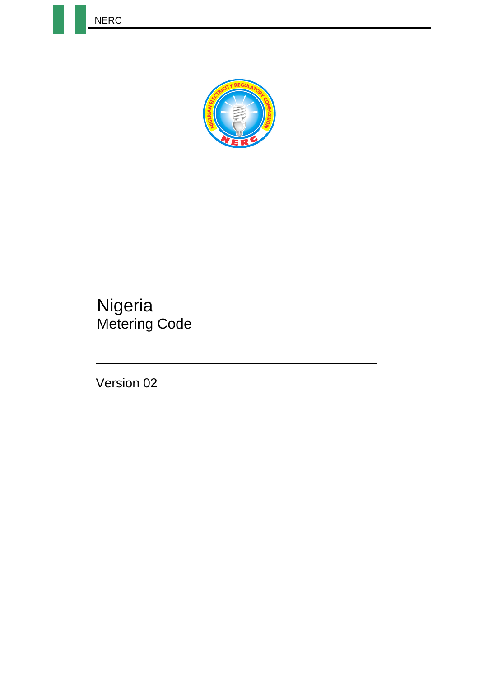NERC



## **Nigeria** Metering Code

Version 02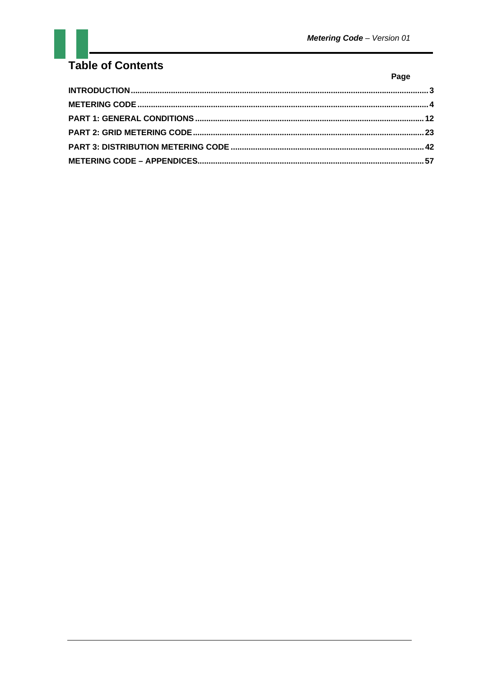## Table of Contents

| I<br>-<br>$\sim$ |
|------------------|
|------------------|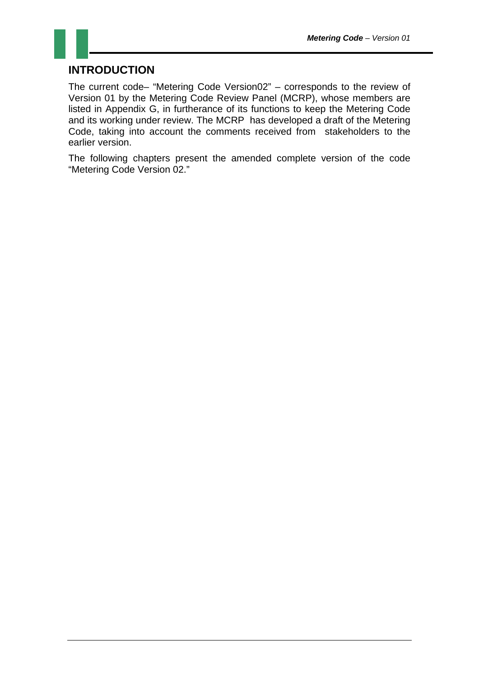#### **INTRODUCTION**

The current code– "Metering Code Version02" – corresponds to the review of Version 01 by the Metering Code Review Panel (MCRP), whose members are listed in Appendix G, in furtherance of its functions to keep the Metering Code and its working under review. The MCRP has developed a draft of the Metering Code, taking into account the comments received from stakeholders to the earlier version.

The following chapters present the amended complete version of the code "Metering Code Version 02."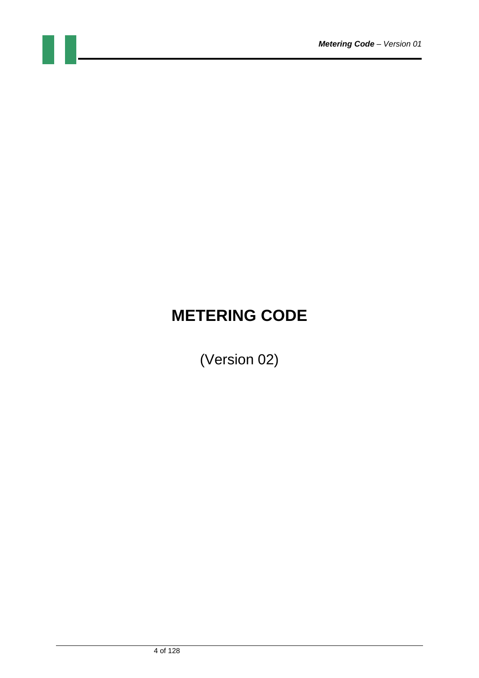# **METERING CODE**

(Version 02)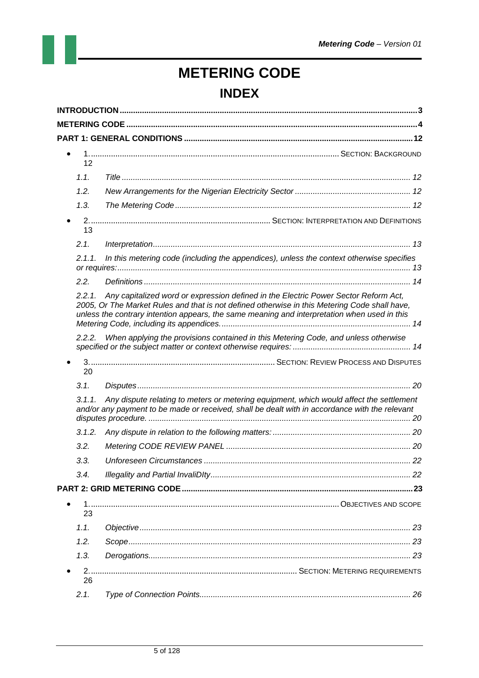# **METERING CODE INDEX**

| 12         |                                                                                                                                                                                                                                                                                      |  |
|------------|--------------------------------------------------------------------------------------------------------------------------------------------------------------------------------------------------------------------------------------------------------------------------------------|--|
| 1.1.       |                                                                                                                                                                                                                                                                                      |  |
| 1.2.       |                                                                                                                                                                                                                                                                                      |  |
| 1.3.       |                                                                                                                                                                                                                                                                                      |  |
|            |                                                                                                                                                                                                                                                                                      |  |
| 13<br>2.1. |                                                                                                                                                                                                                                                                                      |  |
| 2.1.1.     |                                                                                                                                                                                                                                                                                      |  |
|            | In this metering code (including the appendices), unless the context otherwise specifies                                                                                                                                                                                             |  |
| 2.2.       |                                                                                                                                                                                                                                                                                      |  |
| 2.2.1      | Any capitalized word or expression defined in the Electric Power Sector Reform Act,<br>2005, Or The Market Rules and that is not defined otherwise in this Metering Code shall have,<br>unless the contrary intention appears, the same meaning and interpretation when used in this |  |
|            | 2.2.2. When applying the provisions contained in this Metering Code, and unless otherwise                                                                                                                                                                                            |  |
| 20         |                                                                                                                                                                                                                                                                                      |  |
| 3.1.       |                                                                                                                                                                                                                                                                                      |  |
| 3.1.1.     | Any dispute relating to meters or metering equipment, which would affect the settlement                                                                                                                                                                                              |  |
|            | and/or any payment to be made or received, shall be dealt with in accordance with the relevant                                                                                                                                                                                       |  |
| 3.1.2.     |                                                                                                                                                                                                                                                                                      |  |
| 3.2.       |                                                                                                                                                                                                                                                                                      |  |
| 3.3.       |                                                                                                                                                                                                                                                                                      |  |
| 3.4.       |                                                                                                                                                                                                                                                                                      |  |
|            |                                                                                                                                                                                                                                                                                      |  |
|            |                                                                                                                                                                                                                                                                                      |  |
| 23         |                                                                                                                                                                                                                                                                                      |  |
| 1.1.       |                                                                                                                                                                                                                                                                                      |  |
| 1.2.       |                                                                                                                                                                                                                                                                                      |  |
| 1.3.       |                                                                                                                                                                                                                                                                                      |  |
| 26         |                                                                                                                                                                                                                                                                                      |  |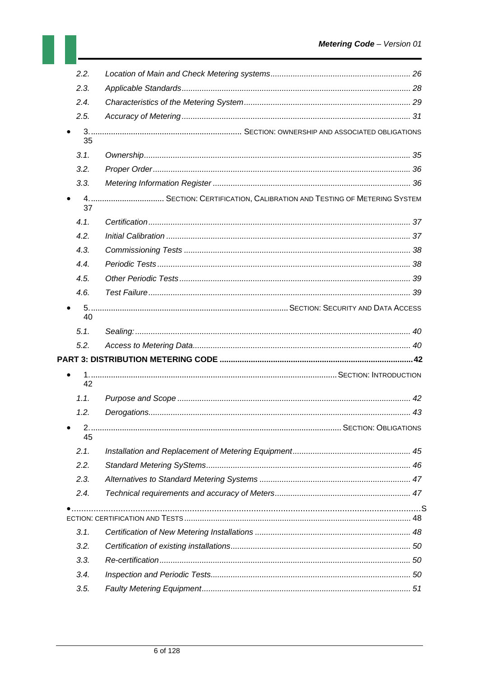| 2.2.        |                                                                      |  |
|-------------|----------------------------------------------------------------------|--|
| 2.3.        |                                                                      |  |
| 2.4.        |                                                                      |  |
| 2.5.        |                                                                      |  |
|             |                                                                      |  |
| 35          |                                                                      |  |
| 3.1.        |                                                                      |  |
| 3.2.        |                                                                      |  |
| 3.3.        |                                                                      |  |
|             | 4 SECTION: CERTIFICATION, CALIBRATION AND TESTING OF METERING SYSTEM |  |
| 37          |                                                                      |  |
| 4.1.        |                                                                      |  |
| 4.2.        |                                                                      |  |
| 4.3.        |                                                                      |  |
| 4.4.        |                                                                      |  |
| 4.5.        |                                                                      |  |
| 4.6.        |                                                                      |  |
|             |                                                                      |  |
| 40          |                                                                      |  |
| 5.1.        |                                                                      |  |
| 5.2.        |                                                                      |  |
|             |                                                                      |  |
| 42          |                                                                      |  |
| 1.1.        |                                                                      |  |
| 1.2.        |                                                                      |  |
| $\bullet$ 2 |                                                                      |  |
| 45          |                                                                      |  |
| 2.1.        |                                                                      |  |
| 2.2.        |                                                                      |  |
| 2.3.        |                                                                      |  |
| 2.4.        |                                                                      |  |
|             |                                                                      |  |
|             |                                                                      |  |
| 3.1.        |                                                                      |  |
| 3.2.        |                                                                      |  |
| 3.3.        |                                                                      |  |
| 3.4.        |                                                                      |  |
| 3.5.        |                                                                      |  |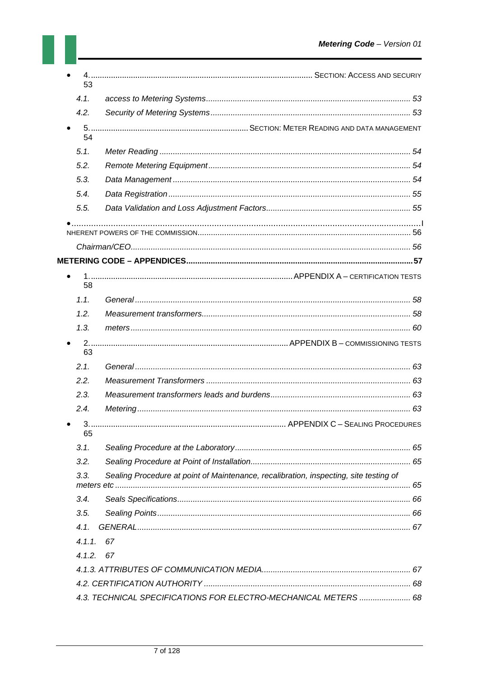| 53                                                                                               |                                                                                       |  |
|--------------------------------------------------------------------------------------------------|---------------------------------------------------------------------------------------|--|
|                                                                                                  |                                                                                       |  |
| 4.1.                                                                                             |                                                                                       |  |
| 4.2.                                                                                             |                                                                                       |  |
| 54                                                                                               |                                                                                       |  |
| 5.1.                                                                                             |                                                                                       |  |
| 5.2.                                                                                             |                                                                                       |  |
| 5.3.                                                                                             |                                                                                       |  |
| 5.4.                                                                                             |                                                                                       |  |
| 5.5.                                                                                             |                                                                                       |  |
|                                                                                                  |                                                                                       |  |
|                                                                                                  |                                                                                       |  |
|                                                                                                  |                                                                                       |  |
| 58                                                                                               |                                                                                       |  |
| 1.1.                                                                                             |                                                                                       |  |
| 1.2.                                                                                             |                                                                                       |  |
| 1.3.                                                                                             |                                                                                       |  |
|                                                                                                  |                                                                                       |  |
| 63                                                                                               |                                                                                       |  |
|                                                                                                  |                                                                                       |  |
|                                                                                                  |                                                                                       |  |
|                                                                                                  |                                                                                       |  |
|                                                                                                  |                                                                                       |  |
|                                                                                                  |                                                                                       |  |
| 65                                                                                               |                                                                                       |  |
|                                                                                                  |                                                                                       |  |
|                                                                                                  |                                                                                       |  |
|                                                                                                  | Sealing Procedure at point of Maintenance, recalibration, inspecting, site testing of |  |
|                                                                                                  |                                                                                       |  |
|                                                                                                  |                                                                                       |  |
|                                                                                                  |                                                                                       |  |
|                                                                                                  | 67                                                                                    |  |
|                                                                                                  | 67                                                                                    |  |
|                                                                                                  |                                                                                       |  |
| 2.1.<br>2.2.<br>2.3.<br>2.4.<br>3.1.<br>3.2.<br>3.3.<br>3.4.<br>3.5.<br>4.1.<br>4.1.1.<br>4.1.2. |                                                                                       |  |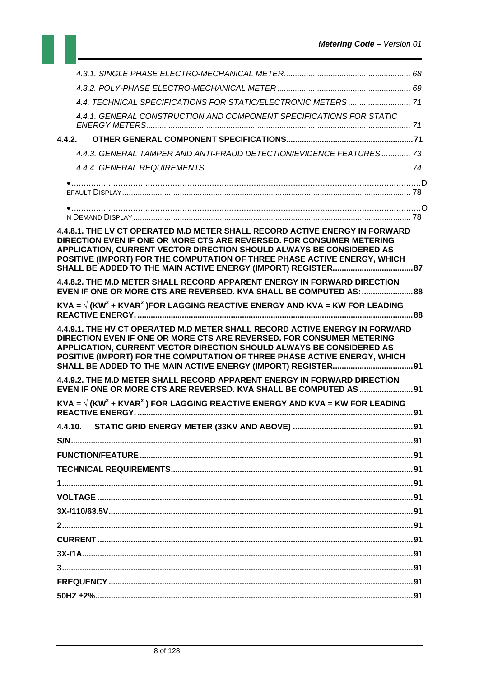| 4.4.1. GENERAL CONSTRUCTION AND COMPONENT SPECIFICATIONS FOR STATIC                                                                                                                                                                                                                                       |     |
|-----------------------------------------------------------------------------------------------------------------------------------------------------------------------------------------------------------------------------------------------------------------------------------------------------------|-----|
|                                                                                                                                                                                                                                                                                                           |     |
| 4.4.3. GENERAL TAMPER AND ANTI-FRAUD DETECTION/EVIDENCE FEATURES 73                                                                                                                                                                                                                                       |     |
|                                                                                                                                                                                                                                                                                                           |     |
|                                                                                                                                                                                                                                                                                                           |     |
|                                                                                                                                                                                                                                                                                                           |     |
|                                                                                                                                                                                                                                                                                                           |     |
| 4.4.8.1. THE LV CT OPERATED M.D METER SHALL RECORD ACTIVE ENERGY IN FORWARD<br>DIRECTION EVEN IF ONE OR MORE CTS ARE REVERSED. FOR CONSUMER METERING<br>APPLICATION, CURRENT VECTOR DIRECTION SHOULD ALWAYS BE CONSIDERED AS<br>POSITIVE (IMPORT) FOR THE COMPUTATION OF THREE PHASE ACTIVE ENERGY, WHICH |     |
| 4.4.8.2. THE M.D METER SHALL RECORD APPARENT ENERGY IN FORWARD DIRECTION<br>EVEN IF ONE OR MORE CTS ARE REVERSED. KVA SHALL BE COMPUTED AS:  88                                                                                                                                                           |     |
| KVA = $\sqrt{(KW^2 + KVAR^2)}$ FOR LAGGING REACTIVE ENERGY AND KVA = KW FOR LEADING                                                                                                                                                                                                                       |     |
| 4.4.9.1. THE HV CT OPERATED M.D METER SHALL RECORD ACTIVE ENERGY IN FORWARD<br>DIRECTION EVEN IF ONE OR MORE CTS ARE REVERSED. FOR CONSUMER METERING<br>APPLICATION, CURRENT VECTOR DIRECTION SHOULD ALWAYS BE CONSIDERED AS<br>POSITIVE (IMPORT) FOR THE COMPUTATION OF THREE PHASE ACTIVE ENERGY, WHICH |     |
| 4.4.9.2. THE M.D METER SHALL RECORD APPARENT ENERGY IN FORWARD DIRECTION<br>EVEN IF ONE OR MORE CTS ARE REVERSED. KVA SHALL BE COMPUTED AS  91                                                                                                                                                            |     |
| KVA = $\sqrt{(KW^2 + KVAR^2)}$ FOR LAGGING REACTIVE ENERGY AND KVA = KW FOR LEADING                                                                                                                                                                                                                       |     |
| 4.4.10. STATIC GRID ENERGY METER (33KV AND ABOVE).                                                                                                                                                                                                                                                        | .91 |
|                                                                                                                                                                                                                                                                                                           |     |
|                                                                                                                                                                                                                                                                                                           |     |
|                                                                                                                                                                                                                                                                                                           |     |
|                                                                                                                                                                                                                                                                                                           |     |
|                                                                                                                                                                                                                                                                                                           |     |
|                                                                                                                                                                                                                                                                                                           |     |
|                                                                                                                                                                                                                                                                                                           |     |
|                                                                                                                                                                                                                                                                                                           |     |
|                                                                                                                                                                                                                                                                                                           |     |
|                                                                                                                                                                                                                                                                                                           |     |
|                                                                                                                                                                                                                                                                                                           |     |
|                                                                                                                                                                                                                                                                                                           |     |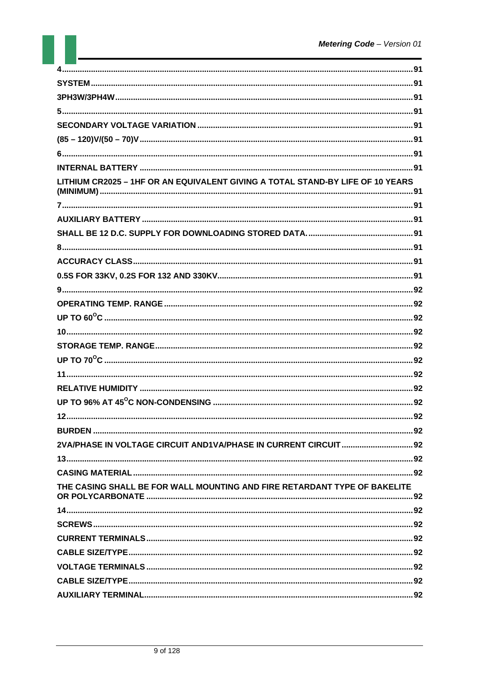| LITHIUM CR2025 - 1HF OR AN EQUIVALENT GIVING A TOTAL STAND-BY LIFE OF 10 YEARS |  |
|--------------------------------------------------------------------------------|--|
|                                                                                |  |
|                                                                                |  |
|                                                                                |  |
|                                                                                |  |
|                                                                                |  |
|                                                                                |  |
|                                                                                |  |
|                                                                                |  |
|                                                                                |  |
|                                                                                |  |
|                                                                                |  |
|                                                                                |  |
|                                                                                |  |
|                                                                                |  |
|                                                                                |  |
|                                                                                |  |
|                                                                                |  |
| 2VA/PHASE IN VOLTAGE CIRCUIT AND1VA/PHASE IN CURRENT CIRCUIT  92               |  |
|                                                                                |  |
|                                                                                |  |
| THE CASING SHALL BE FOR WALL MOUNTING AND FIRE RETARDANT TYPE OF BAKELITE      |  |
|                                                                                |  |
|                                                                                |  |
|                                                                                |  |
|                                                                                |  |
|                                                                                |  |
|                                                                                |  |
|                                                                                |  |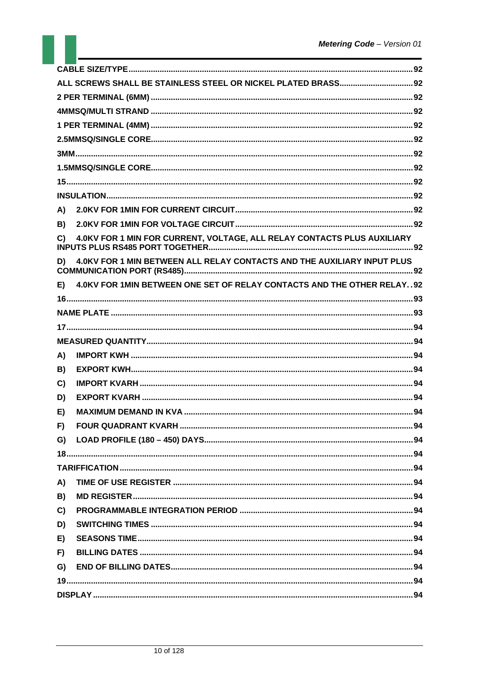| 4.0KV FOR 1 MIN FOR CURRENT, VOLTAGE, ALL RELAY CONTACTS PLUS AUXILIARY       |
|-------------------------------------------------------------------------------|
| 4.0KV FOR 1 MIN BETWEEN ALL RELAY CONTACTS AND THE AUXILIARY INPUT PLUS       |
| E) 4.0KV FOR 1MIN BETWEEN ONE SET OF RELAY CONTACTS AND THE OTHER RELAY. . 92 |
|                                                                               |
|                                                                               |
|                                                                               |
|                                                                               |
|                                                                               |
|                                                                               |
|                                                                               |
|                                                                               |
|                                                                               |
|                                                                               |
|                                                                               |
|                                                                               |
|                                                                               |
|                                                                               |
|                                                                               |
|                                                                               |
|                                                                               |
|                                                                               |
|                                                                               |
|                                                                               |
|                                                                               |
|                                                                               |
|                                                                               |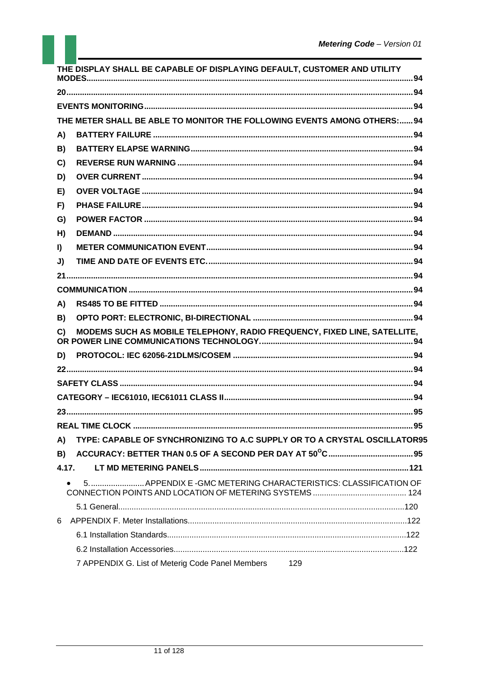|              | THE DISPLAY SHALL BE CAPABLE OF DISPLAYING DEFAULT, CUSTOMER AND UTILITY  |  |
|--------------|---------------------------------------------------------------------------|--|
|              |                                                                           |  |
|              |                                                                           |  |
|              | THE METER SHALL BE ABLE TO MONITOR THE FOLLOWING EVENTS AMONG OTHERS:94   |  |
| A)           |                                                                           |  |
| B)           |                                                                           |  |
| C)           |                                                                           |  |
| D)           |                                                                           |  |
| E)           |                                                                           |  |
| F)           |                                                                           |  |
| G)           |                                                                           |  |
| H)           |                                                                           |  |
| $\mathbf{I}$ |                                                                           |  |
| J)           |                                                                           |  |
|              |                                                                           |  |
|              |                                                                           |  |
| A)           |                                                                           |  |
| B)           |                                                                           |  |
| C)           | MODEMS SUCH AS MOBILE TELEPHONY, RADIO FREQUENCY, FIXED LINE, SATELLITE,  |  |
| D)           |                                                                           |  |
|              |                                                                           |  |
|              |                                                                           |  |
|              |                                                                           |  |
|              |                                                                           |  |
|              |                                                                           |  |
| A)           | TYPE: CAPABLE OF SYNCHRONIZING TO A.C SUPPLY OR TO A CRYSTAL OSCILLATOR95 |  |
| B)           |                                                                           |  |
| 4.17.        |                                                                           |  |
|              | 5 APPENDIX E -GMC METERING CHARACTERISTICS: CLASSIFICATION OF             |  |
|              |                                                                           |  |
| 6            |                                                                           |  |
|              |                                                                           |  |
|              |                                                                           |  |
|              | 7 APPENDIX G. List of Meterig Code Panel Members<br>129                   |  |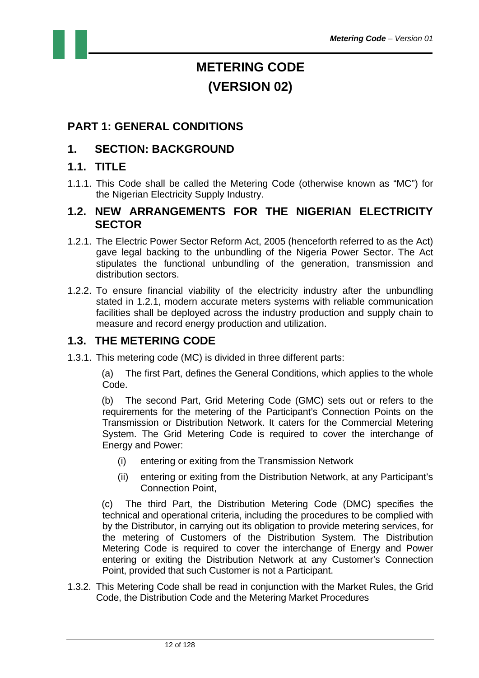## **METERING CODE (VERSION 02)**

#### **PART 1: GENERAL CONDITIONS**

#### **1. SECTION: BACKGROUND**

#### **1.1. TITLE**

1.1.1. This Code shall be called the Metering Code (otherwise known as "MC") for the Nigerian Electricity Supply Industry.

#### **1.2. NEW ARRANGEMENTS FOR THE NIGERIAN ELECTRICITY SECTOR**

- 1.2.1. The Electric Power Sector Reform Act, 2005 (henceforth referred to as the Act) gave legal backing to the unbundling of the Nigeria Power Sector. The Act stipulates the functional unbundling of the generation, transmission and distribution sectors.
- 1.2.2. To ensure financial viability of the electricity industry after the unbundling stated in 1.2.1, modern accurate meters systems with reliable communication facilities shall be deployed across the industry production and supply chain to measure and record energy production and utilization.

#### **1.3. THE METERING CODE**

1.3.1. This metering code (MC) is divided in three different parts:

(a) The first Part, defines the General Conditions, which applies to the whole Code.

(b) The second Part, Grid Metering Code (GMC) sets out or refers to the requirements for the metering of the Participant's Connection Points on the Transmission or Distribution Network. It caters for the Commercial Metering System. The Grid Metering Code is required to cover the interchange of Energy and Power:

- (i) entering or exiting from the Transmission Network
- (ii) entering or exiting from the Distribution Network, at any Participant's Connection Point,

(c) The third Part, the Distribution Metering Code (DMC) specifies the technical and operational criteria, including the procedures to be complied with by the Distributor, in carrying out its obligation to provide metering services, for the metering of Customers of the Distribution System. The Distribution Metering Code is required to cover the interchange of Energy and Power entering or exiting the Distribution Network at any Customer's Connection Point, provided that such Customer is not a Participant.

1.3.2. This Metering Code shall be read in conjunction with the Market Rules, the Grid Code, the Distribution Code and the Metering Market Procedures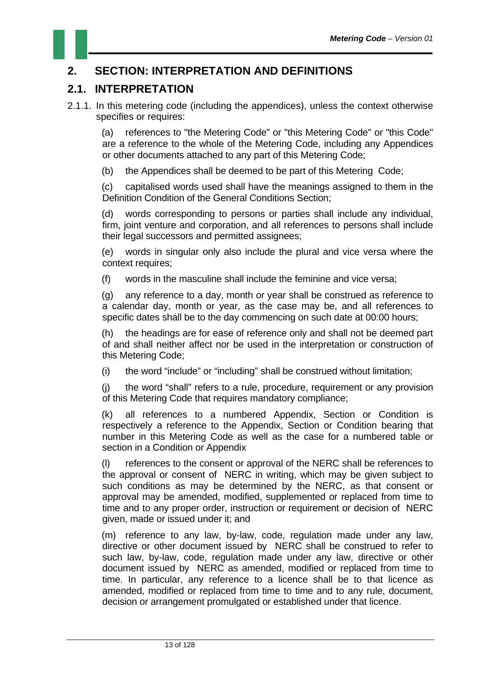#### **2. SECTION: INTERPRETATION AND DEFINITIONS**

#### **2.1. INTERPRETATION**

2.1.1. In this metering code (including the appendices), unless the context otherwise specifies or requires:

(a) references to "the Metering Code" or "this Metering Code" or "this Code" are a reference to the whole of the Metering Code, including any Appendices or other documents attached to any part of this Metering Code;

(b) the Appendices shall be deemed to be part of this Metering Code;

(c) capitalised words used shall have the meanings assigned to them in the Definition Condition of the General Conditions Section;

(d) words corresponding to persons or parties shall include any individual, firm, joint venture and corporation, and all references to persons shall include their legal successors and permitted assignees;

(e) words in singular only also include the plural and vice versa where the context requires;

(f) words in the masculine shall include the feminine and vice versa;

(g) any reference to a day, month or year shall be construed as reference to a calendar day, month or year, as the case may be, and all references to specific dates shall be to the day commencing on such date at 00:00 hours;

(h) the headings are for ease of reference only and shall not be deemed part of and shall neither affect nor be used in the interpretation or construction of this Metering Code;

(i) the word "include" or "including" shall be construed without limitation;

(j) the word "shall" refers to a rule, procedure, requirement or any provision of this Metering Code that requires mandatory compliance;

(k) all references to a numbered Appendix, Section or Condition is respectively a reference to the Appendix, Section or Condition bearing that number in this Metering Code as well as the case for a numbered table or section in a Condition or Appendix

(l) references to the consent or approval of the NERC shall be references to the approval or consent of NERC in writing, which may be given subject to such conditions as may be determined by the NERC, as that consent or approval may be amended, modified, supplemented or replaced from time to time and to any proper order, instruction or requirement or decision of NERC given, made or issued under it; and

(m) reference to any law, by-law, code, regulation made under any law, directive or other document issued by NERC shall be construed to refer to such law, by-law, code, regulation made under any law, directive or other document issued by NERC as amended, modified or replaced from time to time. In particular, any reference to a licence shall be to that licence as amended, modified or replaced from time to time and to any rule, document, decision or arrangement promulgated or established under that licence.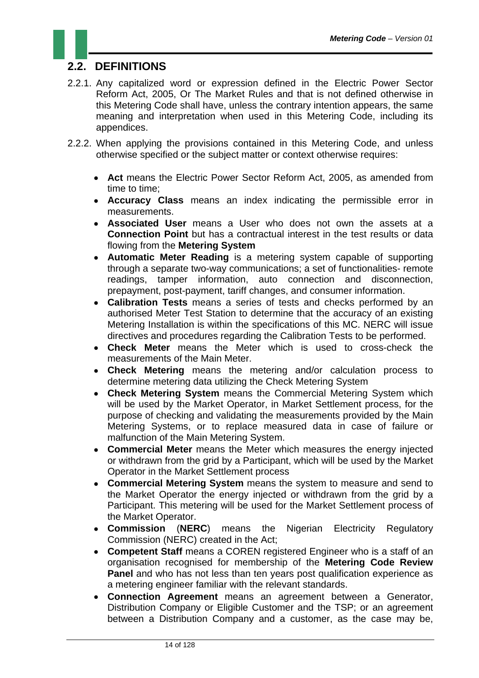#### **2.2. DEFINITIONS**

- 2.2.1. Any capitalized word or expression defined in the Electric Power Sector Reform Act, 2005, Or The Market Rules and that is not defined otherwise in this Metering Code shall have, unless the contrary intention appears, the same meaning and interpretation when used in this Metering Code, including its appendices.
- 2.2.2. When applying the provisions contained in this Metering Code, and unless otherwise specified or the subject matter or context otherwise requires:
	- **Act** means the Electric Power Sector Reform Act, 2005, as amended from time to time;
	- **Accuracy Class** means an index indicating the permissible error in measurements.
	- **Associated User** means a User who does not own the assets at a **Connection Point** but has a contractual interest in the test results or data flowing from the **Metering System**
	- **Automatic Meter Reading** is a metering system capable of supporting through a separate two-way communications; a set of functionalities- remote readings, tamper information, auto connection and disconnection, prepayment, post-payment, tariff changes, and consumer information.
	- **Calibration Tests** means a series of tests and checks performed by an authorised Meter Test Station to determine that the accuracy of an existing Metering Installation is within the specifications of this MC. NERC will issue directives and procedures regarding the Calibration Tests to be performed.
	- **Check Meter** means the Meter which is used to cross-check the measurements of the Main Meter.
	- **Check Metering** means the metering and/or calculation process to determine metering data utilizing the Check Metering System
	- **Check Metering System** means the Commercial Metering System which will be used by the Market Operator, in Market Settlement process, for the purpose of checking and validating the measurements provided by the Main Metering Systems, or to replace measured data in case of failure or malfunction of the Main Metering System.
	- **Commercial Meter** means the Meter which measures the energy injected or withdrawn from the grid by a Participant, which will be used by the Market Operator in the Market Settlement process
	- **Commercial Metering System** means the system to measure and send to the Market Operator the energy injected or withdrawn from the grid by a Participant. This metering will be used for the Market Settlement process of the Market Operator.
	- **Commission** (**NERC**) means the Nigerian Electricity Regulatory Commission (NERC) created in the Act;
	- **Competent Staff** means a COREN registered Engineer who is a staff of an organisation recognised for membership of the **Metering Code Review Panel** and who has not less than ten years post qualification experience as a metering engineer familiar with the relevant standards.
	- **Connection Agreement** means an agreement between a Generator, Distribution Company or Eligible Customer and the TSP; or an agreement between a Distribution Company and a customer, as the case may be,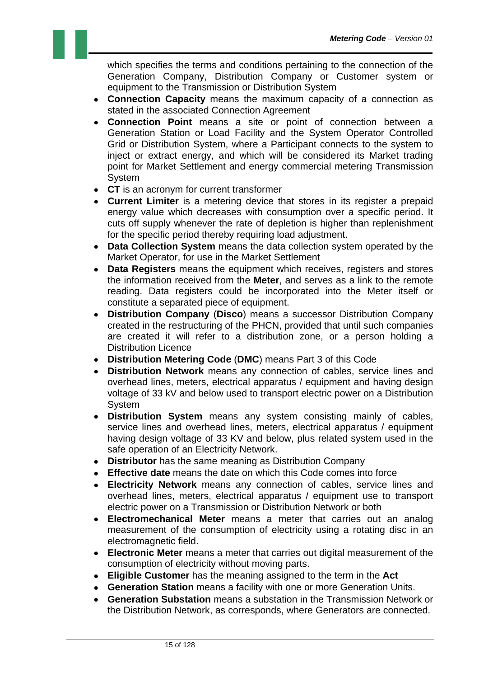which specifies the terms and conditions pertaining to the connection of the Generation Company, Distribution Company or Customer system or equipment to the Transmission or Distribution System

- **Connection Capacity** means the maximum capacity of a connection as stated in the associated Connection Agreement
- **Connection Point** means a site or point of connection between a Generation Station or Load Facility and the System Operator Controlled Grid or Distribution System, where a Participant connects to the system to inject or extract energy, and which will be considered its Market trading point for Market Settlement and energy commercial metering Transmission System
- **CT** is an acronym for current transformer
- **Current Limiter** is a metering device that stores in its register a prepaid energy value which decreases with consumption over a specific period. It cuts off supply whenever the rate of depletion is higher than replenishment for the specific period thereby requiring load adjustment.
- **Data Collection System** means the data collection system operated by the Market Operator, for use in the Market Settlement
- **Data Registers** means the equipment which receives, registers and stores the information received from the **Meter**, and serves as a link to the remote reading. Data registers could be incorporated into the Meter itself or constitute a separated piece of equipment.
- **Distribution Company** (**Disco**) means a successor Distribution Company created in the restructuring of the PHCN, provided that until such companies are created it will refer to a distribution zone, or a person holding a Distribution Licence
- **Distribution Metering Code** (**DMC**) means Part 3 of this Code
- **Distribution Network** means any connection of cables, service lines and overhead lines, meters, electrical apparatus / equipment and having design voltage of 33 kV and below used to transport electric power on a Distribution **System**
- **Distribution System** means any system consisting mainly of cables, service lines and overhead lines, meters, electrical apparatus / equipment having design voltage of 33 KV and below, plus related system used in the safe operation of an Electricity Network.
- **Distributor** has the same meaning as Distribution Company
- **Effective date** means the date on which this Code comes into force
- **Electricity Network** means any connection of cables, service lines and overhead lines, meters, electrical apparatus / equipment use to transport electric power on a Transmission or Distribution Network or both
- **Electromechanical Meter** means a meter that carries out an analog measurement of the consumption of electricity using a rotating disc in an electromagnetic field.
- **Electronic Meter** means a meter that carries out digital measurement of the consumption of electricity without moving parts.
- **Eligible Customer** has the meaning assigned to the term in the **Act**
- **Generation Station** means a facility with one or more Generation Units.
- **Generation Substation** means a substation in the Transmission Network or the Distribution Network, as corresponds, where Generators are connected.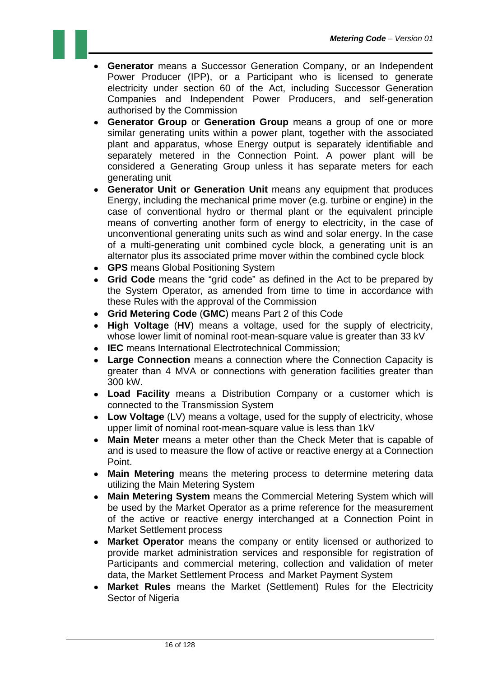- **Generator** means a Successor Generation Company, or an Independent Power Producer (IPP), or a Participant who is licensed to generate electricity under section 60 of the Act, including Successor Generation Companies and Independent Power Producers, and self-generation authorised by the Commission
- **Generator Group** or **Generation Group** means a group of one or more similar generating units within a power plant, together with the associated plant and apparatus, whose Energy output is separately identifiable and separately metered in the Connection Point. A power plant will be considered a Generating Group unless it has separate meters for each generating unit
- **Generator Unit or Generation Unit** means any equipment that produces Energy, including the mechanical prime mover (e.g. turbine or engine) in the case of conventional hydro or thermal plant or the equivalent principle means of converting another form of energy to electricity, in the case of unconventional generating units such as wind and solar energy. In the case of a multi-generating unit combined cycle block, a generating unit is an alternator plus its associated prime mover within the combined cycle block
- **GPS** means Global Positioning System
- **Grid Code** means the "grid code" as defined in the Act to be prepared by the System Operator, as amended from time to time in accordance with these Rules with the approval of the Commission
- **Grid Metering Code** (**GMC**) means Part 2 of this Code
- **High Voltage** (**HV**) means a voltage, used for the supply of electricity, whose lower limit of nominal root-mean-square value is greater than 33 kV
- **IEC** means International Electrotechnical Commission;
- **Large Connection** means a connection where the Connection Capacity is greater than 4 MVA or connections with generation facilities greater than 300 kW.
- **Load Facility** means a Distribution Company or a customer which is connected to the Transmission System
- **Low Voltage** (LV) means a voltage, used for the supply of electricity, whose upper limit of nominal root-mean-square value is less than 1kV
- **Main Meter** means a meter other than the Check Meter that is capable of and is used to measure the flow of active or reactive energy at a Connection Point.
- **Main Metering** means the metering process to determine metering data utilizing the Main Metering System
- **Main Metering System** means the Commercial Metering System which will be used by the Market Operator as a prime reference for the measurement of the active or reactive energy interchanged at a Connection Point in Market Settlement process
- **Market Operator** means the company or entity licensed or authorized to provide market administration services and responsible for registration of Participants and commercial metering, collection and validation of meter data, the Market Settlement Process and Market Payment System
- **Market Rules** means the Market (Settlement) Rules for the Electricity Sector of Nigeria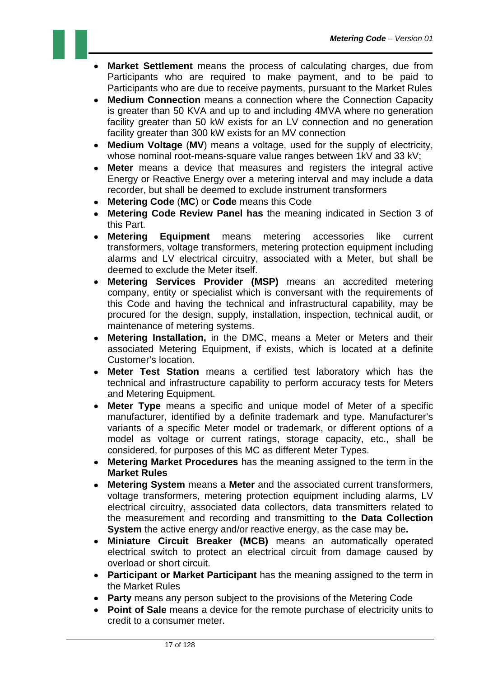- **Market Settlement** means the process of calculating charges, due from Participants who are required to make payment, and to be paid to Participants who are due to receive payments, pursuant to the Market Rules
- **Medium Connection** means a connection where the Connection Capacity is greater than 50 KVA and up to and including 4MVA where no generation facility greater than 50 kW exists for an LV connection and no generation facility greater than 300 kW exists for an MV connection
- **Medium Voltage** (**MV**) means a voltage, used for the supply of electricity, whose nominal root-means-square value ranges between 1kV and 33 kV;
- **Meter** means a device that measures and registers the integral active Energy or Reactive Energy over a metering interval and may include a data recorder, but shall be deemed to exclude instrument transformers
- **Metering Code** (**MC**) or **Code** means this Code
- **Metering Code Review Panel has** the meaning indicated in Section 3 of this Part.
- **Metering Equipment** means metering accessories like current transformers, voltage transformers, metering protection equipment including alarms and LV electrical circuitry, associated with a Meter, but shall be deemed to exclude the Meter itself.
- **Metering Services Provider (MSP)** means an accredited metering company, entity or specialist which is conversant with the requirements of this Code and having the technical and infrastructural capability, may be procured for the design, supply, installation, inspection, technical audit, or maintenance of metering systems.
- **Metering Installation,** in the DMC, means a Meter or Meters and their associated Metering Equipment, if exists, which is located at a definite Customer's location.
- **Meter Test Station** means a certified test laboratory which has the technical and infrastructure capability to perform accuracy tests for Meters and Metering Equipment.
- **Meter Type** means a specific and unique model of Meter of a specific manufacturer, identified by a definite trademark and type. Manufacturer's variants of a specific Meter model or trademark, or different options of a model as voltage or current ratings, storage capacity, etc., shall be considered, for purposes of this MC as different Meter Types.
- **Metering Market Procedures** has the meaning assigned to the term in the **Market Rules**
- **Metering System** means a **Meter** and the associated current transformers, voltage transformers, metering protection equipment including alarms, LV electrical circuitry, associated data collectors, data transmitters related to the measurement and recording and transmitting to **the Data Collection System** the active energy and/or reactive energy, as the case may be**.**
- **Miniature Circuit Breaker (MCB)** means an automatically operated electrical switch to protect an electrical circuit from damage caused by overload or short circuit.
- **Participant or Market Participant** has the meaning assigned to the term in the Market Rules
- **Party** means any person subject to the provisions of the Metering Code
- **Point of Sale** means a device for the remote purchase of electricity units to credit to a consumer meter.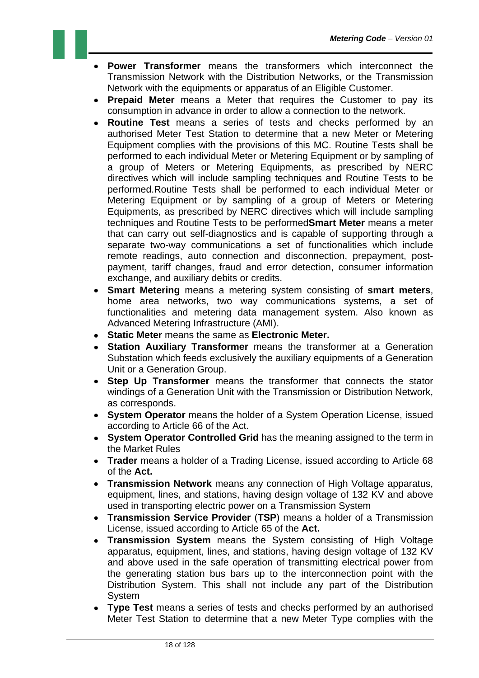- **Power Transformer** means the transformers which interconnect the Transmission Network with the Distribution Networks, or the Transmission Network with the equipments or apparatus of an Eligible Customer.
- **Prepaid Meter** means a Meter that requires the Customer to pay its consumption in advance in order to allow a connection to the network.
- **Routine Test** means a series of tests and checks performed by an authorised Meter Test Station to determine that a new Meter or Metering Equipment complies with the provisions of this MC. Routine Tests shall be performed to each individual Meter or Metering Equipment or by sampling of a group of Meters or Metering Equipments, as prescribed by NERC directives which will include sampling techniques and Routine Tests to be performed.Routine Tests shall be performed to each individual Meter or Metering Equipment or by sampling of a group of Meters or Metering Equipments, as prescribed by NERC directives which will include sampling techniques and Routine Tests to be performed**Smart Meter** means a meter that can carry out self-diagnostics and is capable of supporting through a separate two-way communications a set of functionalities which include remote readings, auto connection and disconnection, prepayment, postpayment, tariff changes, fraud and error detection, consumer information exchange, and auxiliary debits or credits.
- **Smart Metering** means a metering system consisting of **smart meters**, home area networks, two way communications systems, a set of functionalities and metering data management system. Also known as Advanced Metering Infrastructure (AMI).
- **Static Meter** means the same as **Electronic Meter.**
- **Station Auxiliary Transformer** means the transformer at a Generation Substation which feeds exclusively the auxiliary equipments of a Generation Unit or a Generation Group.
- **Step Up Transformer** means the transformer that connects the stator windings of a Generation Unit with the Transmission or Distribution Network, as corresponds.
- **System Operator** means the holder of a System Operation License, issued according to Article 66 of the Act.
- **System Operator Controlled Grid** has the meaning assigned to the term in the Market Rules
- **Trader** means a holder of a Trading License, issued according to Article 68 of the **Act.**
- **Transmission Network** means any connection of High Voltage apparatus, equipment, lines, and stations, having design voltage of 132 KV and above used in transporting electric power on a Transmission System
- **Transmission Service Provider** (**TSP**) means a holder of a Transmission License, issued according to Article 65 of the **Act.**
- **Transmission System** means the System consisting of High Voltage apparatus, equipment, lines, and stations, having design voltage of 132 KV and above used in the safe operation of transmitting electrical power from the generating station bus bars up to the interconnection point with the Distribution System. This shall not include any part of the Distribution **System**
- **Type Test** means a series of tests and checks performed by an authorised Meter Test Station to determine that a new Meter Type complies with the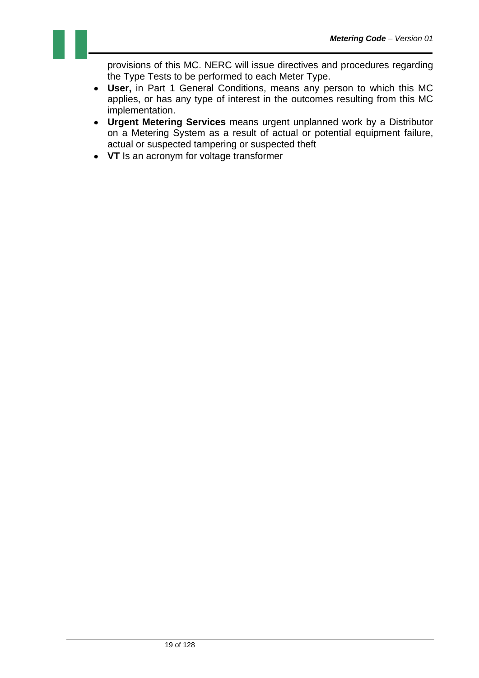provisions of this MC. NERC will issue directives and procedures regarding the Type Tests to be performed to each Meter Type.

- **User,** in Part 1 General Conditions, means any person to which this MC applies, or has any type of interest in the outcomes resulting from this MC implementation.
- **Urgent Metering Services** means urgent unplanned work by a Distributor on a Metering System as a result of actual or potential equipment failure, actual or suspected tampering or suspected theft
- **VT** Is an acronym for voltage transformer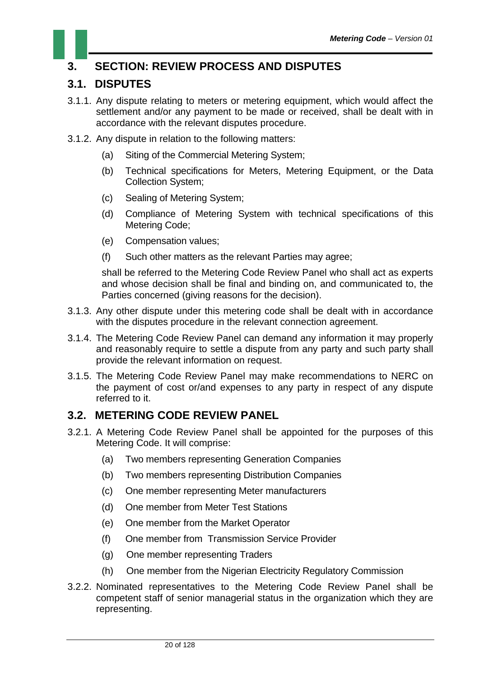### **3. SECTION: REVIEW PROCESS AND DISPUTES**

#### **3.1. DISPUTES**

- 3.1.1. Any dispute relating to meters or metering equipment, which would affect the settlement and/or any payment to be made or received, shall be dealt with in accordance with the relevant disputes procedure.
- 3.1.2. Any dispute in relation to the following matters:
	- (a) Siting of the Commercial Metering System;
	- (b) Technical specifications for Meters, Metering Equipment, or the Data Collection System;
	- (c) Sealing of Metering System;
	- (d) Compliance of Metering System with technical specifications of this Metering Code;
	- (e) Compensation values;
	- (f) Such other matters as the relevant Parties may agree;

shall be referred to the Metering Code Review Panel who shall act as experts and whose decision shall be final and binding on, and communicated to, the Parties concerned (giving reasons for the decision).

- 3.1.3. Any other dispute under this metering code shall be dealt with in accordance with the disputes procedure in the relevant connection agreement.
- 3.1.4. The Metering Code Review Panel can demand any information it may properly and reasonably require to settle a dispute from any party and such party shall provide the relevant information on request.
- 3.1.5. The Metering Code Review Panel may make recommendations to NERC on the payment of cost or/and expenses to any party in respect of any dispute referred to it.

#### **3.2. METERING CODE REVIEW PANEL**

- 3.2.1. A Metering Code Review Panel shall be appointed for the purposes of this Metering Code. It will comprise:
	- (a) Two members representing Generation Companies
	- (b) Two members representing Distribution Companies
	- (c) One member representing Meter manufacturers
	- (d) One member from Meter Test Stations
	- (e) One member from the Market Operator
	- (f) One member from Transmission Service Provider
	- (g) One member representing Traders
	- (h) One member from the Nigerian Electricity Regulatory Commission
- 3.2.2. Nominated representatives to the Metering Code Review Panel shall be competent staff of senior managerial status in the organization which they are representing.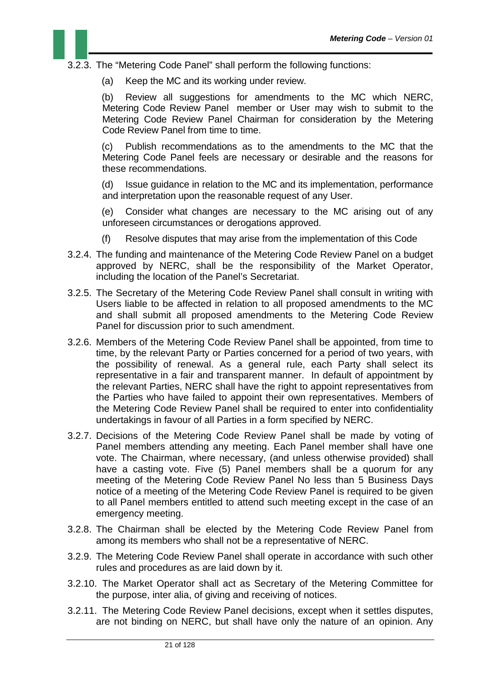- 3.2.3. The "Metering Code Panel" shall perform the following functions:
	- (a) Keep the MC and its working under review.

(b) Review all suggestions for amendments to the MC which NERC, Metering Code Review Panel member or User may wish to submit to the Metering Code Review Panel Chairman for consideration by the Metering Code Review Panel from time to time.

(c) Publish recommendations as to the amendments to the MC that the Metering Code Panel feels are necessary or desirable and the reasons for these recommendations.

(d) Issue guidance in relation to the MC and its implementation, performance and interpretation upon the reasonable request of any User.

(e) Consider what changes are necessary to the MC arising out of any unforeseen circumstances or derogations approved.

- (f) Resolve disputes that may arise from the implementation of this Code
- 3.2.4. The funding and maintenance of the Metering Code Review Panel on a budget approved by NERC, shall be the responsibility of the Market Operator, including the location of the Panel's Secretariat.
- 3.2.5. The Secretary of the Metering Code Review Panel shall consult in writing with Users liable to be affected in relation to all proposed amendments to the MC and shall submit all proposed amendments to the Metering Code Review Panel for discussion prior to such amendment.
- 3.2.6. Members of the Metering Code Review Panel shall be appointed, from time to time, by the relevant Party or Parties concerned for a period of two years, with the possibility of renewal. As a general rule, each Party shall select its representative in a fair and transparent manner. In default of appointment by the relevant Parties, NERC shall have the right to appoint representatives from the Parties who have failed to appoint their own representatives. Members of the Metering Code Review Panel shall be required to enter into confidentiality undertakings in favour of all Parties in a form specified by NERC.
- 3.2.7. Decisions of the Metering Code Review Panel shall be made by voting of Panel members attending any meeting. Each Panel member shall have one vote. The Chairman, where necessary, (and unless otherwise provided) shall have a casting vote. Five (5) Panel members shall be a quorum for any meeting of the Metering Code Review Panel No less than 5 Business Days notice of a meeting of the Metering Code Review Panel is required to be given to all Panel members entitled to attend such meeting except in the case of an emergency meeting.
- 3.2.8. The Chairman shall be elected by the Metering Code Review Panel from among its members who shall not be a representative of NERC.
- 3.2.9. The Metering Code Review Panel shall operate in accordance with such other rules and procedures as are laid down by it.
- 3.2.10. The Market Operator shall act as Secretary of the Metering Committee for the purpose, inter alia, of giving and receiving of notices.
- 3.2.11. The Metering Code Review Panel decisions, except when it settles disputes, are not binding on NERC, but shall have only the nature of an opinion. Any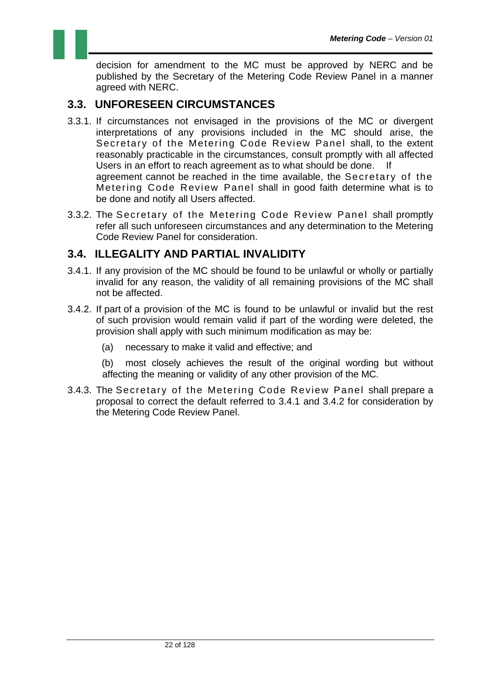

#### **3.3. UNFORESEEN CIRCUMSTANCES**

- 3.3.1. If circumstances not envisaged in the provisions of the MC or divergent interpretations of any provisions included in the MC should arise, the Secretary of the Metering Code Review Panel shall, to the extent reasonably practicable in the circumstances, consult promptly with all affected Users in an effort to reach agreement as to what should be done. If agreement cannot be reached in the time available, the Secretary of the Metering Code Review Panel shall in good faith determine what is to be done and notify all Users affected.
- 3.3.2. The Secretary of the Metering Code Review Panel shall promptly refer all such unforeseen circumstances and any determination to the Metering Code Review Panel for consideration.

#### **3.4. ILLEGALITY AND PARTIAL INVALIDITY**

- 3.4.1. If any provision of the MC should be found to be unlawful or wholly or partially invalid for any reason, the validity of all remaining provisions of the MC shall not be affected.
- 3.4.2. If part of a provision of the MC is found to be unlawful or invalid but the rest of such provision would remain valid if part of the wording were deleted, the provision shall apply with such minimum modification as may be:
	- (a) necessary to make it valid and effective; and
	- (b) most closely achieves the result of the original wording but without affecting the meaning or validity of any other provision of the MC.
- 3.4.3. The Secretary of the Metering Code Review Panel shall prepare a proposal to correct the default referred to 3.4.1 and 3.4.2 for consideration by the Metering Code Review Panel.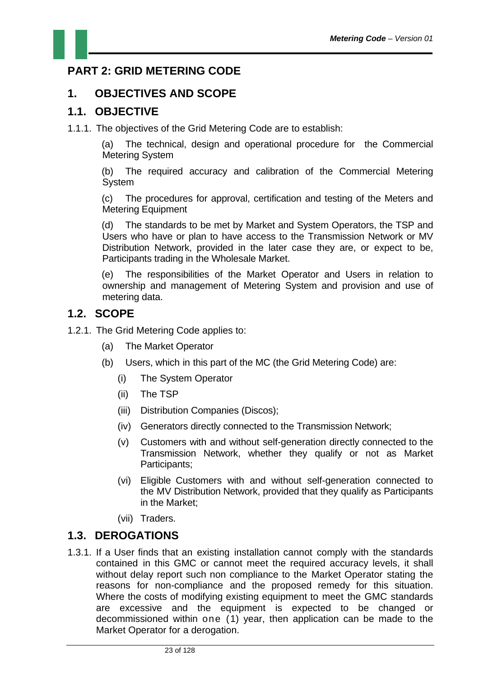#### **PART 2: GRID METERING CODE**

#### **1. OBJECTIVES AND SCOPE**

#### **1.1. OBJECTIVE**

1.1.1. The objectives of the Grid Metering Code are to establish:

(a) The technical, design and operational procedure for the Commercial Metering System

(b) The required accuracy and calibration of the Commercial Metering System

(c) The procedures for approval, certification and testing of the Meters and Metering Equipment

(d) The standards to be met by Market and System Operators, the TSP and Users who have or plan to have access to the Transmission Network or MV Distribution Network, provided in the later case they are, or expect to be, Participants trading in the Wholesale Market.

(e) The responsibilities of the Market Operator and Users in relation to ownership and management of Metering System and provision and use of metering data.

#### **1.2. SCOPE**

- 1.2.1. The Grid Metering Code applies to:
	- (a) The Market Operator
	- (b) Users, which in this part of the MC (the Grid Metering Code) are:
		- (i) The System Operator
		- (ii) The TSP
		- (iii) Distribution Companies (Discos);
		- (iv) Generators directly connected to the Transmission Network;
		- (v) Customers with and without self-generation directly connected to the Transmission Network, whether they qualify or not as Market Participants;
		- (vi) Eligible Customers with and without self-generation connected to the MV Distribution Network, provided that they qualify as Participants in the Market;
		- (vii) Traders.

#### **1.3. DEROGATIONS**

1.3.1. If a User finds that an existing installation cannot comply with the standards contained in this GMC or cannot meet the required accuracy levels, it shall without delay report such non compliance to the Market Operator stating the reasons for non-compliance and the proposed remedy for this situation. Where the costs of modifying existing equipment to meet the GMC standards are excessive and the equipment is expected to be changed or decommissioned within one (1) year, then application can be made to the Market Operator for a derogation.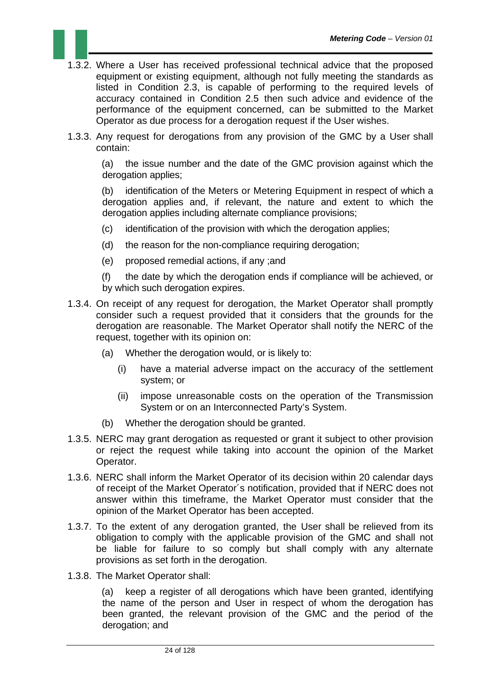- 1.3.2. Where a User has received professional technical advice that the proposed equipment or existing equipment, although not fully meeting the standards as listed in Condition 2.3, is capable of performing to the required levels of accuracy contained in Condition 2.5 then such advice and evidence of the performance of the equipment concerned, can be submitted to the Market Operator as due process for a derogation request if the User wishes.
- 1.3.3. Any request for derogations from any provision of the GMC by a User shall contain:

(a) the issue number and the date of the GMC provision against which the derogation applies;

(b) identification of the Meters or Metering Equipment in respect of which a derogation applies and, if relevant, the nature and extent to which the derogation applies including alternate compliance provisions;

- (c) identification of the provision with which the derogation applies;
- (d) the reason for the non-compliance requiring derogation;
- (e) proposed remedial actions, if any ;and

(f) the date by which the derogation ends if compliance will be achieved, or by which such derogation expires.

- 1.3.4. On receipt of any request for derogation, the Market Operator shall promptly consider such a request provided that it considers that the grounds for the derogation are reasonable. The Market Operator shall notify the NERC of the request, together with its opinion on:
	- (a) Whether the derogation would, or is likely to:
		- (i) have a material adverse impact on the accuracy of the settlement system; or
		- (ii) impose unreasonable costs on the operation of the Transmission System or on an Interconnected Party's System.
	- (b) Whether the derogation should be granted.
- 1.3.5. NERC may grant derogation as requested or grant it subject to other provision or reject the request while taking into account the opinion of the Market Operator.
- 1.3.6. NERC shall inform the Market Operator of its decision within 20 calendar days of receipt of the Market Operator´s notification, provided that if NERC does not answer within this timeframe, the Market Operator must consider that the opinion of the Market Operator has been accepted.
- 1.3.7. To the extent of any derogation granted, the User shall be relieved from its obligation to comply with the applicable provision of the GMC and shall not be liable for failure to so comply but shall comply with any alternate provisions as set forth in the derogation.
- 1.3.8. The Market Operator shall:

(a) keep a register of all derogations which have been granted, identifying the name of the person and User in respect of whom the derogation has been granted, the relevant provision of the GMC and the period of the derogation; and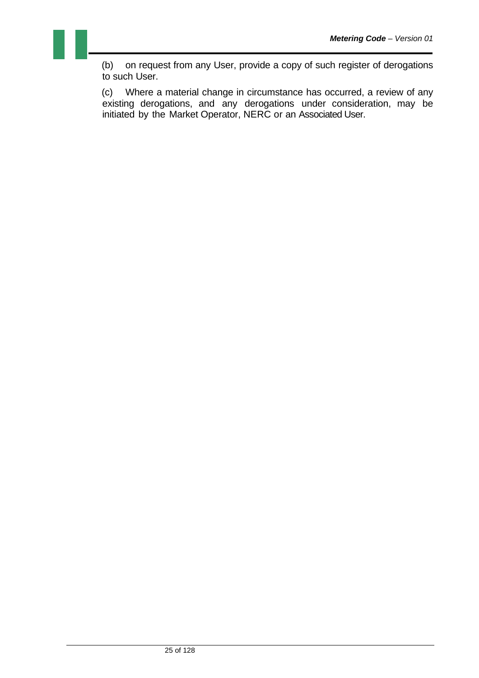(b) on request from any User, provide a copy of such register of derogations to such User.

(c) Where a material change in circumstance has occurred, a review of any existing derogations, and any derogations under consideration, may be initiated by the Market Operator, NERC or an Associated User.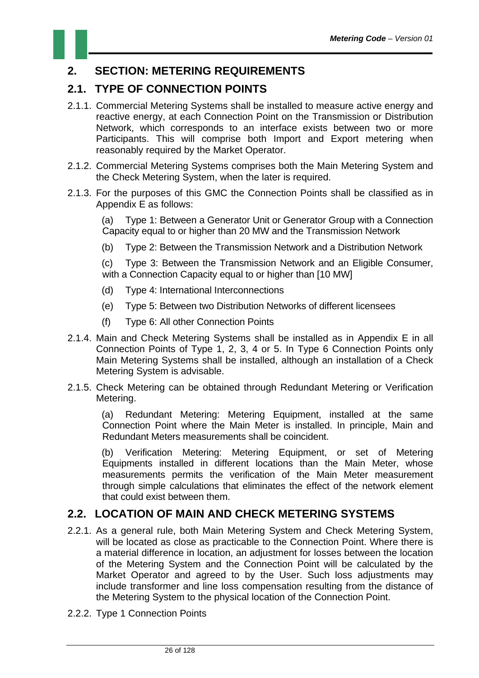#### **2. SECTION: METERING REQUIREMENTS**

#### **2.1. TYPE OF CONNECTION POINTS**

- 2.1.1. Commercial Metering Systems shall be installed to measure active energy and reactive energy, at each Connection Point on the Transmission or Distribution Network, which corresponds to an interface exists between two or more Participants. This will comprise both Import and Export metering when reasonably required by the Market Operator.
- 2.1.2. Commercial Metering Systems comprises both the Main Metering System and the Check Metering System, when the later is required.
- 2.1.3. For the purposes of this GMC the Connection Points shall be classified as in Appendix E as follows:

(a) Type 1: Between a Generator Unit or Generator Group with a Connection Capacity equal to or higher than 20 MW and the Transmission Network

(b) Type 2: Between the Transmission Network and a Distribution Network

(c) Type 3: Between the Transmission Network and an Eligible Consumer, with a Connection Capacity equal to or higher than [10 MW]

- (d) Type 4: International Interconnections
- (e) Type 5: Between two Distribution Networks of different licensees
- (f) Type 6: All other Connection Points
- 2.1.4. Main and Check Metering Systems shall be installed as in Appendix E in all Connection Points of Type 1, 2, 3, 4 or 5. In Type 6 Connection Points only Main Metering Systems shall be installed, although an installation of a Check Metering System is advisable.
- 2.1.5. Check Metering can be obtained through Redundant Metering or Verification Metering.

(a) Redundant Metering: Metering Equipment, installed at the same Connection Point where the Main Meter is installed. In principle, Main and Redundant Meters measurements shall be coincident.

(b) Verification Metering: Metering Equipment, or set of Metering Equipments installed in different locations than the Main Meter, whose measurements permits the verification of the Main Meter measurement through simple calculations that eliminates the effect of the network element that could exist between them.

#### **2.2. LOCATION OF MAIN AND CHECK METERING SYSTEMS**

- 2.2.1. As a general rule, both Main Metering System and Check Metering System, will be located as close as practicable to the Connection Point. Where there is a material difference in location, an adjustment for losses between the location of the Metering System and the Connection Point will be calculated by the Market Operator and agreed to by the User. Such loss adjustments may include transformer and line loss compensation resulting from the distance of the Metering System to the physical location of the Connection Point.
- 2.2.2. Type 1 Connection Points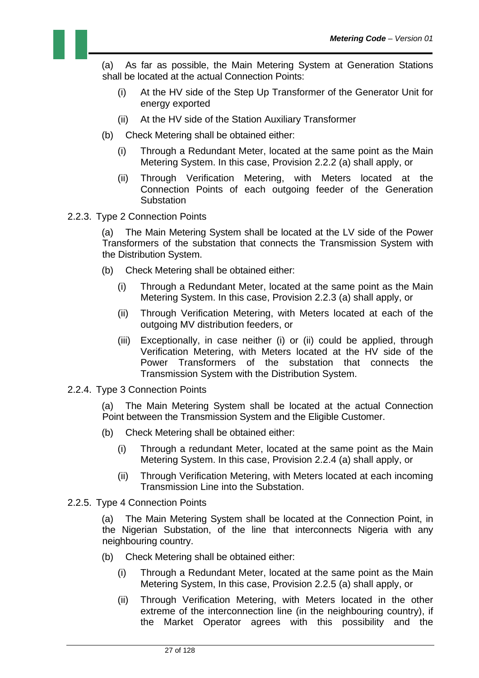(a) As far as possible, the Main Metering System at Generation Stations shall be located at the actual Connection Points:

- (i) At the HV side of the Step Up Transformer of the Generator Unit for energy exported
- (ii) At the HV side of the Station Auxiliary Transformer
- (b) Check Metering shall be obtained either:
	- (i) Through a Redundant Meter, located at the same point as the Main Metering System. In this case, Provision 2.2.2 (a) shall apply, or
	- (ii) Through Verification Metering, with Meters located at the Connection Points of each outgoing feeder of the Generation **Substation**
- 2.2.3. Type 2 Connection Points

(a) The Main Metering System shall be located at the LV side of the Power Transformers of the substation that connects the Transmission System with the Distribution System.

- (b) Check Metering shall be obtained either:
	- (i) Through a Redundant Meter, located at the same point as the Main Metering System. In this case, Provision 2.2.3 (a) shall apply, or
	- (ii) Through Verification Metering, with Meters located at each of the outgoing MV distribution feeders, or
	- (iii) Exceptionally, in case neither (i) or (ii) could be applied, through Verification Metering, with Meters located at the HV side of the Power Transformers of the substation that connects the Transmission System with the Distribution System.
- 2.2.4. Type 3 Connection Points

(a) The Main Metering System shall be located at the actual Connection Point between the Transmission System and the Eligible Customer.

- (b) Check Metering shall be obtained either:
	- (i) Through a redundant Meter, located at the same point as the Main Metering System. In this case, Provision 2.2.4 (a) shall apply, or
	- (ii) Through Verification Metering, with Meters located at each incoming Transmission Line into the Substation.
- 2.2.5. Type 4 Connection Points

(a) The Main Metering System shall be located at the Connection Point, in the Nigerian Substation, of the line that interconnects Nigeria with any neighbouring country.

- (b) Check Metering shall be obtained either:
	- (i) Through a Redundant Meter, located at the same point as the Main Metering System, In this case, Provision 2.2.5 (a) shall apply, or
	- (ii) Through Verification Metering, with Meters located in the other extreme of the interconnection line (in the neighbouring country), if the Market Operator agrees with this possibility and the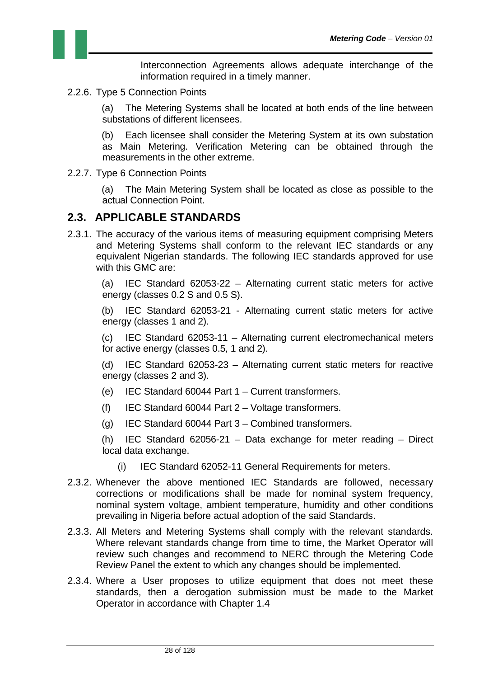

Interconnection Agreements allows adequate interchange of the information required in a timely manner.

2.2.6. Type 5 Connection Points

(a) The Metering Systems shall be located at both ends of the line between substations of different licensees.

(b) Each licensee shall consider the Metering System at its own substation as Main Metering. Verification Metering can be obtained through the measurements in the other extreme.

2.2.7. Type 6 Connection Points

(a) The Main Metering System shall be located as close as possible to the actual Connection Point.

#### **2.3. APPLICABLE STANDARDS**

2.3.1. The accuracy of the various items of measuring equipment comprising Meters and Metering Systems shall conform to the relevant IEC standards or any equivalent Nigerian standards. The following IEC standards approved for use with this GMC are:

(a) IEC Standard 62053-22 – Alternating current static meters for active energy (classes 0.2 S and 0.5 S).

(b) IEC Standard 62053-21 - Alternating current static meters for active energy (classes 1 and 2).

(c) IEC Standard 62053-11 – Alternating current electromechanical meters for active energy (classes 0.5, 1 and 2).

(d) IEC Standard 62053-23 – Alternating current static meters for reactive energy (classes 2 and 3).

- (e) IEC Standard 60044 Part 1 Current transformers.
- $(f)$  IEC Standard 60044 Part 2 Voltage transformers.
- (g) IEC Standard 60044 Part 3 Combined transformers.

(h) IEC Standard 62056-21 – Data exchange for meter reading – Direct local data exchange.

- (i) IEC Standard 62052-11 General Requirements for meters.
- 2.3.2. Whenever the above mentioned IEC Standards are followed, necessary corrections or modifications shall be made for nominal system frequency, nominal system voltage, ambient temperature, humidity and other conditions prevailing in Nigeria before actual adoption of the said Standards.
- 2.3.3. All Meters and Metering Systems shall comply with the relevant standards. Where relevant standards change from time to time, the Market Operator will review such changes and recommend to NERC through the Metering Code Review Panel the extent to which any changes should be implemented.
- 2.3.4. Where a User proposes to utilize equipment that does not meet these standards, then a derogation submission must be made to the Market Operator in accordance with Chapter 1.4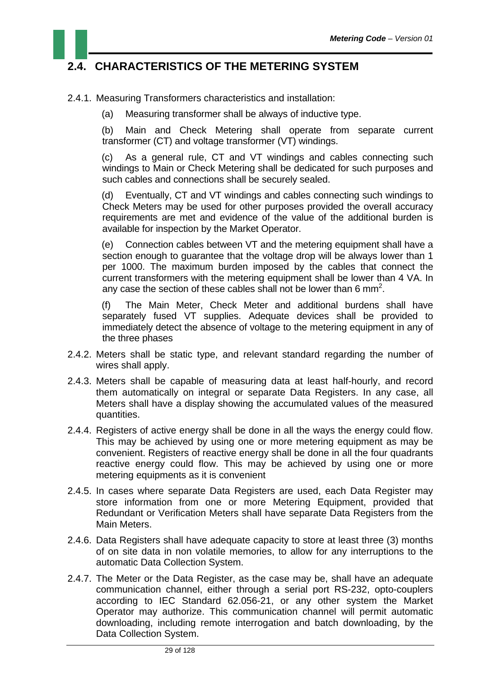

- 2.4.1. Measuring Transformers characteristics and installation:
	- (a) Measuring transformer shall be always of inductive type.

(b) Main and Check Metering shall operate from separate current transformer (CT) and voltage transformer (VT) windings.

(c) As a general rule, CT and VT windings and cables connecting such windings to Main or Check Metering shall be dedicated for such purposes and such cables and connections shall be securely sealed.

(d) Eventually, CT and VT windings and cables connecting such windings to Check Meters may be used for other purposes provided the overall accuracy requirements are met and evidence of the value of the additional burden is available for inspection by the Market Operator.

(e) Connection cables between VT and the metering equipment shall have a section enough to guarantee that the voltage drop will be always lower than 1 per 1000. The maximum burden imposed by the cables that connect the current transformers with the metering equipment shall be lower than 4 VA. In any case the section of these cables shall not be lower than 6 mm<sup>2</sup>.

(f) The Main Meter, Check Meter and additional burdens shall have separately fused VT supplies. Adequate devices shall be provided to immediately detect the absence of voltage to the metering equipment in any of the three phases

- 2.4.2. Meters shall be static type, and relevant standard regarding the number of wires shall apply.
- 2.4.3. Meters shall be capable of measuring data at least half-hourly, and record them automatically on integral or separate Data Registers. In any case, all Meters shall have a display showing the accumulated values of the measured quantities.
- 2.4.4. Registers of active energy shall be done in all the ways the energy could flow. This may be achieved by using one or more metering equipment as may be convenient. Registers of reactive energy shall be done in all the four quadrants reactive energy could flow. This may be achieved by using one or more metering equipments as it is convenient
- 2.4.5. In cases where separate Data Registers are used, each Data Register may store information from one or more Metering Equipment, provided that Redundant or Verification Meters shall have separate Data Registers from the Main Meters.
- 2.4.6. Data Registers shall have adequate capacity to store at least three (3) months of on site data in non volatile memories, to allow for any interruptions to the automatic Data Collection System.
- 2.4.7. The Meter or the Data Register, as the case may be, shall have an adequate communication channel, either through a serial port RS-232, opto-couplers according to IEC Standard 62.056-21, or any other system the Market Operator may authorize. This communication channel will permit automatic downloading, including remote interrogation and batch downloading, by the Data Collection System.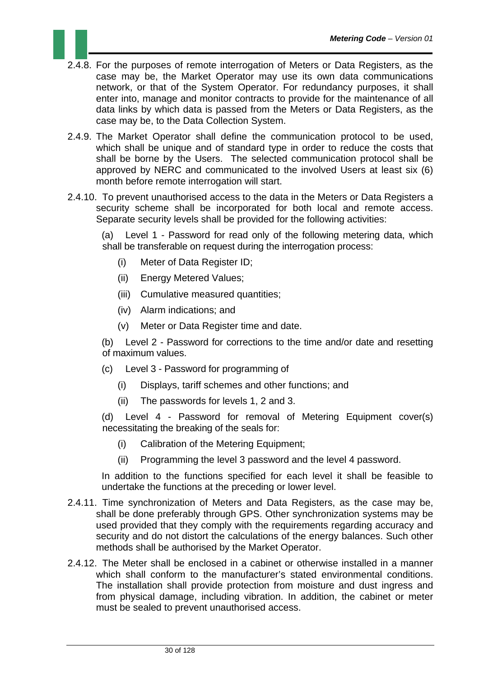- 2.4.8. For the purposes of remote interrogation of Meters or Data Registers, as the case may be, the Market Operator may use its own data communications network, or that of the System Operator. For redundancy purposes, it shall enter into, manage and monitor contracts to provide for the maintenance of all data links by which data is passed from the Meters or Data Registers, as the case may be, to the Data Collection System.
- 2.4.9. The Market Operator shall define the communication protocol to be used, which shall be unique and of standard type in order to reduce the costs that shall be borne by the Users. The selected communication protocol shall be approved by NERC and communicated to the involved Users at least six (6) month before remote interrogation will start.
- 2.4.10. To prevent unauthorised access to the data in the Meters or Data Registers a security scheme shall be incorporated for both local and remote access. Separate security levels shall be provided for the following activities:

(a) Level 1 - Password for read only of the following metering data, which shall be transferable on request during the interrogation process:

- (i) Meter of Data Register ID;
- (ii) Energy Metered Values;
- (iii) Cumulative measured quantities;
- (iv) Alarm indications; and
- (v) Meter or Data Register time and date.

(b) Level 2 - Password for corrections to the time and/or date and resetting of maximum values.

- (c) Level 3 Password for programming of
	- (i) Displays, tariff schemes and other functions; and
	- (ii) The passwords for levels 1, 2 and 3.

(d) Level 4 - Password for removal of Metering Equipment cover(s) necessitating the breaking of the seals for:

- (i) Calibration of the Metering Equipment;
- (ii) Programming the level 3 password and the level 4 password.

In addition to the functions specified for each level it shall be feasible to undertake the functions at the preceding or lower level.

- 2.4.11. Time synchronization of Meters and Data Registers, as the case may be, shall be done preferably through GPS. Other synchronization systems may be used provided that they comply with the requirements regarding accuracy and security and do not distort the calculations of the energy balances. Such other methods shall be authorised by the Market Operator.
- 2.4.12. The Meter shall be enclosed in a cabinet or otherwise installed in a manner which shall conform to the manufacturer's stated environmental conditions. The installation shall provide protection from moisture and dust ingress and from physical damage, including vibration. In addition, the cabinet or meter must be sealed to prevent unauthorised access.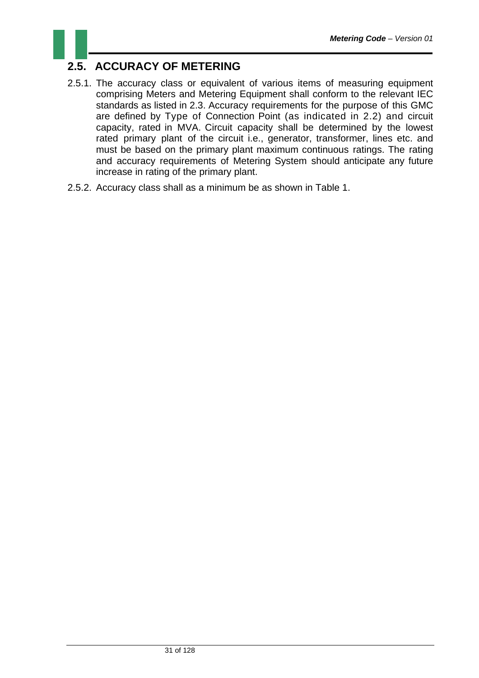## **2.5. ACCURACY OF METERING**

- 2.5.1. The accuracy class or equivalent of various items of measuring equipment comprising Meters and Metering Equipment shall conform to the relevant IEC standards as listed in 2.3. Accuracy requirements for the purpose of this GMC are defined by Type of Connection Point (as indicated in 2.2) and circuit capacity, rated in MVA. Circuit capacity shall be determined by the lowest rated primary plant of the circuit i.e., generator, transformer, lines etc. and must be based on the primary plant maximum continuous ratings. The rating and accuracy requirements of Metering System should anticipate any future increase in rating of the primary plant.
- 2.5.2. Accuracy class shall as a minimum be as shown in Table 1.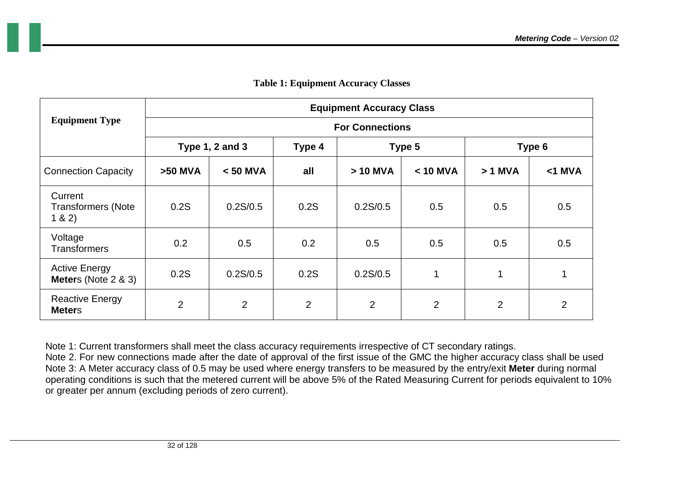|                                                        | <b>Equipment Accuracy Class</b> |                |                |          |            |          |                |  |
|--------------------------------------------------------|---------------------------------|----------------|----------------|----------|------------|----------|----------------|--|
| <b>Equipment Type</b>                                  | <b>For Connections</b>          |                |                |          |            |          |                |  |
|                                                        | Type $1, 2$ and $3$             |                | Type 4         | Type 5   |            | Type 6   |                |  |
| <b>Connection Capacity</b>                             | >50 MVA                         | $< 50$ MVA     | all            | > 10 MVA | $< 10$ MVA | $>1$ MVA | $<$ 1 MVA      |  |
| Current<br><b>Transformers (Note</b><br>1 & 2)         | 0.2S                            | 0.2S/0.5       | 0.2S           | 0.2S/0.5 | 0.5        | 0.5      | 0.5            |  |
| Voltage<br><b>Transformers</b>                         | 0.2                             | 0.5            | 0.2            | 0.5      | 0.5        | 0.5      | 0.5            |  |
| <b>Active Energy</b><br><b>Meters</b> (Note $2 \& 3$ ) | 0.2S                            | 0.2S/0.5       | 0.2S           | 0.2S/0.5 | 1          | 1        | 1              |  |
| <b>Reactive Energy</b><br><b>Meters</b>                | $\overline{2}$                  | $\overline{2}$ | $\overline{2}$ | 2        | 2          | 2        | $\overline{2}$ |  |

#### **Table 1: Equipment Accuracy Classes**

Note 1: Current transformers shall meet the class accuracy requirements irrespective of CT secondary ratings. Note 2. For new connections made after the date of approval of the first issue of the GMC the higher accuracy class shall be used Note 3: A Meter accuracy class of 0.5 may be used where energy transfers to be measured by the entry/exit **Meter** during normal operating conditions is such that the metered current will be above 5% of the Rated Measuring Current for periods equivalent to 10% or greater per annum (excluding periods of zero current).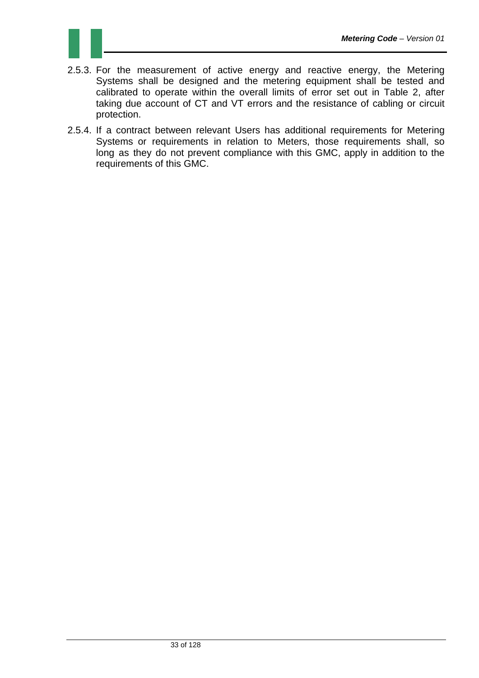

- 2.5.3. For the measurement of active energy and reactive energy, the Metering Systems shall be designed and the metering equipment shall be tested and calibrated to operate within the overall limits of error set out in Table 2, after taking due account of CT and VT errors and the resistance of cabling or circuit protection.
- 2.5.4. If a contract between relevant Users has additional requirements for Metering Systems or requirements in relation to Meters, those requirements shall, so long as they do not prevent compliance with this GMC, apply in addition to the requirements of this GMC.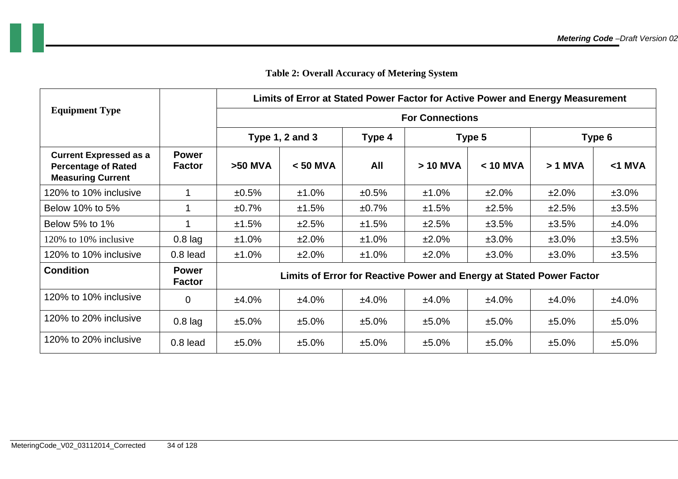|                                                                                         |                               | Limits of Error at Stated Power Factor for Active Power and Energy Measurement |            |          |            |            |           |           |  |
|-----------------------------------------------------------------------------------------|-------------------------------|--------------------------------------------------------------------------------|------------|----------|------------|------------|-----------|-----------|--|
| <b>Equipment Type</b>                                                                   |                               | <b>For Connections</b>                                                         |            |          |            |            |           |           |  |
|                                                                                         |                               | <b>Type 1, 2 and 3</b>                                                         | Type 4     | Type 5   |            | Type 6     |           |           |  |
| <b>Current Expressed as a</b><br><b>Percentage of Rated</b><br><b>Measuring Current</b> | <b>Power</b><br><b>Factor</b> | $>50$ MVA                                                                      | $< 50$ MVA | All      | $> 10$ MVA | $< 10$ MVA | $> 1$ MVA | $<$ 1 MVA |  |
| 120% to 10% inclusive                                                                   |                               | $±0.5\%$                                                                       | ±1.0%      | ±0.5%    | ±1.0%      | ±2.0%      | ±2.0%     | ±3.0%     |  |
| Below 10% to 5%                                                                         |                               | ±0.7%                                                                          | ±1.5%      | ±0.7%    | ±1.5%      | ±2.5%      | ±2.5%     | ±3.5%     |  |
| Below 5% to 1%                                                                          |                               | ±1.5%                                                                          | ±2.5%      | ±1.5%    | ±2.5%      | ±3.5%      | ±3.5%     | ±4.0%     |  |
| 120% to 10% inclusive                                                                   | $0.8$ lag                     | ±1.0%                                                                          | ±2.0%      | ±1.0%    | ±2.0%      | $±3.0\%$   | $±3.0\%$  | ±3.5%     |  |
| 120% to 10% inclusive                                                                   | $0.8$ lead                    | $±1.0\%$                                                                       | ±2.0%      | $±1.0\%$ | ±2.0%      | $±3.0\%$   | $±3.0\%$  | ±3.5%     |  |
| <b>Condition</b>                                                                        | <b>Power</b><br><b>Factor</b> | Limits of Error for Reactive Power and Energy at Stated Power Factor           |            |          |            |            |           |           |  |
| 120% to 10% inclusive                                                                   | $\overline{0}$                | ±4.0%                                                                          | ±4.0%      | ±4.0%    | ±4.0%      | ±4.0%      | $±4.0\%$  | ±4.0%     |  |
| 120% to 20% inclusive                                                                   | $0.8$ lag                     | ±5.0%                                                                          | ±5.0%      | ±5.0%    | ±5.0%      | $±5.0\%$   | $±5.0\%$  | $±5.0\%$  |  |
| 120% to 20% inclusive                                                                   | $0.8$ lead                    | ±5.0%                                                                          | ±5.0%      | ±5.0%    | ±5.0%      | ±5.0%      | ±5.0%     | ±5.0%     |  |

#### **Table 2: Overall Accuracy of Metering System**

a ka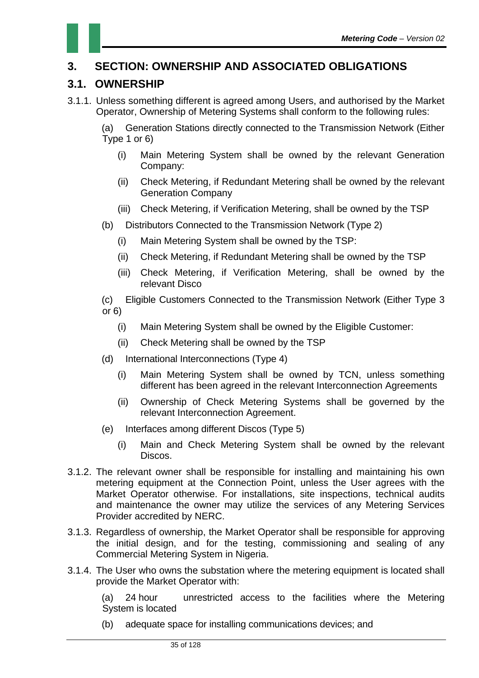

#### **3.1. OWNERSHIP**

3.1.1. Unless something different is agreed among Users, and authorised by the Market Operator, Ownership of Metering Systems shall conform to the following rules:

(a) Generation Stations directly connected to the Transmission Network (Either Type 1 or 6)

- (i) Main Metering System shall be owned by the relevant Generation Company:
- (ii) Check Metering, if Redundant Metering shall be owned by the relevant Generation Company
- (iii) Check Metering, if Verification Metering, shall be owned by the TSP
- (b) Distributors Connected to the Transmission Network (Type 2)
	- (i) Main Metering System shall be owned by the TSP:
	- (ii) Check Metering, if Redundant Metering shall be owned by the TSP
	- (iii) Check Metering, if Verification Metering, shall be owned by the relevant Disco
- (c) Eligible Customers Connected to the Transmission Network (Either Type 3 or 6)
	- (i) Main Metering System shall be owned by the Eligible Customer:
	- (ii) Check Metering shall be owned by the TSP
- (d) International Interconnections (Type 4)
	- (i) Main Metering System shall be owned by TCN, unless something different has been agreed in the relevant Interconnection Agreements
	- (ii) Ownership of Check Metering Systems shall be governed by the relevant Interconnection Agreement.
- (e) Interfaces among different Discos (Type 5)
	- (i) Main and Check Metering System shall be owned by the relevant Discos.
- 3.1.2. The relevant owner shall be responsible for installing and maintaining his own metering equipment at the Connection Point, unless the User agrees with the Market Operator otherwise. For installations, site inspections, technical audits and maintenance the owner may utilize the services of any Metering Services Provider accredited by NERC.
- 3.1.3. Regardless of ownership, the Market Operator shall be responsible for approving the initial design, and for the testing, commissioning and sealing of any Commercial Metering System in Nigeria.
- 3.1.4. The User who owns the substation where the metering equipment is located shall provide the Market Operator with:

(a) 24 hour unrestricted access to the facilities where the Metering System is located

(b) adequate space for installing communications devices; and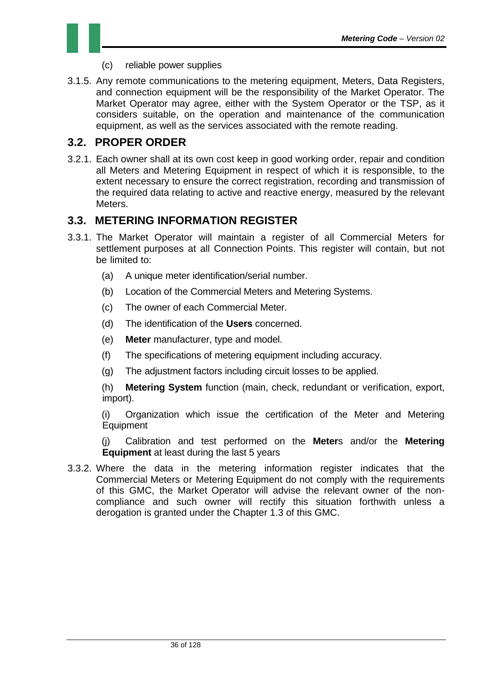- (c) reliable power supplies
- 3.1.5. Any remote communications to the metering equipment, Meters, Data Registers, and connection equipment will be the responsibility of the Market Operator. The Market Operator may agree, either with the System Operator or the TSP, as it considers suitable, on the operation and maintenance of the communication equipment, as well as the services associated with the remote reading.

#### **3.2. PROPER ORDER**

3.2.1. Each owner shall at its own cost keep in good working order, repair and condition all Meters and Metering Equipment in respect of which it is responsible, to the extent necessary to ensure the correct registration, recording and transmission of the required data relating to active and reactive energy, measured by the relevant Meters.

#### **3.3. METERING INFORMATION REGISTER**

- 3.3.1. The Market Operator will maintain a register of all Commercial Meters for settlement purposes at all Connection Points. This register will contain, but not be limited to:
	- (a) A unique meter identification/serial number.
	- (b) Location of the Commercial Meters and Metering Systems.
	- (c) The owner of each Commercial Meter.
	- (d) The identification of the **Users** concerned.
	- (e) **Meter** manufacturer, type and model.
	- (f) The specifications of metering equipment including accuracy.
	- (g) The adjustment factors including circuit losses to be applied.

(h) **Metering System** function (main, check, redundant or verification, export, import).

(i) Organization which issue the certification of the Meter and Metering Equipment

(j) Calibration and test performed on the **Meter**s and/or the **Metering Equipment** at least during the last 5 years

3.3.2. Where the data in the metering information register indicates that the Commercial Meters or Metering Equipment do not comply with the requirements of this GMC, the Market Operator will advise the relevant owner of the noncompliance and such owner will rectify this situation forthwith unless a derogation is granted under the Chapter 1.3 of this GMC.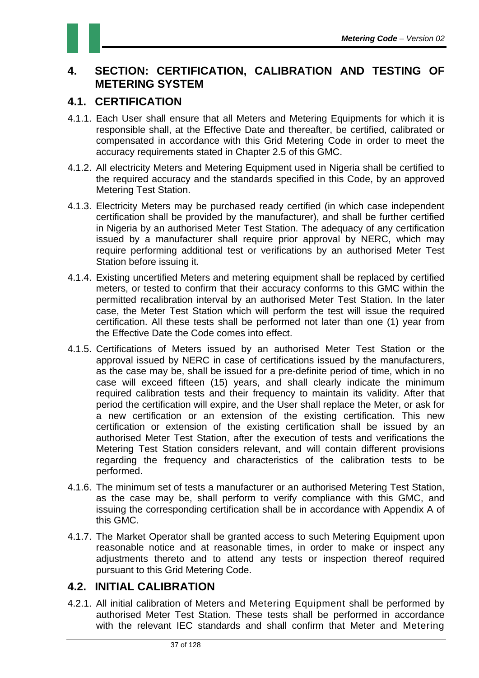### **4. SECTION: CERTIFICATION, CALIBRATION AND TESTING OF METERING SYSTEM**

### **4.1. CERTIFICATION**

- 4.1.1. Each User shall ensure that all Meters and Metering Equipments for which it is responsible shall, at the Effective Date and thereafter, be certified, calibrated or compensated in accordance with this Grid Metering Code in order to meet the accuracy requirements stated in Chapter 2.5 of this GMC.
- 4.1.2. All electricity Meters and Metering Equipment used in Nigeria shall be certified to the required accuracy and the standards specified in this Code, by an approved Metering Test Station.
- 4.1.3. Electricity Meters may be purchased ready certified (in which case independent certification shall be provided by the manufacturer), and shall be further certified in Nigeria by an authorised Meter Test Station. The adequacy of any certification issued by a manufacturer shall require prior approval by NERC, which may require performing additional test or verifications by an authorised Meter Test Station before issuing it.
- 4.1.4. Existing uncertified Meters and metering equipment shall be replaced by certified meters, or tested to confirm that their accuracy conforms to this GMC within the permitted recalibration interval by an authorised Meter Test Station. In the later case, the Meter Test Station which will perform the test will issue the required certification. All these tests shall be performed not later than one (1) year from the Effective Date the Code comes into effect.
- 4.1.5. Certifications of Meters issued by an authorised Meter Test Station or the approval issued by NERC in case of certifications issued by the manufacturers, as the case may be, shall be issued for a pre-definite period of time, which in no case will exceed fifteen (15) years, and shall clearly indicate the minimum required calibration tests and their frequency to maintain its validity. After that period the certification will expire, and the User shall replace the Meter, or ask for a new certification or an extension of the existing certification. This new certification or extension of the existing certification shall be issued by an authorised Meter Test Station, after the execution of tests and verifications the Metering Test Station considers relevant, and will contain different provisions regarding the frequency and characteristics of the calibration tests to be performed.
- 4.1.6. The minimum set of tests a manufacturer or an authorised Metering Test Station, as the case may be, shall perform to verify compliance with this GMC, and issuing the corresponding certification shall be in accordance with Appendix A of this GMC.
- 4.1.7. The Market Operator shall be granted access to such Metering Equipment upon reasonable notice and at reasonable times, in order to make or inspect any adjustments thereto and to attend any tests or inspection thereof required pursuant to this Grid Metering Code.

### **4.2. INITIAL CALIBRATION**

4.2.1. All initial calibration of Meters and Metering Equipment shall be performed by authorised Meter Test Station. These tests shall be performed in accordance with the relevant IEC standards and shall confirm that Meter and Metering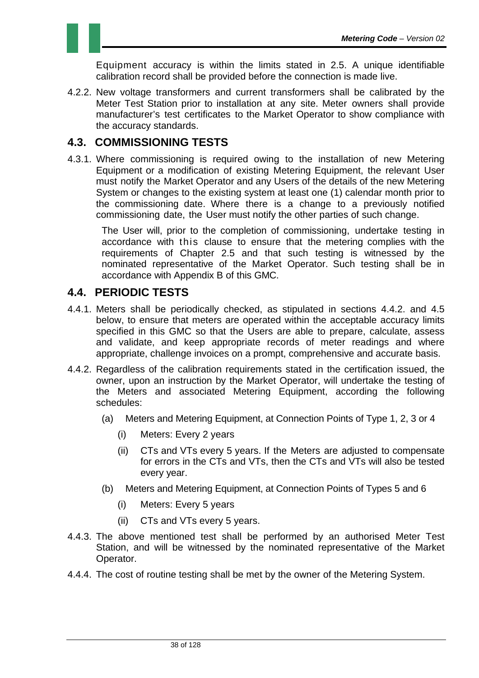

4.2.2. New voltage transformers and current transformers shall be calibrated by the Meter Test Station prior to installation at any site. Meter owners shall provide manufacturer's test certificates to the Market Operator to show compliance with the accuracy standards.

#### **4.3. COMMISSIONING TESTS**

4.3.1. Where commissioning is required owing to the installation of new Metering Equipment or a modification of existing Metering Equipment, the relevant User must notify the Market Operator and any Users of the details of the new Metering System or changes to the existing system at least one (1) calendar month prior to the commissioning date. Where there is a change to a previously notified commissioning date, the User must notify the other parties of such change.

The User will, prior to the completion of commissioning, undertake testing in accordance with this clause to ensure that the metering complies with the requirements of Chapter 2.5 and that such testing is witnessed by the nominated representative of the Market Operator. Such testing shall be in accordance with Appendix B of this GMC.

#### **4.4. PERIODIC TESTS**

- 4.4.1. Meters shall be periodically checked, as stipulated in sections 4.4.2. and 4.5 below, to ensure that meters are operated within the acceptable accuracy limits specified in this GMC so that the Users are able to prepare, calculate, assess and validate, and keep appropriate records of meter readings and where appropriate, challenge invoices on a prompt, comprehensive and accurate basis.
- 4.4.2. Regardless of the calibration requirements stated in the certification issued, the owner, upon an instruction by the Market Operator, will undertake the testing of the Meters and associated Metering Equipment, according the following schedules:
	- (a) Meters and Metering Equipment, at Connection Points of Type 1, 2, 3 or 4
		- (i) Meters: Every 2 years
		- (ii) CTs and VTs every 5 years. If the Meters are adjusted to compensate for errors in the CTs and VTs, then the CTs and VTs will also be tested every year.
	- (b) Meters and Metering Equipment, at Connection Points of Types 5 and 6
		- (i) Meters: Every 5 years
		- (ii) CTs and VTs every 5 years.
- 4.4.3. The above mentioned test shall be performed by an authorised Meter Test Station, and will be witnessed by the nominated representative of the Market Operator.
- 4.4.4. The cost of routine testing shall be met by the owner of the Metering System.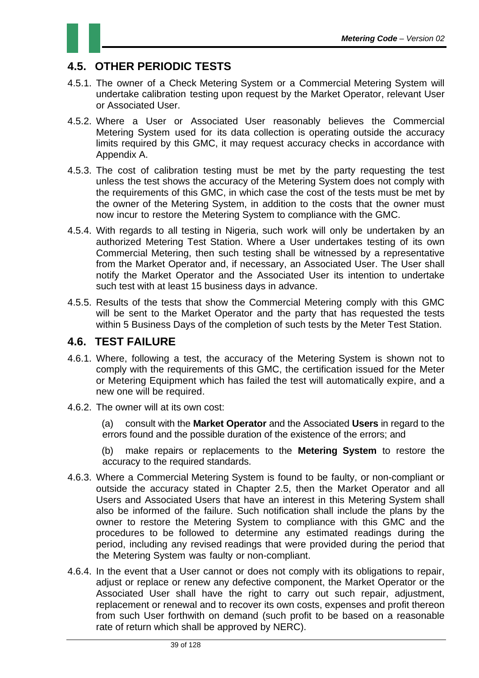

### **4.5. OTHER PERIODIC TESTS**

- 4.5.1. The owner of a Check Metering System or a Commercial Metering System will undertake calibration testing upon request by the Market Operator, relevant User or Associated User.
- 4.5.2. Where a User or Associated User reasonably believes the Commercial Metering System used for its data collection is operating outside the accuracy limits required by this GMC, it may request accuracy checks in accordance with Appendix A.
- 4.5.3. The cost of calibration testing must be met by the party requesting the test unless the test shows the accuracy of the Metering System does not comply with the requirements of this GMC, in which case the cost of the tests must be met by the owner of the Metering System, in addition to the costs that the owner must now incur to restore the Metering System to compliance with the GMC.
- 4.5.4. With regards to all testing in Nigeria, such work will only be undertaken by an authorized Metering Test Station. Where a User undertakes testing of its own Commercial Metering, then such testing shall be witnessed by a representative from the Market Operator and, if necessary, an Associated User. The User shall notify the Market Operator and the Associated User its intention to undertake such test with at least 15 business days in advance.
- 4.5.5. Results of the tests that show the Commercial Metering comply with this GMC will be sent to the Market Operator and the party that has requested the tests within 5 Business Days of the completion of such tests by the Meter Test Station.

#### **4.6. TEST FAILURE**

- 4.6.1. Where, following a test, the accuracy of the Metering System is shown not to comply with the requirements of this GMC, the certification issued for the Meter or Metering Equipment which has failed the test will automatically expire, and a new one will be required.
- 4.6.2. The owner will at its own cost:

(a) consult with the **Market Operator** and the Associated **Users** in regard to the errors found and the possible duration of the existence of the errors; and

(b) make repairs or replacements to the **Metering System** to restore the accuracy to the required standards.

- 4.6.3. Where a Commercial Metering System is found to be faulty, or non-compliant or outside the accuracy stated in Chapter 2.5, then the Market Operator and all Users and Associated Users that have an interest in this Metering System shall also be informed of the failure. Such notification shall include the plans by the owner to restore the Metering System to compliance with this GMC and the procedures to be followed to determine any estimated readings during the period, including any revised readings that were provided during the period that the Metering System was faulty or non-compliant.
- 4.6.4. In the event that a User cannot or does not comply with its obligations to repair, adjust or replace or renew any defective component, the Market Operator or the Associated User shall have the right to carry out such repair, adjustment, replacement or renewal and to recover its own costs, expenses and profit thereon from such User forthwith on demand (such profit to be based on a reasonable rate of return which shall be approved by NERC).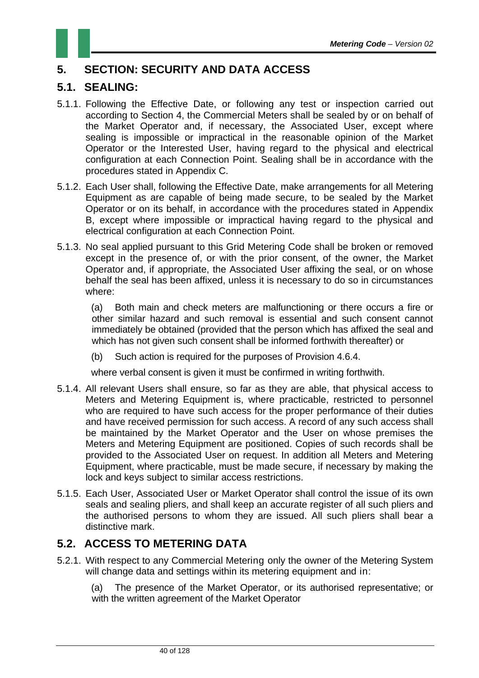### **5. SECTION: SECURITY AND DATA ACCESS**

### **5.1. SEALING:**

- 5.1.1. Following the Effective Date, or following any test or inspection carried out according to Section 4, the Commercial Meters shall be sealed by or on behalf of the Market Operator and, if necessary, the Associated User, except where sealing is impossible or impractical in the reasonable opinion of the Market Operator or the Interested User, having regard to the physical and electrical configuration at each Connection Point. Sealing shall be in accordance with the procedures stated in Appendix C.
- 5.1.2. Each User shall, following the Effective Date, make arrangements for all Metering Equipment as are capable of being made secure, to be sealed by the Market Operator or on its behalf, in accordance with the procedures stated in Appendix B, except where impossible or impractical having regard to the physical and electrical configuration at each Connection Point.
- 5.1.3. No seal applied pursuant to this Grid Metering Code shall be broken or removed except in the presence of, or with the prior consent, of the owner, the Market Operator and, if appropriate, the Associated User affixing the seal, or on whose behalf the seal has been affixed, unless it is necessary to do so in circumstances where:

(a) Both main and check meters are malfunctioning or there occurs a fire or other similar hazard and such removal is essential and such consent cannot immediately be obtained (provided that the person which has affixed the seal and which has not given such consent shall be informed forthwith thereafter) or

(b) Such action is required for the purposes of Provision 4.6.4.

where verbal consent is given it must be confirmed in writing forthwith.

- 5.1.4. All relevant Users shall ensure, so far as they are able, that physical access to Meters and Metering Equipment is, where practicable, restricted to personnel who are required to have such access for the proper performance of their duties and have received permission for such access. A record of any such access shall be maintained by the Market Operator and the User on whose premises the Meters and Metering Equipment are positioned. Copies of such records shall be provided to the Associated User on request. In addition all Meters and Metering Equipment, where practicable, must be made secure, if necessary by making the lock and keys subject to similar access restrictions.
- 5.1.5. Each User, Associated User or Market Operator shall control the issue of its own seals and sealing pliers, and shall keep an accurate register of all such pliers and the authorised persons to whom they are issued. All such pliers shall bear a distinctive mark.

#### **5.2. ACCESS TO METERING DATA**

5.2.1. With respect to any Commercial Metering only the owner of the Metering System will change data and settings within its metering equipment and in:

(a) The presence of the Market Operator, or its authorised representative; or with the written agreement of the Market Operator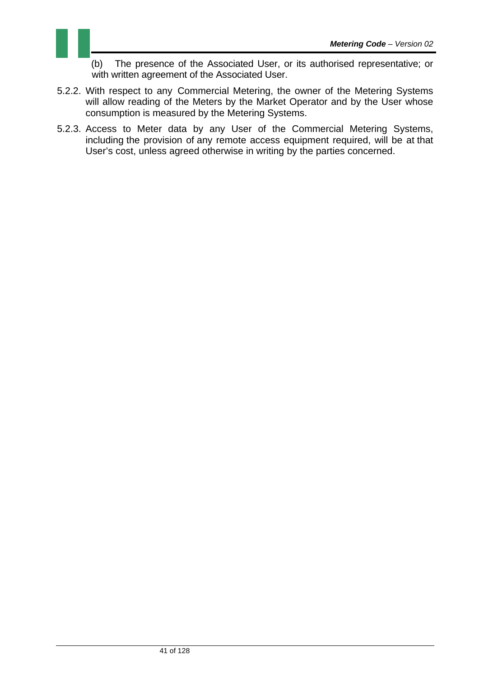(b) The presence of the Associated User, or its authorised representative; or with written agreement of the Associated User.

- 5.2.2. With respect to any Commercial Metering, the owner of the Metering Systems will allow reading of the Meters by the Market Operator and by the User whose consumption is measured by the Metering Systems.
- 5.2.3. Access to Meter data by any User of the Commercial Metering Systems, including the provision of any remote access equipment required, will be at that User's cost, unless agreed otherwise in writing by the parties concerned.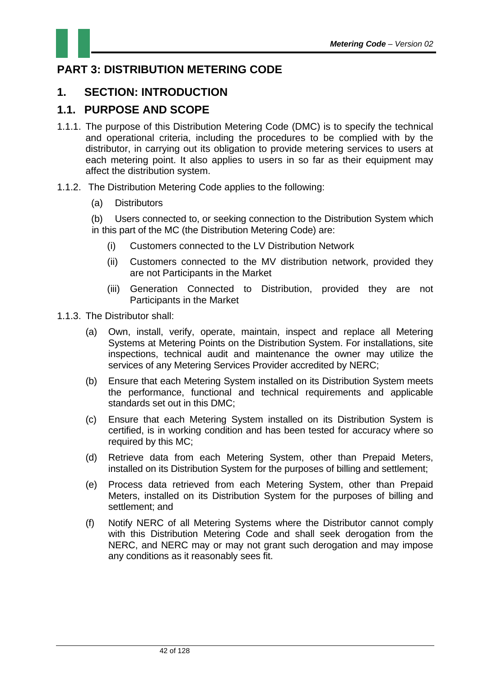

### **PART 3: DISTRIBUTION METERING CODE**

### **1. SECTION: INTRODUCTION**

### **1.1. PURPOSE AND SCOPE**

- 1.1.1. The purpose of this Distribution Metering Code (DMC) is to specify the technical and operational criteria, including the procedures to be complied with by the distributor, in carrying out its obligation to provide metering services to users at each metering point. It also applies to users in so far as their equipment may affect the distribution system.
- 1.1.2. The Distribution Metering Code applies to the following:
	- (a) Distributors

(b) Users connected to, or seeking connection to the Distribution System which in this part of the MC (the Distribution Metering Code) are:

- (i) Customers connected to the LV Distribution Network
- (ii) Customers connected to the MV distribution network, provided they are not Participants in the Market
- (iii) Generation Connected to Distribution, provided they are not Participants in the Market
- 1.1.3. The Distributor shall:
	- (a) Own, install, verify, operate, maintain, inspect and replace all Metering Systems at Metering Points on the Distribution System. For installations, site inspections, technical audit and maintenance the owner may utilize the services of any Metering Services Provider accredited by NERC;
	- (b) Ensure that each Metering System installed on its Distribution System meets the performance, functional and technical requirements and applicable standards set out in this DMC;
	- (c) Ensure that each Metering System installed on its Distribution System is certified, is in working condition and has been tested for accuracy where so required by this MC;
	- (d) Retrieve data from each Metering System, other than Prepaid Meters, installed on its Distribution System for the purposes of billing and settlement;
	- (e) Process data retrieved from each Metering System, other than Prepaid Meters, installed on its Distribution System for the purposes of billing and settlement; and
	- (f) Notify NERC of all Metering Systems where the Distributor cannot comply with this Distribution Metering Code and shall seek derogation from the NERC, and NERC may or may not grant such derogation and may impose any conditions as it reasonably sees fit.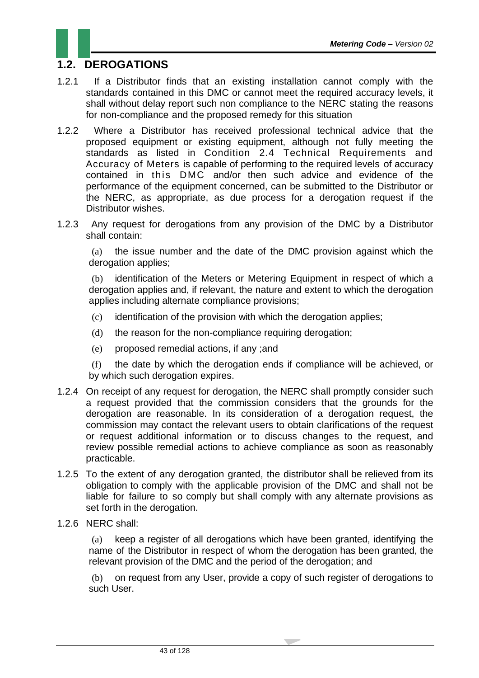### **1.2. DEROGATIONS**

- 1.2.1 If a Distributor finds that an existing installation cannot comply with the standards contained in this DMC or cannot meet the required accuracy levels, it shall without delay report such non compliance to the NERC stating the reasons for non-compliance and the proposed remedy for this situation
- 1.2.2 Where a Distributor has received professional technical advice that the proposed equipment or existing equipment, although not fully meeting the standards as listed in Condition 2.4 Technical Requirements and Accuracy of Meters is capable of performing to the required levels of accuracy contained in this DMC and/or then such advice and evidence of the performance of the equipment concerned, can be submitted to the Distributor or the NERC, as appropriate, as due process for a derogation request if the Distributor wishes.
- 1.2.3 Any request for derogations from any provision of the DMC by a Distributor shall contain:

(a) the issue number and the date of the DMC provision against which the derogation applies:

(b) identification of the Meters or Metering Equipment in respect of which a derogation applies and, if relevant, the nature and extent to which the derogation applies including alternate compliance provisions;

- (c) identification of the provision with which the derogation applies;
- (d) the reason for the non-compliance requiring derogation;
- (e) proposed remedial actions, if any ;and

(f) the date by which the derogation ends if compliance will be achieved, or by which such derogation expires.

- 1.2.4 On receipt of any request for derogation, the NERC shall promptly consider such a request provided that the commission considers that the grounds for the derogation are reasonable. In its consideration of a derogation request, the commission may contact the relevant users to obtain clarifications of the request or request additional information or to discuss changes to the request, and review possible remedial actions to achieve compliance as soon as reasonably practicable.
- 1.2.5 To the extent of any derogation granted, the distributor shall be relieved from its obligation to comply with the applicable provision of the DMC and shall not be liable for failure to so comply but shall comply with any alternate provisions as set forth in the derogation.
- 1.2.6 NERC shall:

(a) keep a register of all derogations which have been granted, identifying the name of the Distributor in respect of whom the derogation has been granted, the relevant provision of the DMC and the period of the derogation; and

(b) on request from any User, provide a copy of such register of derogations to such User.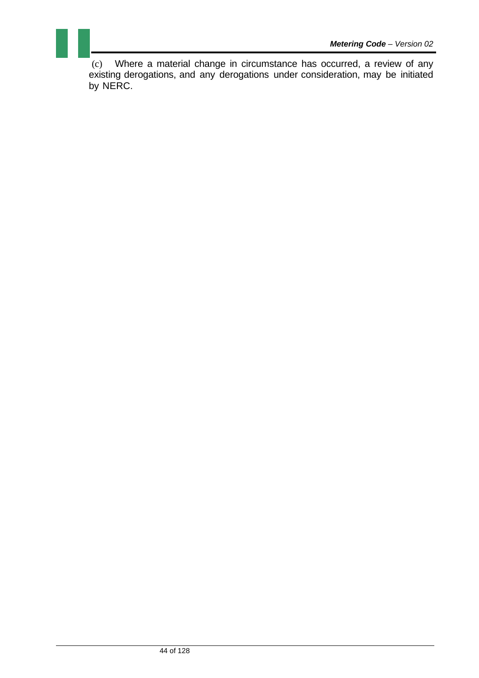(c) Where a material change in circumstance has occurred, a review of any existing derogations, and any derogations under consideration, may be initiated by NERC.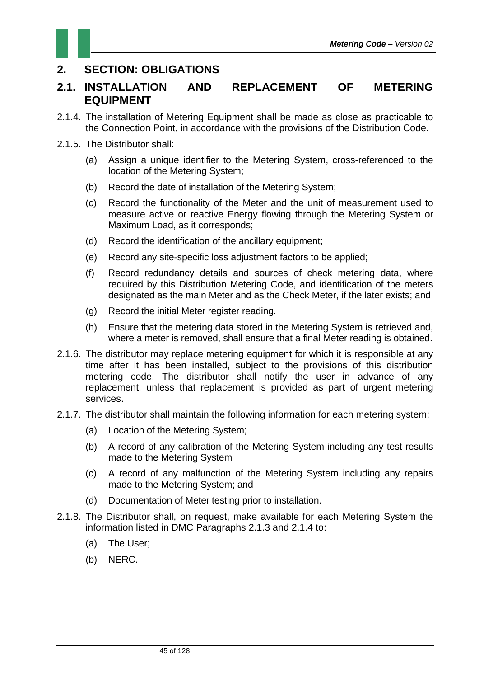### **2. SECTION: OBLIGATIONS**

#### **2.1. INSTALLATION AND REPLACEMENT OF METERING EQUIPMENT**

- 2.1.4. The installation of Metering Equipment shall be made as close as practicable to the Connection Point, in accordance with the provisions of the Distribution Code.
- 2.1.5. The Distributor shall:
	- (a) Assign a unique identifier to the Metering System, cross-referenced to the location of the Metering System;
	- (b) Record the date of installation of the Metering System;
	- (c) Record the functionality of the Meter and the unit of measurement used to measure active or reactive Energy flowing through the Metering System or Maximum Load, as it corresponds;
	- (d) Record the identification of the ancillary equipment;
	- (e) Record any site-specific loss adjustment factors to be applied;
	- (f) Record redundancy details and sources of check metering data, where required by this Distribution Metering Code, and identification of the meters designated as the main Meter and as the Check Meter, if the later exists; and
	- (g) Record the initial Meter register reading.
	- (h) Ensure that the metering data stored in the Metering System is retrieved and, where a meter is removed, shall ensure that a final Meter reading is obtained.
- 2.1.6. The distributor may replace metering equipment for which it is responsible at any time after it has been installed, subject to the provisions of this distribution metering code. The distributor shall notify the user in advance of any replacement, unless that replacement is provided as part of urgent metering services.
- 2.1.7. The distributor shall maintain the following information for each metering system:
	- (a) Location of the Metering System;
	- (b) A record of any calibration of the Metering System including any test results made to the Metering System
	- (c) A record of any malfunction of the Metering System including any repairs made to the Metering System; and
	- (d) Documentation of Meter testing prior to installation.
- 2.1.8. The Distributor shall, on request, make available for each Metering System the information listed in DMC Paragraphs 2.1.3 and 2.1.4 to:
	- (a) The User;
	- (b) NERC.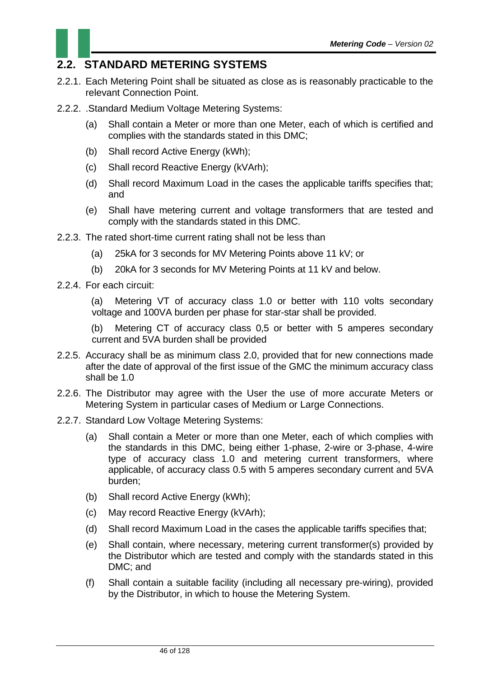### **2.2. STANDARD METERING SYSTEMS**

- 2.2.1. Each Metering Point shall be situated as close as is reasonably practicable to the relevant Connection Point.
- 2.2.2. .Standard Medium Voltage Metering Systems:
	- (a) Shall contain a Meter or more than one Meter, each of which is certified and complies with the standards stated in this DMC;
	- (b) Shall record Active Energy (kWh);
	- (c) Shall record Reactive Energy (kVArh);
	- (d) Shall record Maximum Load in the cases the applicable tariffs specifies that; and
	- (e) Shall have metering current and voltage transformers that are tested and comply with the standards stated in this DMC.
- 2.2.3. The rated short-time current rating shall not be less than
	- (a) 25kA for 3 seconds for MV Metering Points above 11 kV; or
	- (b) 20kA for 3 seconds for MV Metering Points at 11 kV and below.
- 2.2.4. For each circuit:

(a) Metering VT of accuracy class 1.0 or better with 110 volts secondary voltage and 100VA burden per phase for star-star shall be provided.

(b) Metering CT of accuracy class 0,5 or better with 5 amperes secondary current and 5VA burden shall be provided

- 2.2.5. Accuracy shall be as minimum class 2.0, provided that for new connections made after the date of approval of the first issue of the GMC the minimum accuracy class shall be 1.0
- 2.2.6. The Distributor may agree with the User the use of more accurate Meters or Metering System in particular cases of Medium or Large Connections.
- 2.2.7. Standard Low Voltage Metering Systems:
	- (a) Shall contain a Meter or more than one Meter, each of which complies with the standards in this DMC, being either 1-phase, 2-wire or 3-phase, 4-wire type of accuracy class 1.0 and metering current transformers, where applicable, of accuracy class 0.5 with 5 amperes secondary current and 5VA burden;
	- (b) Shall record Active Energy (kWh);
	- (c) May record Reactive Energy (kVArh);
	- (d) Shall record Maximum Load in the cases the applicable tariffs specifies that;
	- (e) Shall contain, where necessary, metering current transformer(s) provided by the Distributor which are tested and comply with the standards stated in this DMC; and
	- (f) Shall contain a suitable facility (including all necessary pre-wiring), provided by the Distributor, in which to house the Metering System.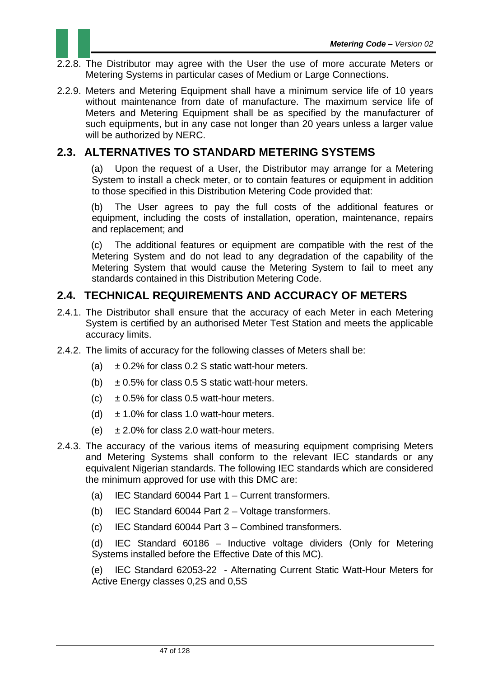

- 2.2.8. The Distributor may agree with the User the use of more accurate Meters or Metering Systems in particular cases of Medium or Large Connections.
- 2.2.9. Meters and Metering Equipment shall have a minimum service life of 10 years without maintenance from date of manufacture. The maximum service life of Meters and Metering Equipment shall be as specified by the manufacturer of such equipments, but in any case not longer than 20 years unless a larger value will be authorized by NERC.

### **2.3. ALTERNATIVES TO STANDARD METERING SYSTEMS**

(a) Upon the request of a User, the Distributor may arrange for a Metering System to install a check meter, or to contain features or equipment in addition to those specified in this Distribution Metering Code provided that:

(b) The User agrees to pay the full costs of the additional features or equipment, including the costs of installation, operation, maintenance, repairs and replacement; and

(c) The additional features or equipment are compatible with the rest of the Metering System and do not lead to any degradation of the capability of the Metering System that would cause the Metering System to fail to meet any standards contained in this Distribution Metering Code.

### **2.4. TECHNICAL REQUIREMENTS AND ACCURACY OF METERS**

- 2.4.1. The Distributor shall ensure that the accuracy of each Meter in each Metering System is certified by an authorised Meter Test Station and meets the applicable accuracy limits.
- 2.4.2. The limits of accuracy for the following classes of Meters shall be:
	- (a)  $\pm$  0.2% for class 0.2 S static watt-hour meters.
	- (b)  $\pm$  0.5% for class 0.5 S static watt-hour meters.
	- (c)  $\pm$  0.5% for class 0.5 watt-hour meters.
	- (d)  $\pm$  1.0% for class 1.0 watt-hour meters.
	- (e)  $\pm 2.0\%$  for class 2.0 watt-hour meters.
- 2.4.3. The accuracy of the various items of measuring equipment comprising Meters and Metering Systems shall conform to the relevant IEC standards or any equivalent Nigerian standards. The following IEC standards which are considered the minimum approved for use with this DMC are:
	- (a) IEC Standard 60044 Part 1 Current transformers.
	- (b) IEC Standard 60044 Part 2 Voltage transformers.
	- (c) IEC Standard 60044 Part 3 Combined transformers.

(d) IEC Standard 60186 – Inductive voltage dividers (Only for Metering Systems installed before the Effective Date of this MC).

(e) IEC Standard 62053-22 - Alternating Current Static Watt-Hour Meters for Active Energy classes 0,2S and 0,5S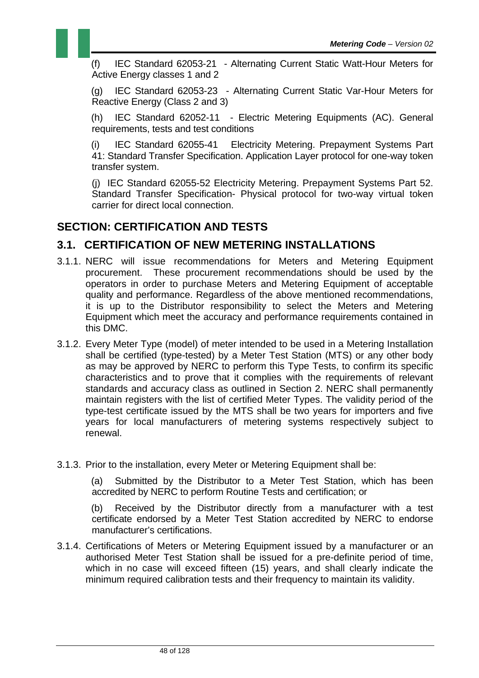(f) IEC Standard 62053-21 - Alternating Current Static Watt-Hour Meters for Active Energy classes 1 and 2

(g) IEC Standard 62053-23 - Alternating Current Static Var-Hour Meters for Reactive Energy (Class 2 and 3)

(h) IEC Standard 62052-11 - Electric Metering Equipments (AC). General requirements, tests and test conditions

(i) IEC Standard 62055-41 Electricity Metering. Prepayment Systems Part 41: Standard Transfer Specification. Application Layer protocol for one-way token transfer system.

(j) IEC Standard 62055-52 Electricity Metering. Prepayment Systems Part 52. Standard Transfer Specification- Physical protocol for two-way virtual token carrier for direct local connection.

#### **SECTION: CERTIFICATION AND TESTS**

#### **3.1. CERTIFICATION OF NEW METERING INSTALLATIONS**

- 3.1.1. NERC will issue recommendations for Meters and Metering Equipment procurement. These procurement recommendations should be used by the operators in order to purchase Meters and Metering Equipment of acceptable quality and performance. Regardless of the above mentioned recommendations, it is up to the Distributor responsibility to select the Meters and Metering Equipment which meet the accuracy and performance requirements contained in this DMC.
- 3.1.2. Every Meter Type (model) of meter intended to be used in a Metering Installation shall be certified (type-tested) by a Meter Test Station (MTS) or any other body as may be approved by NERC to perform this Type Tests, to confirm its specific characteristics and to prove that it complies with the requirements of relevant standards and accuracy class as outlined in Section 2. NERC shall permanently maintain registers with the list of certified Meter Types. The validity period of the type-test certificate issued by the MTS shall be two years for importers and five years for local manufacturers of metering systems respectively subject to renewal.
- 3.1.3. Prior to the installation, every Meter or Metering Equipment shall be:

(a) Submitted by the Distributor to a Meter Test Station, which has been accredited by NERC to perform Routine Tests and certification; or

(b) Received by the Distributor directly from a manufacturer with a test certificate endorsed by a Meter Test Station accredited by NERC to endorse manufacturer's certifications.

3.1.4. Certifications of Meters or Metering Equipment issued by a manufacturer or an authorised Meter Test Station shall be issued for a pre-definite period of time, which in no case will exceed fifteen (15) years, and shall clearly indicate the minimum required calibration tests and their frequency to maintain its validity.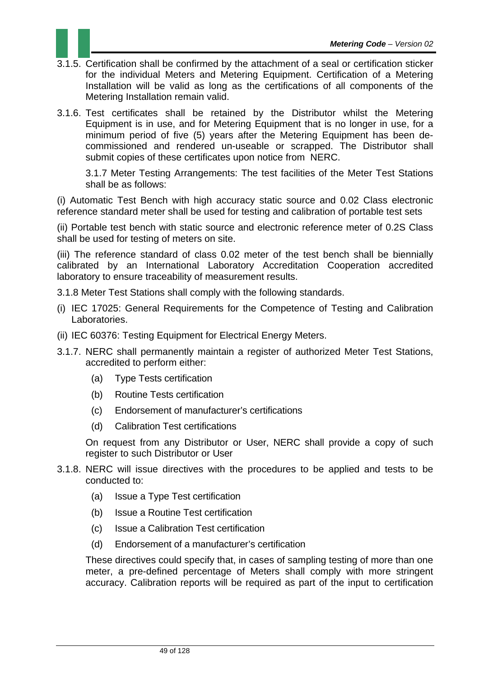

- 3.1.5. Certification shall be confirmed by the attachment of a seal or certification sticker for the individual Meters and Metering Equipment. Certification of a Metering Installation will be valid as long as the certifications of all components of the Metering Installation remain valid.
- 3.1.6. Test certificates shall be retained by the Distributor whilst the Metering Equipment is in use, and for Metering Equipment that is no longer in use, for a minimum period of five (5) years after the Metering Equipment has been decommissioned and rendered un-useable or scrapped. The Distributor shall submit copies of these certificates upon notice from NERC.

3.1.7 Meter Testing Arrangements: The test facilities of the Meter Test Stations shall be as follows:

(i) Automatic Test Bench with high accuracy static source and 0.02 Class electronic reference standard meter shall be used for testing and calibration of portable test sets

(ii) Portable test bench with static source and electronic reference meter of 0.2S Class shall be used for testing of meters on site.

(iii) The reference standard of class 0.02 meter of the test bench shall be biennially calibrated by an International Laboratory Accreditation Cooperation accredited laboratory to ensure traceability of measurement results.

- 3.1.8 Meter Test Stations shall comply with the following standards.
- (i) IEC 17025: General Requirements for the Competence of Testing and Calibration Laboratories.
- (ii) IEC 60376: Testing Equipment for Electrical Energy Meters.
- 3.1.7. NERC shall permanently maintain a register of authorized Meter Test Stations, accredited to perform either:
	- (a) Type Tests certification
	- (b) Routine Tests certification
	- (c) Endorsement of manufacturer's certifications
	- (d) Calibration Test certifications

On request from any Distributor or User, NERC shall provide a copy of such register to such Distributor or User

- 3.1.8. NERC will issue directives with the procedures to be applied and tests to be conducted to:
	- (a) Issue a Type Test certification
	- (b) Issue a Routine Test certification
	- (c) Issue a Calibration Test certification
	- (d) Endorsement of a manufacturer's certification

These directives could specify that, in cases of sampling testing of more than one meter, a pre-defined percentage of Meters shall comply with more stringent accuracy. Calibration reports will be required as part of the input to certification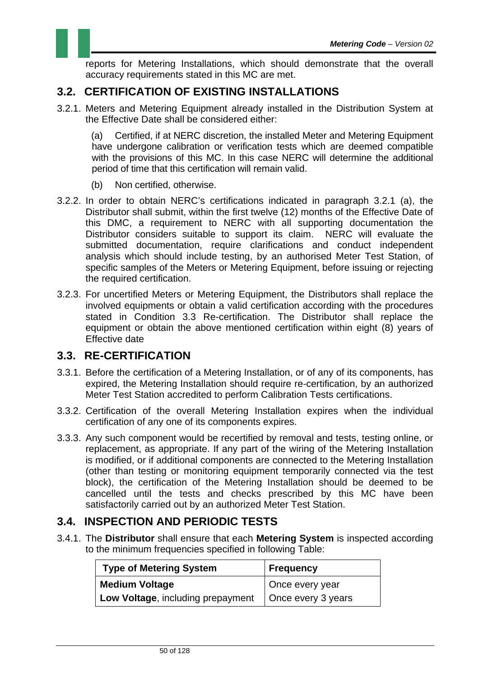

### **3.2. CERTIFICATION OF EXISTING INSTALLATIONS**

3.2.1. Meters and Metering Equipment already installed in the Distribution System at the Effective Date shall be considered either:

(a) Certified, if at NERC discretion, the installed Meter and Metering Equipment have undergone calibration or verification tests which are deemed compatible with the provisions of this MC. In this case NERC will determine the additional period of time that this certification will remain valid.

- (b) Non certified, otherwise.
- 3.2.2. In order to obtain NERC's certifications indicated in paragraph 3.2.1 (a), the Distributor shall submit, within the first twelve (12) months of the Effective Date of this DMC, a requirement to NERC with all supporting documentation the Distributor considers suitable to support its claim. NERC will evaluate the submitted documentation, require clarifications and conduct independent analysis which should include testing, by an authorised Meter Test Station, of specific samples of the Meters or Metering Equipment, before issuing or rejecting the required certification.
- 3.2.3. For uncertified Meters or Metering Equipment, the Distributors shall replace the involved equipments or obtain a valid certification according with the procedures stated in Condition 3.3 Re-certification. The Distributor shall replace the equipment or obtain the above mentioned certification within eight (8) years of Effective date

#### **3.3. RE-CERTIFICATION**

- 3.3.1. Before the certification of a Metering Installation, or of any of its components, has expired, the Metering Installation should require re-certification, by an authorized Meter Test Station accredited to perform Calibration Tests certifications.
- 3.3.2. Certification of the overall Metering Installation expires when the individual certification of any one of its components expires.
- 3.3.3. Any such component would be recertified by removal and tests, testing online, or replacement, as appropriate. If any part of the wiring of the Metering Installation is modified, or if additional components are connected to the Metering Installation (other than testing or monitoring equipment temporarily connected via the test block), the certification of the Metering Installation should be deemed to be cancelled until the tests and checks prescribed by this MC have been satisfactorily carried out by an authorized Meter Test Station.

#### **3.4. INSPECTION AND PERIODIC TESTS**

3.4.1. The **Distributor** shall ensure that each **Metering System** is inspected according to the minimum frequencies specified in following Table:

| <b>Type of Metering System</b>    | Frequency          |
|-----------------------------------|--------------------|
| <b>Medium Voltage</b>             | Once every year    |
| Low Voltage, including prepayment | Once every 3 years |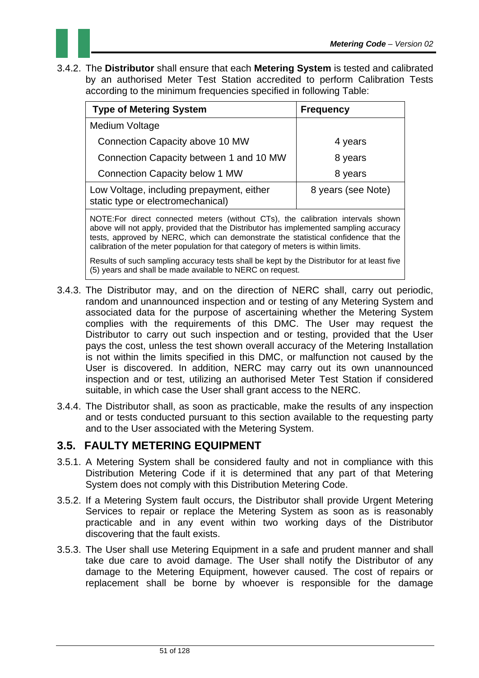

3.4.2. The **Distributor** shall ensure that each **Metering System** is tested and calibrated by an authorised Meter Test Station accredited to perform Calibration Tests according to the minimum frequencies specified in following Table:

| <b>Type of Metering System</b>                                                 | <b>Frequency</b>   |
|--------------------------------------------------------------------------------|--------------------|
| Medium Voltage                                                                 |                    |
| Connection Capacity above 10 MW                                                | 4 years            |
| Connection Capacity between 1 and 10 MW                                        | 8 years            |
| <b>Connection Capacity below 1 MW</b>                                          | 8 years            |
| Low Voltage, including prepayment, either<br>static type or electromechanical) | 8 years (see Note) |

NOTE:For direct connected meters (without CTs), the calibration intervals shown above will not apply, provided that the Distributor has implemented sampling accuracy tests, approved by NERC, which can demonstrate the statistical confidence that the calibration of the meter population for that category of meters is within limits.

Results of such sampling accuracy tests shall be kept by the Distributor for at least five (5) years and shall be made available to NERC on request.

- 3.4.3. The Distributor may, and on the direction of NERC shall, carry out periodic, random and unannounced inspection and or testing of any Metering System and associated data for the purpose of ascertaining whether the Metering System complies with the requirements of this DMC. The User may request the Distributor to carry out such inspection and or testing, provided that the User pays the cost, unless the test shown overall accuracy of the Metering Installation is not within the limits specified in this DMC, or malfunction not caused by the User is discovered. In addition, NERC may carry out its own unannounced inspection and or test, utilizing an authorised Meter Test Station if considered suitable, in which case the User shall grant access to the NERC.
- 3.4.4. The Distributor shall, as soon as practicable, make the results of any inspection and or tests conducted pursuant to this section available to the requesting party and to the User associated with the Metering System.

#### **3.5. FAULTY METERING EQUIPMENT**

- 3.5.1. A Metering System shall be considered faulty and not in compliance with this Distribution Metering Code if it is determined that any part of that Metering System does not comply with this Distribution Metering Code.
- 3.5.2. If a Metering System fault occurs, the Distributor shall provide Urgent Metering Services to repair or replace the Metering System as soon as is reasonably practicable and in any event within two working days of the Distributor discovering that the fault exists.
- 3.5.3. The User shall use Metering Equipment in a safe and prudent manner and shall take due care to avoid damage. The User shall notify the Distributor of any damage to the Metering Equipment, however caused. The cost of repairs or replacement shall be borne by whoever is responsible for the damage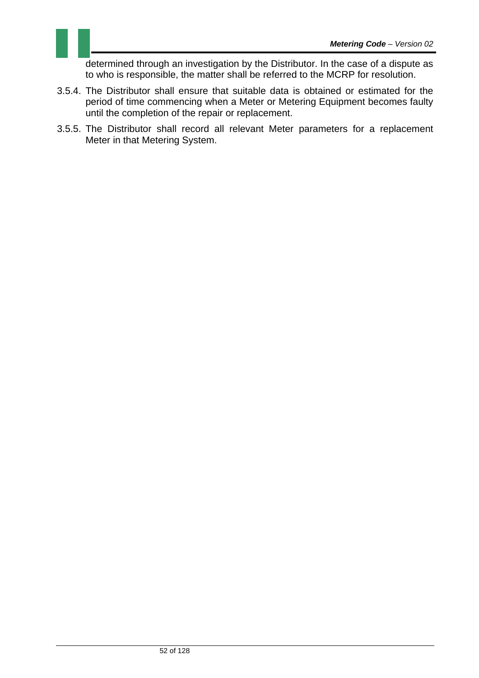determined through an investigation by the Distributor. In the case of a dispute as to who is responsible, the matter shall be referred to the MCRP for resolution.

- 3.5.4. The Distributor shall ensure that suitable data is obtained or estimated for the period of time commencing when a Meter or Metering Equipment becomes faulty until the completion of the repair or replacement.
- 3.5.5. The Distributor shall record all relevant Meter parameters for a replacement Meter in that Metering System.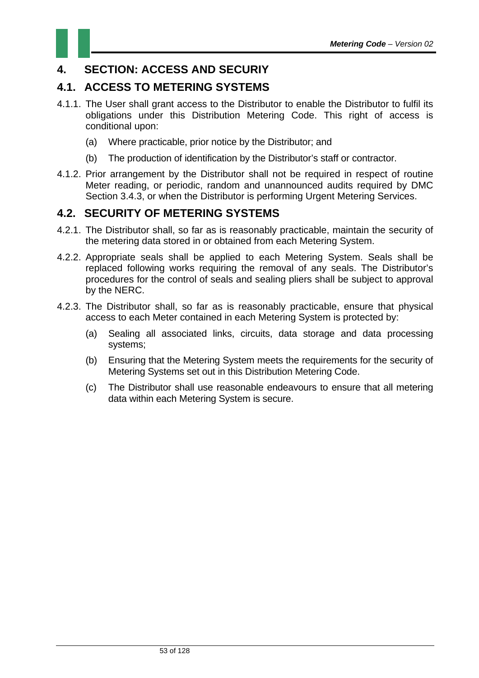

### **4. SECTION: ACCESS AND SECURIY**

### **4.1. ACCESS TO METERING SYSTEMS**

- 4.1.1. The User shall grant access to the Distributor to enable the Distributor to fulfil its obligations under this Distribution Metering Code. This right of access is conditional upon:
	- (a) Where practicable, prior notice by the Distributor; and
	- (b) The production of identification by the Distributor's staff or contractor.
- 4.1.2. Prior arrangement by the Distributor shall not be required in respect of routine Meter reading, or periodic, random and unannounced audits required by DMC Section 3.4.3, or when the Distributor is performing Urgent Metering Services.

### **4.2. SECURITY OF METERING SYSTEMS**

- 4.2.1. The Distributor shall, so far as is reasonably practicable, maintain the security of the metering data stored in or obtained from each Metering System.
- 4.2.2. Appropriate seals shall be applied to each Metering System. Seals shall be replaced following works requiring the removal of any seals. The Distributor's procedures for the control of seals and sealing pliers shall be subject to approval by the NERC.
- 4.2.3. The Distributor shall, so far as is reasonably practicable, ensure that physical access to each Meter contained in each Metering System is protected by:
	- (a) Sealing all associated links, circuits, data storage and data processing systems;
	- (b) Ensuring that the Metering System meets the requirements for the security of Metering Systems set out in this Distribution Metering Code.
	- (c) The Distributor shall use reasonable endeavours to ensure that all metering data within each Metering System is secure.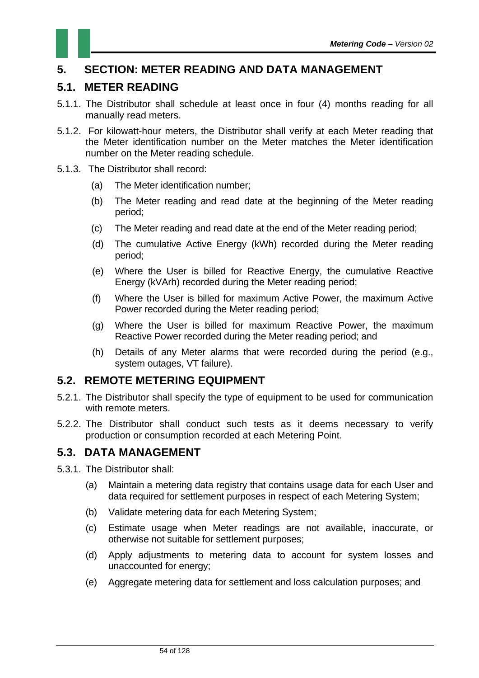### **5. SECTION: METER READING AND DATA MANAGEMENT**

#### **5.1. METER READING**

- 5.1.1. The Distributor shall schedule at least once in four (4) months reading for all manually read meters.
- 5.1.2. For kilowatt-hour meters, the Distributor shall verify at each Meter reading that the Meter identification number on the Meter matches the Meter identification number on the Meter reading schedule.
- 5.1.3. The Distributor shall record:
	- (a) The Meter identification number;
	- (b) The Meter reading and read date at the beginning of the Meter reading period;
	- (c) The Meter reading and read date at the end of the Meter reading period;
	- (d) The cumulative Active Energy (kWh) recorded during the Meter reading period;
	- (e) Where the User is billed for Reactive Energy, the cumulative Reactive Energy (kVArh) recorded during the Meter reading period;
	- (f) Where the User is billed for maximum Active Power, the maximum Active Power recorded during the Meter reading period;
	- (g) Where the User is billed for maximum Reactive Power, the maximum Reactive Power recorded during the Meter reading period; and
	- (h) Details of any Meter alarms that were recorded during the period (e.g., system outages, VT failure).

#### **5.2. REMOTE METERING EQUIPMENT**

- 5.2.1. The Distributor shall specify the type of equipment to be used for communication with remote meters.
- 5.2.2. The Distributor shall conduct such tests as it deems necessary to verify production or consumption recorded at each Metering Point.

#### **5.3. DATA MANAGEMENT**

- 5.3.1. The Distributor shall:
	- (a) Maintain a metering data registry that contains usage data for each User and data required for settlement purposes in respect of each Metering System;
	- (b) Validate metering data for each Metering System;
	- (c) Estimate usage when Meter readings are not available, inaccurate, or otherwise not suitable for settlement purposes;
	- (d) Apply adjustments to metering data to account for system losses and unaccounted for energy;
	- (e) Aggregate metering data for settlement and loss calculation purposes; and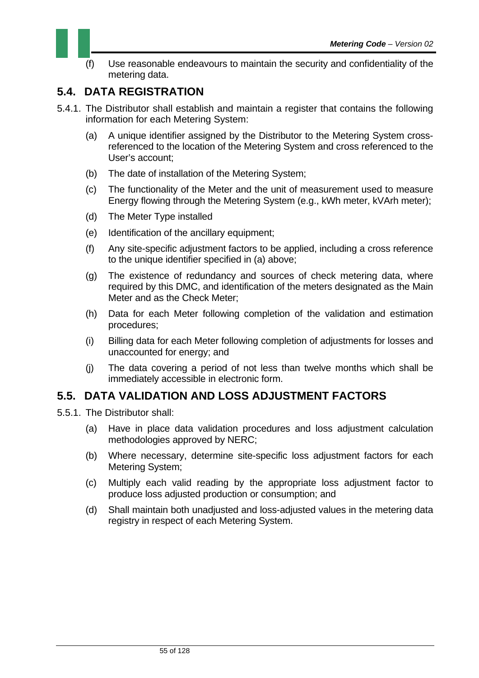

(f) Use reasonable endeavours to maintain the security and confidentiality of the metering data.

### **5.4. DATA REGISTRATION**

- 5.4.1. The Distributor shall establish and maintain a register that contains the following information for each Metering System:
	- (a) A unique identifier assigned by the Distributor to the Metering System crossreferenced to the location of the Metering System and cross referenced to the User's account;
	- (b) The date of installation of the Metering System;
	- (c) The functionality of the Meter and the unit of measurement used to measure Energy flowing through the Metering System (e.g., kWh meter, kVArh meter);
	- (d) The Meter Type installed
	- (e) Identification of the ancillary equipment;
	- (f) Any site-specific adjustment factors to be applied, including a cross reference to the unique identifier specified in (a) above;
	- (g) The existence of redundancy and sources of check metering data, where required by this DMC, and identification of the meters designated as the Main Meter and as the Check Meter;
	- (h) Data for each Meter following completion of the validation and estimation procedures;
	- (i) Billing data for each Meter following completion of adjustments for losses and unaccounted for energy; and
	- (j) The data covering a period of not less than twelve months which shall be immediately accessible in electronic form.

### **5.5. DATA VALIDATION AND LOSS ADJUSTMENT FACTORS**

- 5.5.1. The Distributor shall:
	- (a) Have in place data validation procedures and loss adjustment calculation methodologies approved by NERC;
	- (b) Where necessary, determine site-specific loss adjustment factors for each Metering System;
	- (c) Multiply each valid reading by the appropriate loss adjustment factor to produce loss adjusted production or consumption; and
	- (d) Shall maintain both unadjusted and loss-adjusted values in the metering data registry in respect of each Metering System.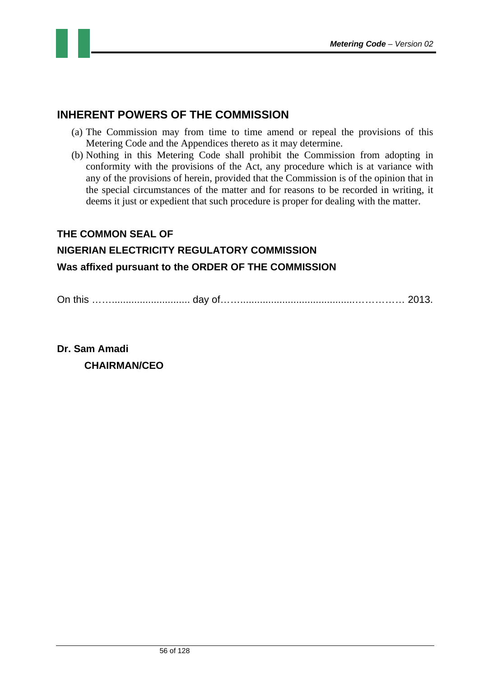



- (a) The Commission may from time to time amend or repeal the provisions of this Metering Code and the Appendices thereto as it may determine.
- (b) Nothing in this Metering Code shall prohibit the Commission from adopting in conformity with the provisions of the Act, any procedure which is at variance with any of the provisions of herein, provided that the Commission is of the opinion that in the special circumstances of the matter and for reasons to be recorded in writing, it deems it just or expedient that such procedure is proper for dealing with the matter.

#### **THE COMMON SEAL OF**

# **NIGERIAN ELECTRICITY REGULATORY COMMISSION**

#### **Was affixed pursuant to the ORDER OF THE COMMISSION**

On this ……............................ day of…….........................................…………… 2013.

**Dr. Sam Amadi CHAIRMAN/CEO**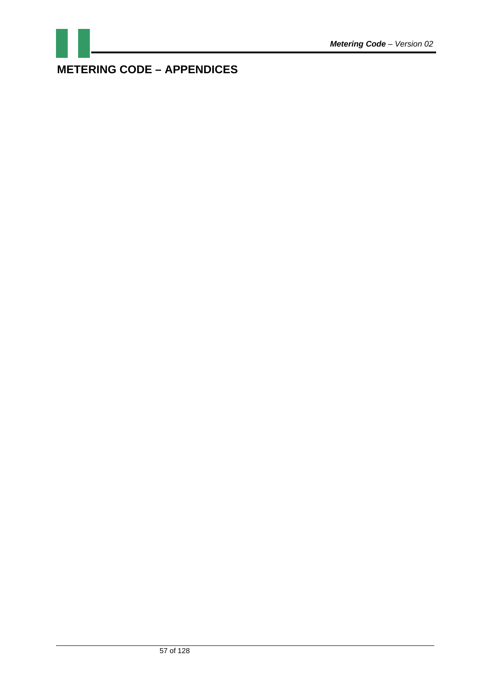

## **METERING CODE – APPENDICES**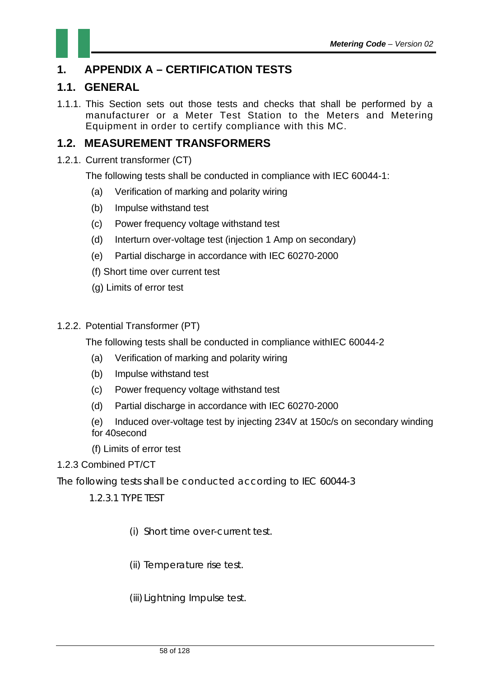### **1. APPENDIX A – CERTIFICATION TESTS**

### **1.1. GENERAL**

1.1.1. This Section sets out those tests and checks that shall be performed by a manufacturer or a Meter Test Station to the Meters and Metering Equipment in order to certify compliance with this MC.

### **1.2. MEASUREMENT TRANSFORMERS**

1.2.1. Current transformer (CT)

The following tests shall be conducted in compliance with IEC 60044-1:

- (a) Verification of marking and polarity wiring
- (b) Impulse withstand test
- (c) Power frequency voltage withstand test
- (d) Interturn over-voltage test (injection 1 Amp on secondary)
- (e) Partial discharge in accordance with IEC 60270-2000
- (f) Short time over current test
- (g) Limits of error test
- 1.2.2. Potential Transformer (PT)

The following tests shall be conducted in compliance withIEC 60044-2

- (a) Verification of marking and polarity wiring
- (b) Impulse withstand test
- (c) Power frequency voltage withstand test
- (d) Partial discharge in accordance with IEC 60270-2000
- (e) Induced over-voltage test by injecting 234V at 150c/s on secondary winding for 40second
- (f) Limits of error test

#### 1.2.3 Combined PT/CT

The following tests shall be conducted according to IEC 60044-3

1.2.3.1 TYPE TEST

- (i) Short time over-current test.
- (ii) Temperature rise test.
- (iii) Lightning Impulse test.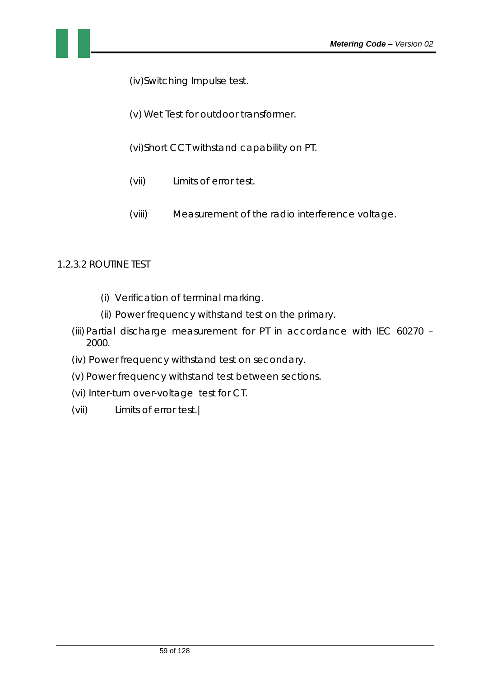(iv)Switching Impulse test.

(v) Wet Test for outdoor transformer.

(vi)Short CCT withstand capability on PT.

- (vii) Limits of error test.
- (viii) Measurement of the radio interference voltage.

#### 1.2.3.2 ROUTINE TEST

- (i) Verification of terminal marking.
- (ii) Power frequency withstand test on the primary.
- (iii) Partial discharge measurement for PT in accordance with IEC 60270 2000.
- (iv) Power frequency withstand test on secondary.
- (v) Power frequency withstand test between sections.
- (vi) Inter-turn over-voltage test for CT.
- (vii) Limits of error test.|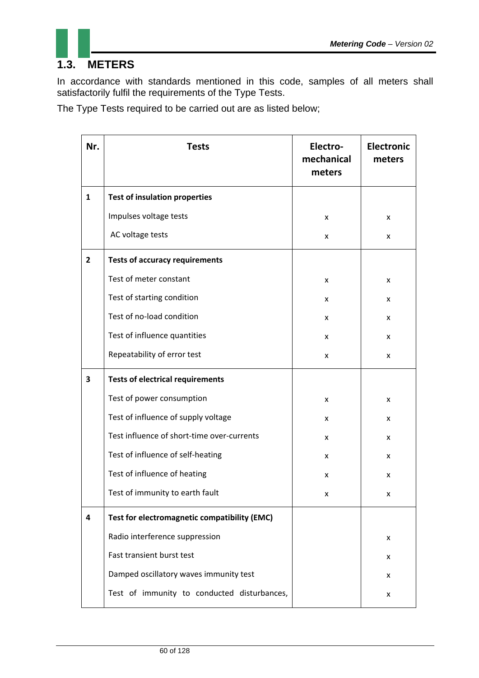

### **1.3. METERS**

In accordance with standards mentioned in this code, samples of all meters shall satisfactorily fulfil the requirements of the Type Tests.

The Type Tests required to be carried out are as listed below;

| Nr.          | <b>Tests</b>                                 | Electro-<br>mechanical<br>meters | <b>Electronic</b><br>meters |
|--------------|----------------------------------------------|----------------------------------|-----------------------------|
| $\mathbf{1}$ | <b>Test of insulation properties</b>         |                                  |                             |
|              | Impulses voltage tests                       | X                                | x                           |
|              | AC voltage tests                             | X                                | x                           |
| $\mathbf{2}$ | <b>Tests of accuracy requirements</b>        |                                  |                             |
|              | Test of meter constant                       | X                                | x                           |
|              | Test of starting condition                   | x                                | x                           |
|              | Test of no-load condition                    | x                                | x                           |
|              | Test of influence quantities                 | x                                | x                           |
|              | Repeatability of error test                  | x                                | x                           |
| 3            | <b>Tests of electrical requirements</b>      |                                  |                             |
|              | Test of power consumption                    | x                                | x                           |
|              | Test of influence of supply voltage          | x                                | x                           |
|              | Test influence of short-time over-currents   | x                                | x                           |
|              | Test of influence of self-heating            | x                                | x                           |
|              | Test of influence of heating                 | x                                | x                           |
|              | Test of immunity to earth fault              | x                                | x                           |
| 4            | Test for electromagnetic compatibility (EMC) |                                  |                             |
|              | Radio interference suppression               |                                  | x                           |
|              | Fast transient burst test                    |                                  | x                           |
|              | Damped oscillatory waves immunity test       |                                  | x                           |
|              | Test of immunity to conducted disturbances,  |                                  | x                           |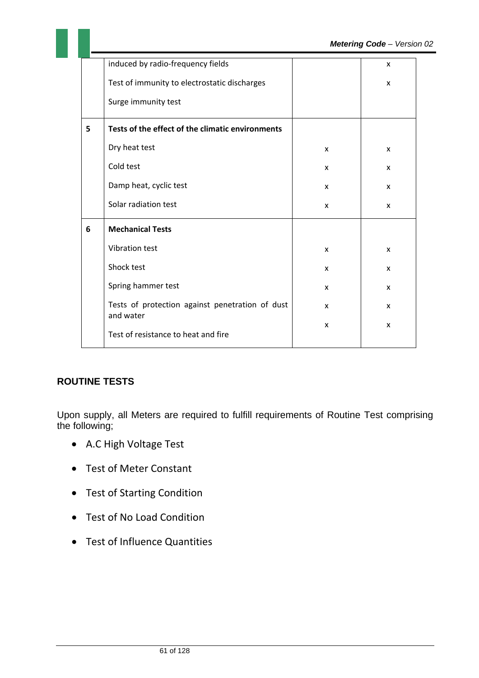|   | induced by radio-frequency fields                            |              | X |
|---|--------------------------------------------------------------|--------------|---|
|   | Test of immunity to electrostatic discharges                 |              | X |
|   | Surge immunity test                                          |              |   |
| 5 | Tests of the effect of the climatic environments             |              |   |
|   | Dry heat test                                                | X            | X |
|   | Cold test                                                    | X            | X |
|   | Damp heat, cyclic test                                       | $\mathsf{x}$ | X |
|   | Solar radiation test                                         | X            | X |
| 6 | <b>Mechanical Tests</b>                                      |              |   |
|   | Vibration test                                               | X            | X |
|   | Shock test                                                   | X            | X |
|   | Spring hammer test                                           | X            | X |
|   | Tests of protection against penetration of dust<br>and water | X            | X |
|   | Test of resistance to heat and fire                          | X            | X |

#### **ROUTINE TESTS**

Upon supply, all Meters are required to fulfill requirements of Routine Test comprising the following;

- A.C High Voltage Test
- Test of Meter Constant
- Test of Starting Condition
- Test of No Load Condition
- Test of Influence Quantities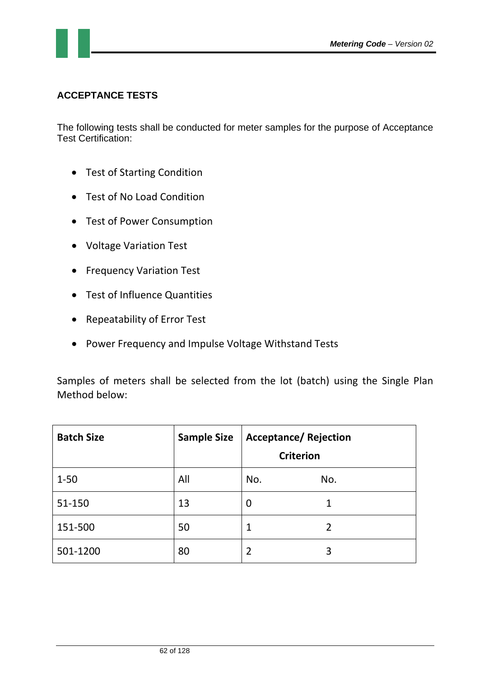#### **ACCEPTANCE TESTS**

The following tests shall be conducted for meter samples for the purpose of Acceptance Test Certification:

- Test of Starting Condition
- Test of No Load Condition
- Test of Power Consumption
- Voltage Variation Test
- **•** Frequency Variation Test
- Test of Influence Quantities
- Repeatability of Error Test
- Power Frequency and Impulse Voltage Withstand Tests

Samples of meters shall be selected from the lot (batch) using the Single Plan Method below:

| <b>Batch Size</b> | <b>Sample Size</b> | <b>Acceptance/ Rejection</b><br><b>Criterion</b> |                |
|-------------------|--------------------|--------------------------------------------------|----------------|
| $1 - 50$          | All                | No.                                              | No.            |
| 51-150            | 13                 | $\boldsymbol{0}$                                 | 1              |
| 151-500           | 50                 | 1                                                | $\overline{2}$ |
| 501-1200          | 80                 | $\overline{2}$                                   | 3              |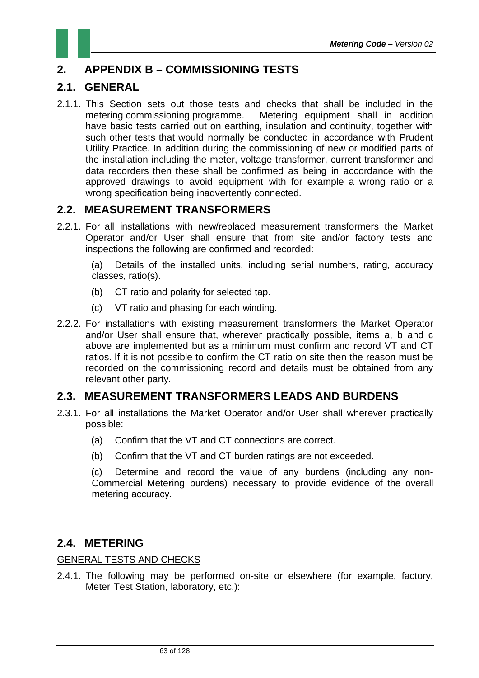### **2. APPENDIX B – COMMISSIONING TESTS**

### **2.1. GENERAL**

2.1.1. This Section sets out those tests and checks that shall be included in the metering commissioning programme. Metering equipment shall in addition have basic tests carried out on earthing, insulation and continuity, together with such other tests that would normally be conducted in accordance with Prudent Utility Practice. In addition during the commissioning of new or modified parts of the installation including the meter, voltage transformer, current transformer and data recorders then these shall be confirmed as being in accordance with the approved drawings to avoid equipment with for example a wrong ratio or a wrong specification being inadvertently connected.

### **2.2. MEASUREMENT TRANSFORMERS**

2.2.1. For all installations with new/replaced measurement transformers the Market Operator and/or User shall ensure that from site and/or factory tests and inspections the following are confirmed and recorded:

(a) Details of the installed units, including serial numbers, rating, accuracy classes, ratio(s).

- (b) CT ratio and polarity for selected tap.
- (c) VT ratio and phasing for each winding.
- 2.2.2. For installations with existing measurement transformers the Market Operator and/or User shall ensure that, wherever practically possible, items a, b and c above are implemented but as a minimum must confirm and record VT and CT ratios. If it is not possible to confirm the CT ratio on site then the reason must be recorded on the commissioning record and details must be obtained from any relevant other party.

#### **2.3. MEASUREMENT TRANSFORMERS LEADS AND BURDENS**

- 2.3.1. For all installations the Market Operator and/or User shall wherever practically possible:
	- (a) Confirm that the VT and CT connections are correct.
	- (b) Confirm that the VT and CT burden ratings are not exceeded.

(c) Determine and record the value of any burdens (including any non-Commercial Mete**r**ing burdens) necessary to provide evidence of the overall metering accuracy.

### **2.4. METERING**

#### GENERAL TESTS AND CHECKS

2.4.1. The following may be performed on-site or elsewhere (for example, factory, Meter Test Station, laboratory, etc.):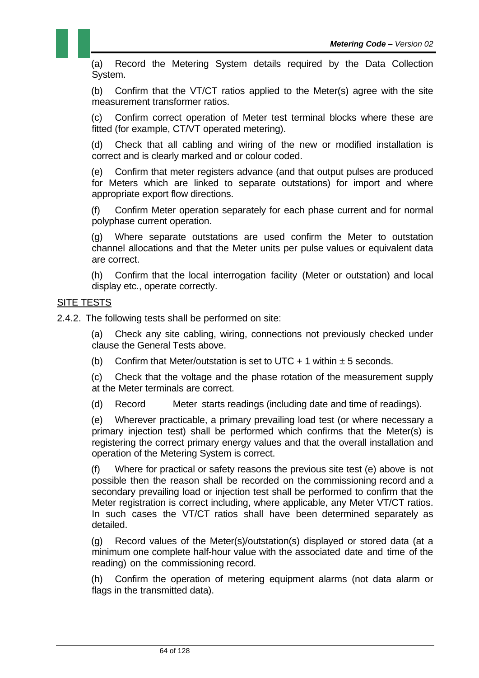(a) Record the Metering System details required by the Data Collection System.

(b) Confirm that the VT/CT ratios applied to the Meter(s) agree with the site measurement transformer ratios.

(c) Confirm correct operation of Meter test terminal blocks where these are fitted (for example, CT/VT operated metering).

(d) Check that all cabling and wiring of the new or modified installation is correct and is clearly marked and or colour coded.

(e) Confirm that meter registers advance (and that output pulses are produced for Meters which are linked to separate outstations) for import and where appropriate export flow directions.

(f) Confirm Meter operation separately for each phase current and for normal polyphase current operation.

(g) Where separate outstations are used confirm the Meter to outstation channel allocations and that the Meter units per pulse values or equivalent data are correct.

(h) Confirm that the local interrogation facility (Meter or outstation) and local display etc., operate correctly.

#### **SITE TESTS**

2.4.2. The following tests shall be performed on site:

(a) Check any site cabling, wiring, connections not previously checked under clause the General Tests above.

(b) Confirm that Meter/outstation is set to UTC + 1 within  $\pm$  5 seconds.

(c) Check that the voltage and the phase rotation of the measurement supply at the Meter terminals are correct.

(d) Record Meter starts readings (including date and time of readings).

(e) Wherever practicable, a primary prevailing load test (or where necessary a primary injection test) shall be performed which confirms that the Meter(s) is registering the correct primary energy values and that the overall installation and operation of the Metering System is correct.

(f) Where for practical or safety reasons the previous site test (e) above is not possible then the reason shall be recorded on the commissioning record and a secondary prevailing load or injection test shall be performed to confirm that the Meter registration is correct including, where applicable, any Meter VT/CT ratios. In such cases the VT/CT ratios shall have been determined separately as detailed.

(g) Record values of the Meter(s)/outstation(s) displayed or stored data (at a minimum one complete half-hour value with the associated date and time of the reading) on the commissioning record.

(h) Confirm the operation of metering equipment alarms (not data alarm or flags in the transmitted data).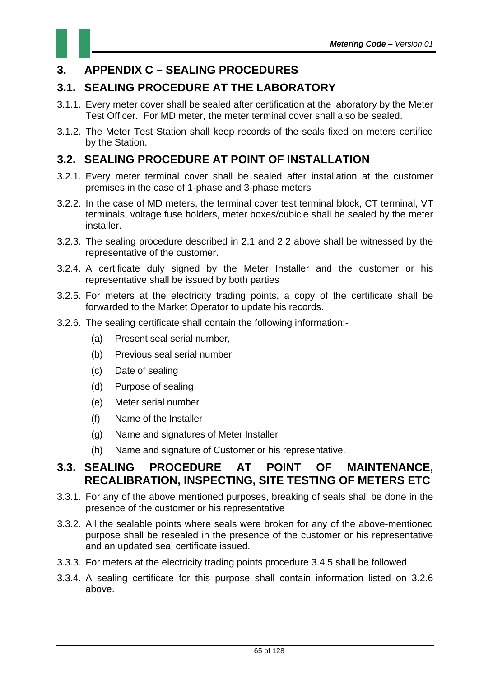### **3. APPENDIX C – SEALING PROCEDURES**

### **3.1. SEALING PROCEDURE AT THE LABORATORY**

- 3.1.1. Every meter cover shall be sealed after certification at the laboratory by the Meter Test Officer. For MD meter, the meter terminal cover shall also be sealed.
- 3.1.2. The Meter Test Station shall keep records of the seals fixed on meters certified by the Station.

#### **3.2. SEALING PROCEDURE AT POINT OF INSTALLATION**

- 3.2.1. Every meter terminal cover shall be sealed after installation at the customer premises in the case of 1-phase and 3-phase meters
- 3.2.2. In the case of MD meters, the terminal cover test terminal block, CT terminal, VT terminals, voltage fuse holders, meter boxes/cubicle shall be sealed by the meter installer.
- 3.2.3. The sealing procedure described in 2.1 and 2.2 above shall be witnessed by the representative of the customer.
- 3.2.4. A certificate duly signed by the Meter Installer and the customer or his representative shall be issued by both parties
- 3.2.5. For meters at the electricity trading points, a copy of the certificate shall be forwarded to the Market Operator to update his records.
- 3.2.6. The sealing certificate shall contain the following information:-
	- (a) Present seal serial number,
	- (b) Previous seal serial number
	- (c) Date of sealing
	- (d) Purpose of sealing
	- (e) Meter serial number
	- (f) Name of the Installer
	- (g) Name and signatures of Meter Installer
	- (h) Name and signature of Customer or his representative.

#### **3.3. SEALING PROCEDURE AT POINT OF MAINTENANCE, RECALIBRATION, INSPECTING, SITE TESTING OF METERS ETC**

- 3.3.1. For any of the above mentioned purposes, breaking of seals shall be done in the presence of the customer or his representative
- 3.3.2. All the sealable points where seals were broken for any of the above-mentioned purpose shall be resealed in the presence of the customer or his representative and an updated seal certificate issued.
- 3.3.3. For meters at the electricity trading points procedure 3.4.5 shall be followed
- 3.3.4. A sealing certificate for this purpose shall contain information listed on 3.2.6 above.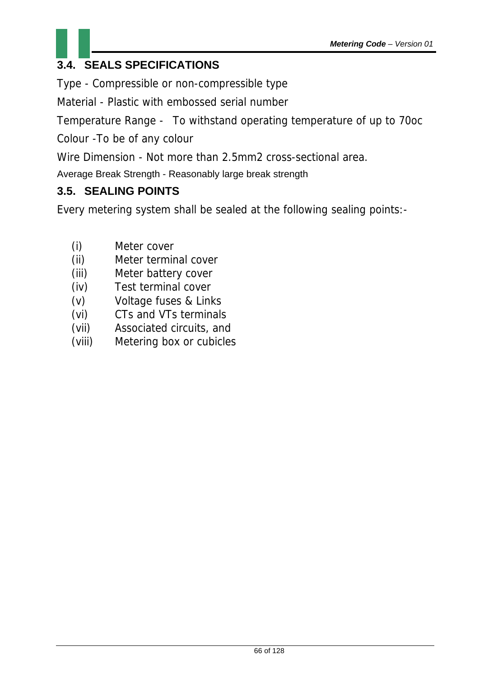

Type - Compressible or non-compressible type

Material - Plastic with embossed serial number

Temperature Range - To withstand operating temperature of up to 70oc

Colour -To be of any colour

Wire Dimension - Not more than 2.5mm2 cross-sectional area.

Average Break Strength - Reasonably large break strength

### **3.5. SEALING POINTS**

Every metering system shall be sealed at the following sealing points:-

- (i) Meter cover
- (ii) Meter terminal cover
- (iii) Meter battery cover
- (iv) Test terminal cover
- (v) Voltage fuses & Links
- (vi) CTs and VTs terminals
- (vii) Associated circuits, and
- (viii) Metering box or cubicles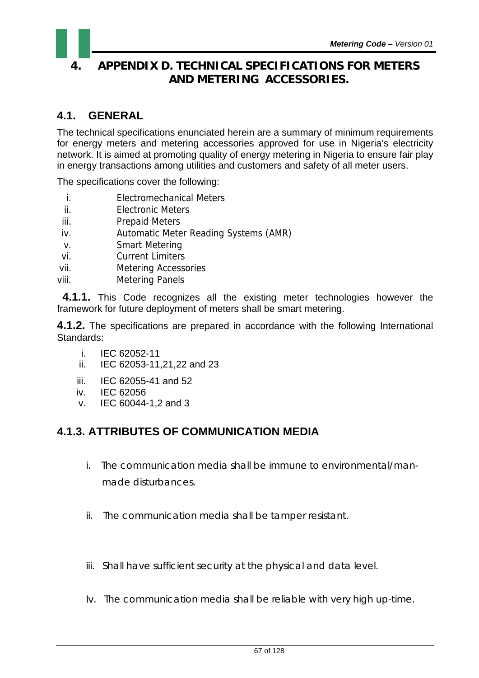### **4. APPENDIX D. TECHNICAL SPECIFICATIONS FOR METERS AND METERING ACCESSORIES.**

### **4.1. GENERAL**

The technical specifications enunciated herein are a summary of minimum requirements for energy meters and metering accessories approved for use in Nigeria's electricity network. It is aimed at promoting quality of energy metering in Nigeria to ensure fair play in energy transactions among utilities and customers and safety of all meter users.

The specifications cover the following:

- i. Electromechanical Meters
- ii. Electronic Meters
- iii. Prepaid Meters
- iv. Automatic Meter Reading Systems (AMR)
- v. Smart Metering
- vi. Current Limiters
- vii. Metering Accessories
- viii. Metering Panels

 **4.1.1.** This Code recognizes all the existing meter technologies however the framework for future deployment of meters shall be smart metering.

**4.1.2.** The specifications are prepared in accordance with the following International Standards:

- i. IEC 62052-11
- ii. IEC 62053-11,21,22 and 23
- iii. IEC 62055-41 and 52
- iv. IEC 62056
- v. IEC 60044-1,2 and 3

### **4.1.3. ATTRIBUTES OF COMMUNICATION MEDIA**

- i. The communication media shall be immune to environmental/man made disturbances.
- ii. The communication media shall be tamper resistant.
- iii. Shall have sufficient security at the physical and data level.
- Iv. The communication media shall be reliable with very high up-time.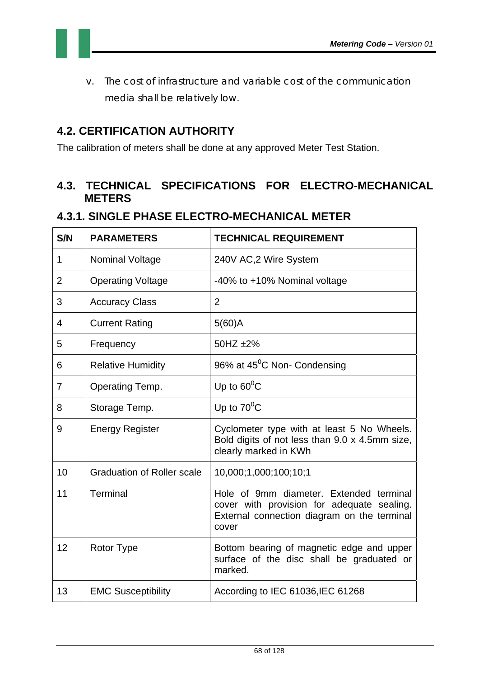

v. The cost of infrastructure and variable cost of the communication media shall be relatively low.

### **4.2. CERTIFICATION AUTHORITY**

The calibration of meters shall be done at any approved Meter Test Station.

### **4.3. TECHNICAL SPECIFICATIONS FOR ELECTRO-MECHANICAL METERS**

#### **4.3.1. SINGLE PHASE ELECTRO-MECHANICAL METER**

| S/N            | <b>PARAMETERS</b>                 | <b>TECHNICAL REQUIREMENT</b>                                                                                                                  |
|----------------|-----------------------------------|-----------------------------------------------------------------------------------------------------------------------------------------------|
| 1              | <b>Nominal Voltage</b>            | 240V AC, 2 Wire System                                                                                                                        |
| $\overline{2}$ | <b>Operating Voltage</b>          | -40% to +10% Nominal voltage                                                                                                                  |
| 3              | <b>Accuracy Class</b>             | 2                                                                                                                                             |
| $\overline{4}$ | <b>Current Rating</b>             | $5(60)$ A                                                                                                                                     |
| 5              | Frequency                         | 50HZ ±2%                                                                                                                                      |
| 6              | <b>Relative Humidity</b>          | 96% at 45 <sup>°</sup> C Non- Condensing                                                                                                      |
| 7              | Operating Temp.                   | Up to $60^{\circ}$ C                                                                                                                          |
| 8              | Storage Temp.                     | Up to $70^{\circ}$ C                                                                                                                          |
| 9              | <b>Energy Register</b>            | Cyclometer type with at least 5 No Wheels.<br>Bold digits of not less than 9.0 x 4.5mm size,<br>clearly marked in KWh                         |
| 10             | <b>Graduation of Roller scale</b> | 10,000;1,000;100;10;1                                                                                                                         |
| 11             | <b>Terminal</b>                   | Hole of 9mm diameter. Extended terminal<br>cover with provision for adequate sealing.<br>External connection diagram on the terminal<br>cover |
| 12             | Rotor Type                        | Bottom bearing of magnetic edge and upper<br>surface of the disc shall be graduated or<br>marked.                                             |
| 13             | <b>EMC Susceptibility</b>         | According to IEC 61036, IEC 61268                                                                                                             |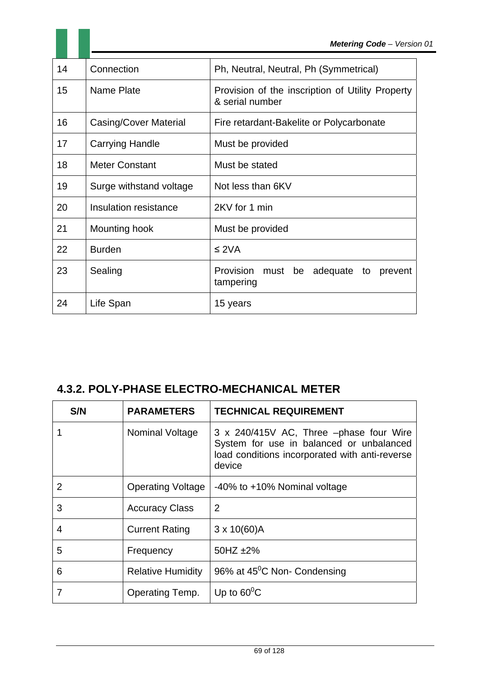| 14 | Connection              | Ph, Neutral, Neutral, Ph (Symmetrical)                              |
|----|-------------------------|---------------------------------------------------------------------|
| 15 | Name Plate              | Provision of the inscription of Utility Property<br>& serial number |
| 16 | Casing/Cover Material   | Fire retardant-Bakelite or Polycarbonate                            |
| 17 | <b>Carrying Handle</b>  | Must be provided                                                    |
| 18 | <b>Meter Constant</b>   | Must be stated                                                      |
| 19 | Surge withstand voltage | Not less than 6KV                                                   |
| 20 | Insulation resistance   | 2KV for 1 min                                                       |
| 21 | Mounting hook           | Must be provided                                                    |
| 22 | <b>Burden</b>           | $\leq$ 2VA                                                          |
| 23 | Sealing                 | Provision<br>adequate<br>must<br>be<br>to<br>prevent<br>tampering   |
| 24 | Life Span               | 15 years                                                            |

### **4.3.2. POLY-PHASE ELECTRO-MECHANICAL METER**

| S/N | <b>PARAMETERS</b>        | <b>TECHNICAL REQUIREMENT</b>                                                                                                                    |
|-----|--------------------------|-------------------------------------------------------------------------------------------------------------------------------------------------|
|     | Nominal Voltage          | 3 x 240/415V AC, Three -phase four Wire<br>System for use in balanced or unbalanced<br>load conditions incorporated with anti-reverse<br>device |
| 2   | <b>Operating Voltage</b> | -40% to +10% Nominal voltage                                                                                                                    |
| 3   | <b>Accuracy Class</b>    | $\overline{2}$                                                                                                                                  |
| 4   | <b>Current Rating</b>    | $3 \times 10(60)$ A                                                                                                                             |
| 5   | Frequency                | 50HZ $\pm$ 2%                                                                                                                                   |
| 6   | <b>Relative Humidity</b> | 96% at 45 <sup>°</sup> C Non- Condensing                                                                                                        |
| 7   | Operating Temp.          | Up to $60^{\circ}$ C                                                                                                                            |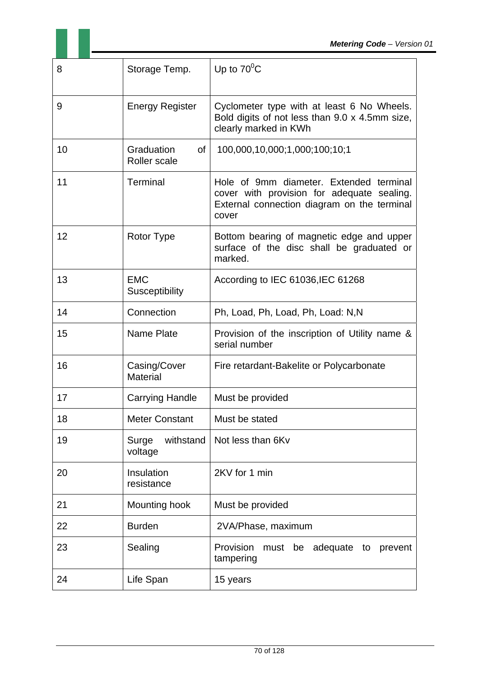| 8  | Storage Temp.                    | Up to $70^0$ C                                                                                                                                |
|----|----------------------------------|-----------------------------------------------------------------------------------------------------------------------------------------------|
| 9  | <b>Energy Register</b>           | Cyclometer type with at least 6 No Wheels.<br>Bold digits of not less than 9.0 x 4.5mm size,<br>clearly marked in KWh                         |
| 10 | Graduation<br>οf<br>Roller scale | 100,000,10,000;1,000;100;10;1                                                                                                                 |
| 11 | Terminal                         | Hole of 9mm diameter. Extended terminal<br>cover with provision for adequate sealing.<br>External connection diagram on the terminal<br>cover |
| 12 | Rotor Type                       | Bottom bearing of magnetic edge and upper<br>surface of the disc shall be graduated or<br>marked.                                             |
| 13 | <b>EMC</b><br>Susceptibility     | According to IEC 61036, IEC 61268                                                                                                             |
| 14 | Connection                       | Ph, Load, Ph, Load, Ph, Load: N,N                                                                                                             |
| 15 | <b>Name Plate</b>                | Provision of the inscription of Utility name &<br>serial number                                                                               |
| 16 | Casing/Cover<br><b>Material</b>  | Fire retardant-Bakelite or Polycarbonate                                                                                                      |
| 17 | <b>Carrying Handle</b>           | Must be provided                                                                                                                              |
| 18 | <b>Meter Constant</b>            | Must be stated                                                                                                                                |
| 19 | Surge<br>withstand<br>voltage    | Not less than 6Kv                                                                                                                             |
| 20 | Insulation<br>resistance         | 2KV for 1 min                                                                                                                                 |
| 21 | Mounting hook                    | Must be provided                                                                                                                              |
| 22 | <b>Burden</b>                    | 2VA/Phase, maximum                                                                                                                            |
| 23 | Sealing                          | Provision<br>adequate to<br>must be<br>prevent<br>tampering                                                                                   |
| 24 | Life Span                        | 15 years                                                                                                                                      |

11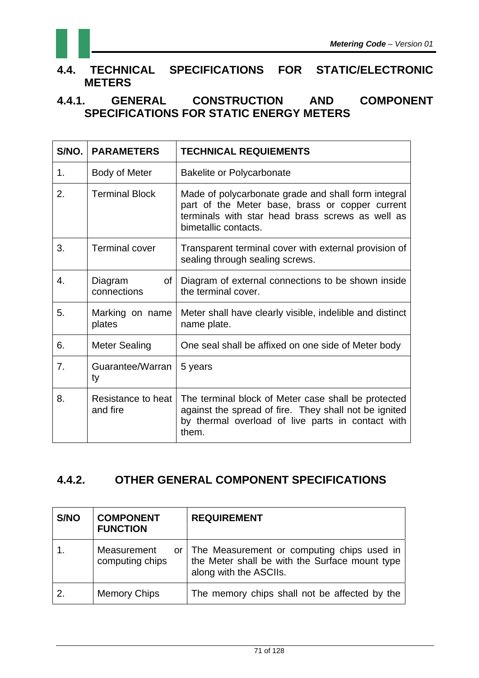

### **4.4. TECHNICAL SPECIFICATIONS FOR STATIC/ELECTRONIC METERS**

**4.4.1. GENERAL CONSTRUCTION AND COMPONENT SPECIFICATIONS FOR STATIC ENERGY METERS** 

| S/NO. | <b>PARAMETERS</b>              | <b>TECHNICAL REQUIEMENTS</b>                                                                                                                                                       |
|-------|--------------------------------|------------------------------------------------------------------------------------------------------------------------------------------------------------------------------------|
| 1.    | Body of Meter                  | <b>Bakelite or Polycarbonate</b>                                                                                                                                                   |
| 2.    | <b>Terminal Block</b>          | Made of polycarbonate grade and shall form integral<br>part of the Meter base, brass or copper current<br>terminals with star head brass screws as well as<br>bimetallic contacts. |
| 3.    | <b>Terminal cover</b>          | Transparent terminal cover with external provision of<br>sealing through sealing screws.                                                                                           |
| 4.    | Diagram<br>οf<br>connections   | Diagram of external connections to be shown inside<br>the terminal cover.                                                                                                          |
| 5.    | Marking on name<br>plates      | Meter shall have clearly visible, indelible and distinct<br>name plate.                                                                                                            |
| 6.    | <b>Meter Sealing</b>           | One seal shall be affixed on one side of Meter body                                                                                                                                |
| 7.    | Guarantee/Warran<br>ty         | 5 years                                                                                                                                                                            |
| 8.    | Resistance to heat<br>and fire | The terminal block of Meter case shall be protected<br>against the spread of fire. They shall not be ignited<br>by thermal overload of live parts in contact with<br>them.         |

### **4.4.2. OTHER GENERAL COMPONENT SPECIFICATIONS**

| S/NO | <b>COMPONENT</b><br><b>FUNCTION</b> | <b>REQUIREMENT</b>                                                                                                        |
|------|-------------------------------------|---------------------------------------------------------------------------------------------------------------------------|
|      | Measurement<br>computing chips      | or The Measurement or computing chips used in<br>the Meter shall be with the Surface mount type<br>along with the ASCIIs. |
| 2.   | <b>Memory Chips</b>                 | The memory chips shall not be affected by the                                                                             |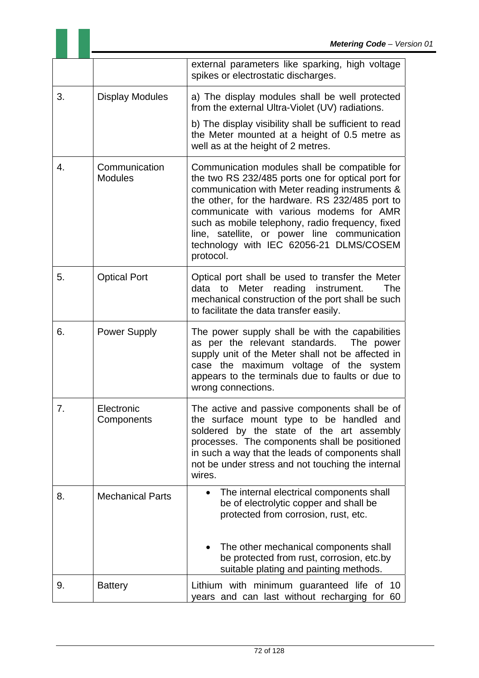|    |                                 | external parameters like sparking, high voltage<br>spikes or electrostatic discharges.                                                                                                                                                                                                                                                                                                                         |
|----|---------------------------------|----------------------------------------------------------------------------------------------------------------------------------------------------------------------------------------------------------------------------------------------------------------------------------------------------------------------------------------------------------------------------------------------------------------|
| 3. | <b>Display Modules</b>          | a) The display modules shall be well protected<br>from the external Ultra-Violet (UV) radiations.                                                                                                                                                                                                                                                                                                              |
|    |                                 | b) The display visibility shall be sufficient to read<br>the Meter mounted at a height of 0.5 metre as<br>well as at the height of 2 metres.                                                                                                                                                                                                                                                                   |
| 4. | Communication<br><b>Modules</b> | Communication modules shall be compatible for<br>the two RS 232/485 ports one for optical port for<br>communication with Meter reading instruments &<br>the other, for the hardware. RS 232/485 port to<br>communicate with various modems for AMR<br>such as mobile telephony, radio frequency, fixed<br>line, satellite, or power line communication<br>technology with IEC 62056-21 DLMS/COSEM<br>protocol. |
| 5. | <b>Optical Port</b>             | Optical port shall be used to transfer the Meter<br>to Meter reading instrument.<br>data<br>The<br>mechanical construction of the port shall be such<br>to facilitate the data transfer easily.                                                                                                                                                                                                                |
| 6. | <b>Power Supply</b>             | The power supply shall be with the capabilities<br>as per the relevant standards. The power<br>supply unit of the Meter shall not be affected in<br>case the maximum voltage of the system<br>appears to the terminals due to faults or due to<br>wrong connections.                                                                                                                                           |
| 7. | Electronic<br>Components        | The active and passive components shall be of<br>the surface mount type to be handled and<br>soldered by the state of the art assembly<br>processes. The components shall be positioned<br>in such a way that the leads of components shall<br>not be under stress and not touching the internal<br>wires.                                                                                                     |
| 8. | <b>Mechanical Parts</b>         | The internal electrical components shall<br>be of electrolytic copper and shall be<br>protected from corrosion, rust, etc.                                                                                                                                                                                                                                                                                     |
|    |                                 | The other mechanical components shall<br>be protected from rust, corrosion, etc.by<br>suitable plating and painting methods.                                                                                                                                                                                                                                                                                   |
| 9. | <b>Battery</b>                  | Lithium with minimum guaranteed life of 10<br>years and can last without recharging for 60                                                                                                                                                                                                                                                                                                                     |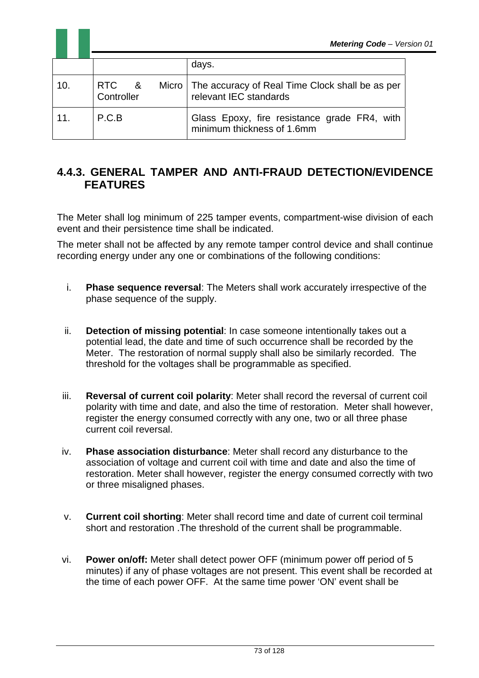|     |                     | <b>Metering Code - Verg</b>                                                       |
|-----|---------------------|-----------------------------------------------------------------------------------|
|     |                     | days.                                                                             |
| 10. | RTC &<br>Controller | Micro   The accuracy of Real Time Clock shall be as per<br>relevant IEC standards |
| 11. | P.C.B               | Glass Epoxy, fire resistance grade FR4, with<br>minimum thickness of 1.6mm        |

## **4.4.3. GENERAL TAMPER AND ANTI-FRAUD DETECTION/EVIDENCE FEATURES**

The Meter shall log minimum of 225 tamper events, compartment-wise division of each event and their persistence time shall be indicated.

The meter shall not be affected by any remote tamper control device and shall continue recording energy under any one or combinations of the following conditions:

- i. **Phase sequence reversal**: The Meters shall work accurately irrespective of the phase sequence of the supply.
- ii. **Detection of missing potential**: In case someone intentionally takes out a potential lead, the date and time of such occurrence shall be recorded by the Meter. The restoration of normal supply shall also be similarly recorded. The threshold for the voltages shall be programmable as specified.
- iii. **Reversal of current coil polarity**: Meter shall record the reversal of current coil polarity with time and date, and also the time of restoration. Meter shall however, register the energy consumed correctly with any one, two or all three phase current coil reversal.
- iv. **Phase association disturbance**: Meter shall record any disturbance to the association of voltage and current coil with time and date and also the time of restoration. Meter shall however, register the energy consumed correctly with two or three misaligned phases.
- v. **Current coil shorting**: Meter shall record time and date of current coil terminal short and restoration .The threshold of the current shall be programmable.
- vi. **Power on/off:** Meter shall detect power OFF (minimum power off period of 5 minutes) if any of phase voltages are not present. This event shall be recorded at the time of each power OFF. At the same time power 'ON' event shall be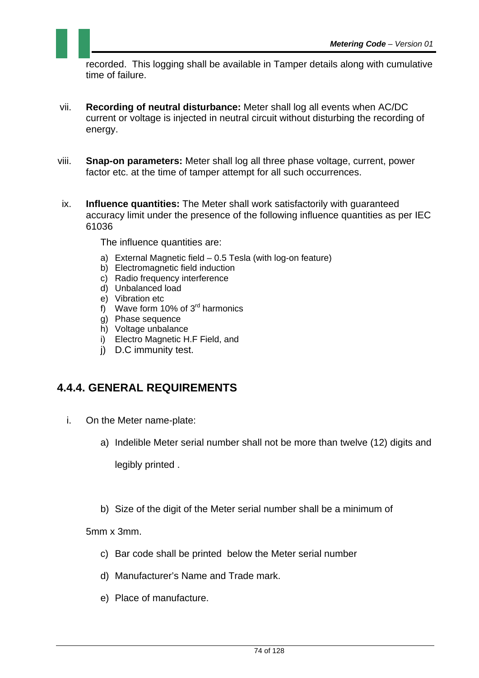recorded. This logging shall be available in Tamper details along with cumulative time of failure.

- vii. **Recording of neutral disturbance:** Meter shall log all events when AC/DC current or voltage is injected in neutral circuit without disturbing the recording of energy.
- viii. **Snap-on parameters:** Meter shall log all three phase voltage, current, power factor etc. at the time of tamper attempt for all such occurrences.
- ix. **Influence quantities:** The Meter shall work satisfactorily with guaranteed accuracy limit under the presence of the following influence quantities as per IEC 61036

The influence quantities are:

- a) External Magnetic field 0.5 Tesla (with log-on feature)
- b) Electromagnetic field induction
- c) Radio frequency interference
- d) Unbalanced load
- e) Vibration etc
- f) Wave form 10% of  $3<sup>rd</sup>$  harmonics
- g) Phase sequence
- h) Voltage unbalance
- i) Electro Magnetic H.F Field, and
- j) D.C immunity test.

# **4.4.4. GENERAL REQUIREMENTS**

- i. On the Meter name-plate:
	- a) Indelible Meter serial number shall not be more than twelve (12) digits and

legibly printed .

b) Size of the digit of the Meter serial number shall be a minimum of

5mm x 3mm.

- c) Bar code shall be printed below the Meter serial number
- d) Manufacturer's Name and Trade mark.
- e) Place of manufacture.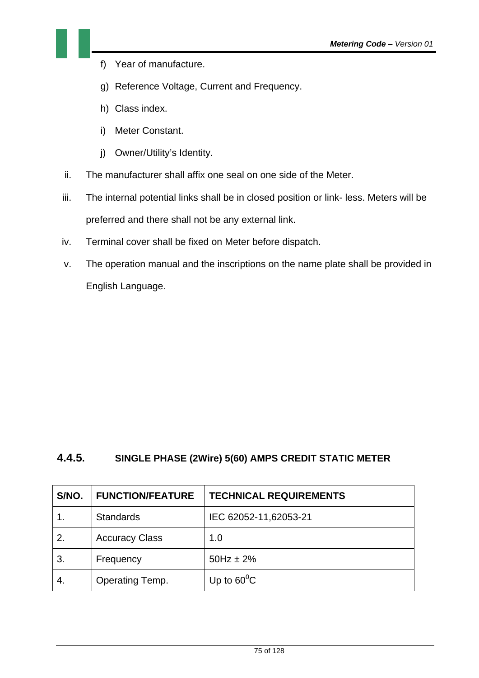- f) Year of manufacture.
- g) Reference Voltage, Current and Frequency.
- h) Class index.
- i) Meter Constant.
- j) Owner/Utility's Identity.
- ii. The manufacturer shall affix one seal on one side of the Meter.
- iii. The internal potential links shall be in closed position or link- less. Meters will be preferred and there shall not be any external link.
- iv. Terminal cover shall be fixed on Meter before dispatch.
- v. The operation manual and the inscriptions on the name plate shall be provided in English Language.

#### **4.4.5. SINGLE PHASE (2Wire) 5(60) AMPS CREDIT STATIC METER**

| S/NO. | <b>FUNCTION/FEATURE</b> | <b>TECHNICAL REQUIREMENTS</b> |
|-------|-------------------------|-------------------------------|
|       | <b>Standards</b>        | IEC 62052-11,62053-21         |
| 2.    | <b>Accuracy Class</b>   | 1.0                           |
| 3.    | Frequency               | $50Hz \pm 2%$                 |
| -4.   | Operating Temp.         | Up to $60^{\circ}$ C          |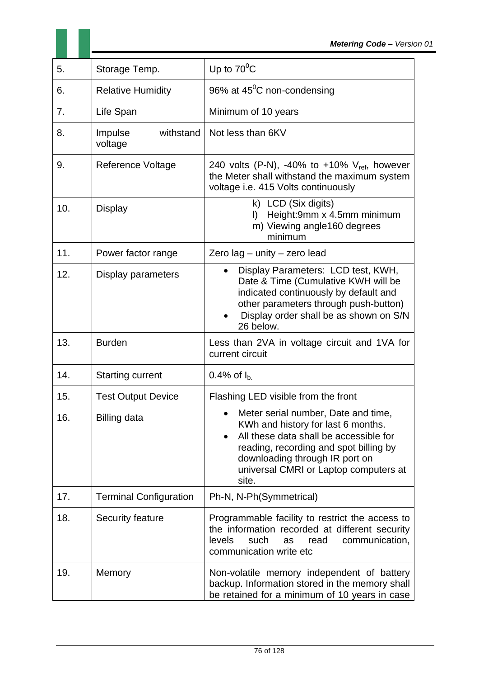| 5.  | Storage Temp.                   | Up to $70^{\circ}$ C                                                                                                                                                                                                                              |
|-----|---------------------------------|---------------------------------------------------------------------------------------------------------------------------------------------------------------------------------------------------------------------------------------------------|
| 6.  | <b>Relative Humidity</b>        | 96% at $45^{\circ}$ C non-condensing                                                                                                                                                                                                              |
| 7.  | Life Span                       | Minimum of 10 years                                                                                                                                                                                                                               |
| 8.  | withstand<br>Impulse<br>voltage | Not less than 6KV                                                                                                                                                                                                                                 |
| 9.  | <b>Reference Voltage</b>        | 240 volts (P-N), -40% to +10% $V_{ref}$ , however<br>the Meter shall withstand the maximum system<br>voltage i.e. 415 Volts continuously                                                                                                          |
| 10. | <b>Display</b>                  | k) LCD (Six digits)<br>Height:9mm x 4.5mm minimum<br>D.<br>m) Viewing angle160 degrees<br>minimum                                                                                                                                                 |
| 11. | Power factor range              | Zero lag - unity - zero lead                                                                                                                                                                                                                      |
| 12. | Display parameters              | Display Parameters: LCD test, KWH,<br>$\bullet$<br>Date & Time (Cumulative KWH will be<br>indicated continuously by default and<br>other parameters through push-button)<br>Display order shall be as shown on S/N<br>26 below.                   |
| 13. | <b>Burden</b>                   | Less than 2VA in voltage circuit and 1VA for<br>current circuit                                                                                                                                                                                   |
| 14. | <b>Starting current</b>         | 0.4% of $I_{b}$                                                                                                                                                                                                                                   |
| 15. | <b>Test Output Device</b>       | Flashing LED visible from the front                                                                                                                                                                                                               |
| 16. | <b>Billing data</b>             | Meter serial number, Date and time,<br>KWh and history for last 6 months.<br>All these data shall be accessible for<br>reading, recording and spot billing by<br>downloading through IR port on<br>universal CMRI or Laptop computers at<br>site. |
| 17. | <b>Terminal Configuration</b>   | Ph-N, N-Ph(Symmetrical)                                                                                                                                                                                                                           |
| 18. | Security feature                | Programmable facility to restrict the access to<br>the information recorded at different security<br>levels<br>such<br>read<br>communication,<br>as<br>communication write etc                                                                    |
| 19. | Memory                          | Non-volatile memory independent of battery<br>backup. Information stored in the memory shall<br>be retained for a minimum of 10 years in case                                                                                                     |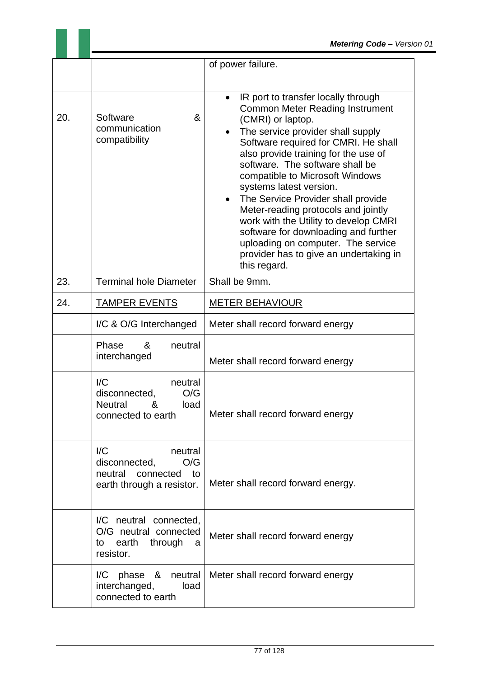|     |                                                                                                                       | of power failure.                                                                                                                                                                                                                                                                                                                                                                                                                                                                                                                                                                                                             |
|-----|-----------------------------------------------------------------------------------------------------------------------|-------------------------------------------------------------------------------------------------------------------------------------------------------------------------------------------------------------------------------------------------------------------------------------------------------------------------------------------------------------------------------------------------------------------------------------------------------------------------------------------------------------------------------------------------------------------------------------------------------------------------------|
|     |                                                                                                                       |                                                                                                                                                                                                                                                                                                                                                                                                                                                                                                                                                                                                                               |
| 20. | Software<br>&<br>communication<br>compatibility                                                                       | IR port to transfer locally through<br>$\bullet$<br><b>Common Meter Reading Instrument</b><br>(CMRI) or laptop.<br>The service provider shall supply<br>$\bullet$<br>Software required for CMRI. He shall<br>also provide training for the use of<br>software. The software shall be<br>compatible to Microsoft Windows<br>systems latest version.<br>The Service Provider shall provide<br>$\bullet$<br>Meter-reading protocols and jointly<br>work with the Utility to develop CMRI<br>software for downloading and further<br>uploading on computer. The service<br>provider has to give an undertaking in<br>this regard. |
| 23. | <b>Terminal hole Diameter</b>                                                                                         | Shall be 9mm.                                                                                                                                                                                                                                                                                                                                                                                                                                                                                                                                                                                                                 |
| 24. | <b>TAMPER EVENTS</b>                                                                                                  | <b>METER BEHAVIOUR</b>                                                                                                                                                                                                                                                                                                                                                                                                                                                                                                                                                                                                        |
|     | I/C & O/G Interchanged                                                                                                | Meter shall record forward energy                                                                                                                                                                                                                                                                                                                                                                                                                                                                                                                                                                                             |
|     | Phase<br>&<br>neutral<br>interchanged                                                                                 | Meter shall record forward energy                                                                                                                                                                                                                                                                                                                                                                                                                                                                                                                                                                                             |
|     | $\overline{IC}$<br>neutral<br>O/G<br>disconnected.<br>Neutral<br>&<br>load<br>connected to earth                      | Meter shall record forward energy                                                                                                                                                                                                                                                                                                                                                                                                                                                                                                                                                                                             |
|     | $\mathsf{I}/\mathsf{C}$<br>neutral<br>O/G<br>disconnected,<br>neutral<br>connected<br>to<br>earth through a resistor. | Meter shall record forward energy.                                                                                                                                                                                                                                                                                                                                                                                                                                                                                                                                                                                            |
|     | I/C neutral connected,<br>O/G neutral connected<br>earth<br>through<br>to<br>a<br>resistor.                           | Meter shall record forward energy                                                                                                                                                                                                                                                                                                                                                                                                                                                                                                                                                                                             |
|     | I/C<br>phase<br>&<br>neutral<br>interchanged,<br>load<br>connected to earth                                           | Meter shall record forward energy                                                                                                                                                                                                                                                                                                                                                                                                                                                                                                                                                                                             |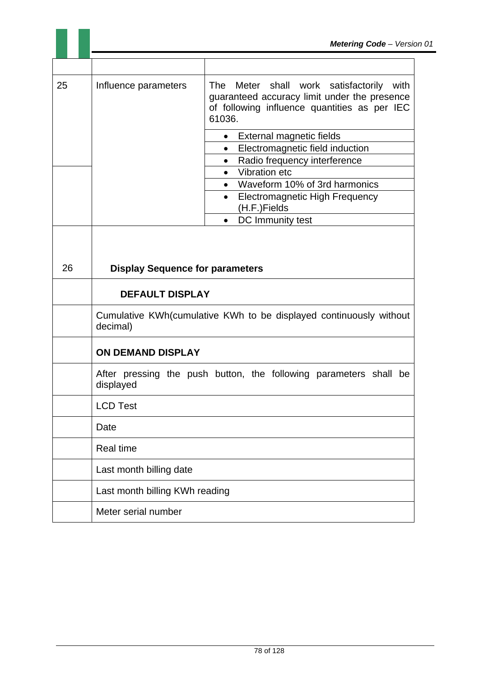| 25 | Influence parameters                                                           | shall<br>work satisfactorily<br>The<br>Meter<br>with<br>guaranteed accuracy limit under the presence<br>of following influence quantities as per IEC<br>61036. |
|----|--------------------------------------------------------------------------------|----------------------------------------------------------------------------------------------------------------------------------------------------------------|
|    |                                                                                | External magnetic fields<br>$\bullet$                                                                                                                          |
|    |                                                                                | Electromagnetic field induction<br>$\bullet$                                                                                                                   |
|    |                                                                                | Radio frequency interference<br>$\bullet$                                                                                                                      |
|    |                                                                                | <b>Vibration etc</b><br>$\bullet$                                                                                                                              |
|    |                                                                                | Waveform 10% of 3rd harmonics                                                                                                                                  |
|    |                                                                                | <b>Electromagnetic High Frequency</b>                                                                                                                          |
|    |                                                                                | (H.F.)Fields<br>DC Immunity test<br>$\bullet$                                                                                                                  |
|    |                                                                                |                                                                                                                                                                |
|    |                                                                                |                                                                                                                                                                |
|    |                                                                                |                                                                                                                                                                |
| 26 | <b>Display Sequence for parameters</b>                                         |                                                                                                                                                                |
|    | <b>DEFAULT DISPLAY</b>                                                         |                                                                                                                                                                |
|    | Cumulative KWh(cumulative KWh to be displayed continuously without<br>decimal) |                                                                                                                                                                |
|    | <b>ON DEMAND DISPLAY</b>                                                       |                                                                                                                                                                |
|    | displayed                                                                      | After pressing the push button, the following parameters shall be                                                                                              |
|    | <b>LCD Test</b>                                                                |                                                                                                                                                                |
|    | Date                                                                           |                                                                                                                                                                |
|    | <b>Real time</b>                                                               |                                                                                                                                                                |
|    | Last month billing date                                                        |                                                                                                                                                                |
|    | Last month billing KWh reading                                                 |                                                                                                                                                                |
|    | Meter serial number                                                            |                                                                                                                                                                |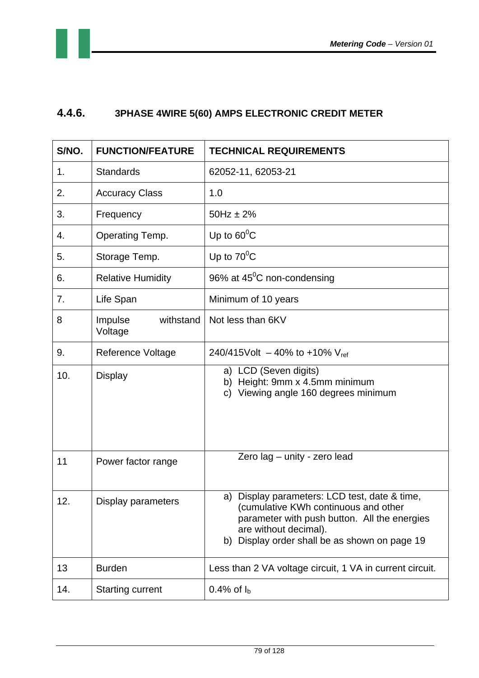

# **4.4.6. 3PHASE 4WIRE 5(60) AMPS ELECTRONIC CREDIT METER**

| S/NO. | <b>FUNCTION/FEATURE</b>         | <b>TECHNICAL REQUIREMENTS</b>                                                                                                                                                                                   |
|-------|---------------------------------|-----------------------------------------------------------------------------------------------------------------------------------------------------------------------------------------------------------------|
| 1.    | <b>Standards</b>                | 62052-11, 62053-21                                                                                                                                                                                              |
| 2.    | <b>Accuracy Class</b>           | 1.0                                                                                                                                                                                                             |
| 3.    | Frequency                       | $50Hz \pm 2\%$                                                                                                                                                                                                  |
| 4.    | Operating Temp.                 | Up to $60^{\circ}$ C                                                                                                                                                                                            |
| 5.    | Storage Temp.                   | Up to $70^{\circ}$ C                                                                                                                                                                                            |
| 6.    | <b>Relative Humidity</b>        | 96% at $45^{\circ}$ C non-condensing                                                                                                                                                                            |
| 7.    | Life Span                       | Minimum of 10 years                                                                                                                                                                                             |
| 8     | Impulse<br>withstand<br>Voltage | Not less than 6KV                                                                                                                                                                                               |
| 9.    | <b>Reference Voltage</b>        | 240/415Volt $-$ 40% to +10% V <sub>ref</sub>                                                                                                                                                                    |
| 10.   | <b>Display</b>                  | a) LCD (Seven digits)<br>b) Height: 9mm x 4.5mm minimum<br>Viewing angle 160 degrees minimum<br>C)                                                                                                              |
| 11    | Power factor range              | Zero lag - unity - zero lead                                                                                                                                                                                    |
| 12    | Display parameters              | a) Display parameters: LCD test, date & time,<br>(cumulative KWh continuous and other<br>parameter with push button. All the energies<br>are without decimal).<br>b) Display order shall be as shown on page 19 |
| 13    | <b>Burden</b>                   | Less than 2 VA voltage circuit, 1 VA in current circuit.                                                                                                                                                        |
| 14.   | <b>Starting current</b>         | 0.4% of $I_{b}$                                                                                                                                                                                                 |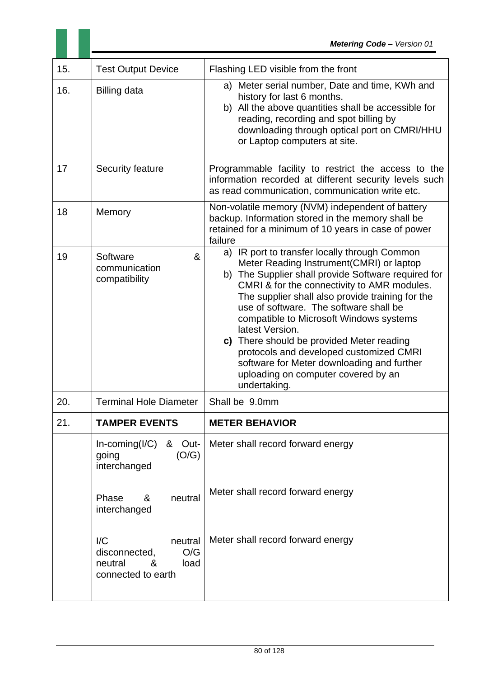| 15. | <b>Test Output Device</b>                                                                      | Flashing LED visible from the front                                                                                                                                                                                                                                                                                                                                                                                                                                                                                                                      |
|-----|------------------------------------------------------------------------------------------------|----------------------------------------------------------------------------------------------------------------------------------------------------------------------------------------------------------------------------------------------------------------------------------------------------------------------------------------------------------------------------------------------------------------------------------------------------------------------------------------------------------------------------------------------------------|
| 16. | <b>Billing data</b>                                                                            | a) Meter serial number, Date and time, KWh and<br>history for last 6 months.<br>b) All the above quantities shall be accessible for<br>reading, recording and spot billing by<br>downloading through optical port on CMRI/HHU<br>or Laptop computers at site.                                                                                                                                                                                                                                                                                            |
| 17  | Security feature                                                                               | Programmable facility to restrict the access to the<br>information recorded at different security levels such<br>as read communication, communication write etc.                                                                                                                                                                                                                                                                                                                                                                                         |
| 18  | Memory                                                                                         | Non-volatile memory (NVM) independent of battery<br>backup. Information stored in the memory shall be<br>retained for a minimum of 10 years in case of power<br>failure                                                                                                                                                                                                                                                                                                                                                                                  |
| 19  | Software<br>&<br>communication<br>compatibility                                                | a) IR port to transfer locally through Common<br>Meter Reading Instrument(CMRI) or laptop<br>b) The Supplier shall provide Software required for<br>CMRI & for the connectivity to AMR modules.<br>The supplier shall also provide training for the<br>use of software. The software shall be<br>compatible to Microsoft Windows systems<br>latest Version.<br>c) There should be provided Meter reading<br>protocols and developed customized CMRI<br>software for Meter downloading and further<br>uploading on computer covered by an<br>undertaking. |
| 20. | <b>Terminal Hole Diameter</b>                                                                  | Shall be 9.0mm                                                                                                                                                                                                                                                                                                                                                                                                                                                                                                                                           |
| 21. | <b>TAMPER EVENTS</b>                                                                           | <b>METER BEHAVIOR</b>                                                                                                                                                                                                                                                                                                                                                                                                                                                                                                                                    |
|     | $In\text{-coming}(I/C)$<br>& Out-<br>(O/G)<br>going<br>interchanged                            | Meter shall record forward energy                                                                                                                                                                                                                                                                                                                                                                                                                                                                                                                        |
|     | Phase<br>&<br>neutral<br>interchanged                                                          | Meter shall record forward energy                                                                                                                                                                                                                                                                                                                                                                                                                                                                                                                        |
|     | $\mathsf{IC}$<br>neutral<br>O/G<br>disconnected,<br>&<br>neutral<br>load<br>connected to earth | Meter shall record forward energy                                                                                                                                                                                                                                                                                                                                                                                                                                                                                                                        |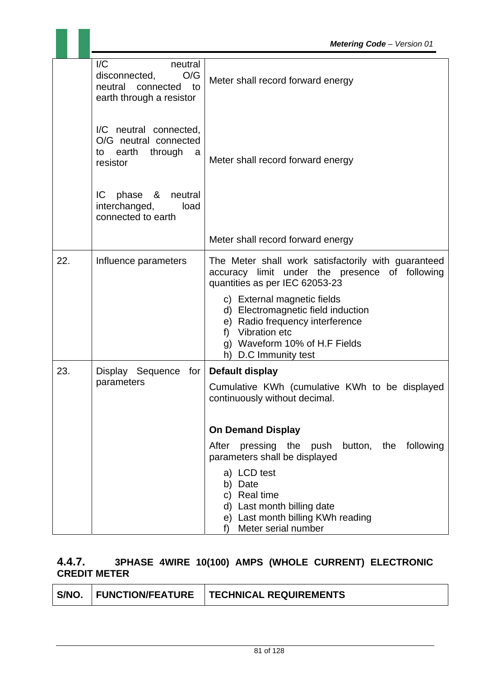|     | $\mathsf{I}/\mathsf{C}$<br>neutral<br>O/G<br>disconnected,<br>neutral<br>$\overline{\mathsf{to}}$<br>connected<br>earth through a resistor | Meter shall record forward energy                                                                                                                                                    |
|-----|--------------------------------------------------------------------------------------------------------------------------------------------|--------------------------------------------------------------------------------------------------------------------------------------------------------------------------------------|
|     | I/C neutral connected,<br>O/G neutral connected<br>earth<br>through<br>to<br>a<br>resistor                                                 | Meter shall record forward energy                                                                                                                                                    |
|     | phase & neutral<br>IC.<br>interchanged,<br>load<br>connected to earth                                                                      |                                                                                                                                                                                      |
|     |                                                                                                                                            | Meter shall record forward energy                                                                                                                                                    |
| 22. | Influence parameters                                                                                                                       | The Meter shall work satisfactorily with guaranteed<br>accuracy limit under the presence of following<br>quantities as per IEC 62053-23                                              |
|     |                                                                                                                                            | c) External magnetic fields<br>d) Electromagnetic field induction<br>e) Radio frequency interference<br>f) Vibration etc<br>g) Waveform 10% of H.F Fields<br>D.C Immunity test<br>h) |
| 23. | Display Sequence for<br>parameters                                                                                                         | Default display                                                                                                                                                                      |
|     |                                                                                                                                            | Cumulative KWh (cumulative KWh to be displayed<br>continuously without decimal.                                                                                                      |
|     |                                                                                                                                            | <b>On Demand Display</b>                                                                                                                                                             |
|     |                                                                                                                                            | pressing the push button, the<br>After<br>following<br>parameters shall be displayed                                                                                                 |
|     |                                                                                                                                            | a) LCD test<br>Date<br>b)<br><b>Real time</b><br>C)<br>d) Last month billing date<br>Last month billing KWh reading<br>e)<br>Meter serial number<br>f)                               |

# **4.4.7. 3PHASE 4WIRE 10(100) AMPS (WHOLE CURRENT) ELECTRONIC CREDIT METER**

| S/NO. | <b>FUNCTION/FEATURE</b> | <b>TECHNICAL REQUIREMENTS</b> |
|-------|-------------------------|-------------------------------|
|-------|-------------------------|-------------------------------|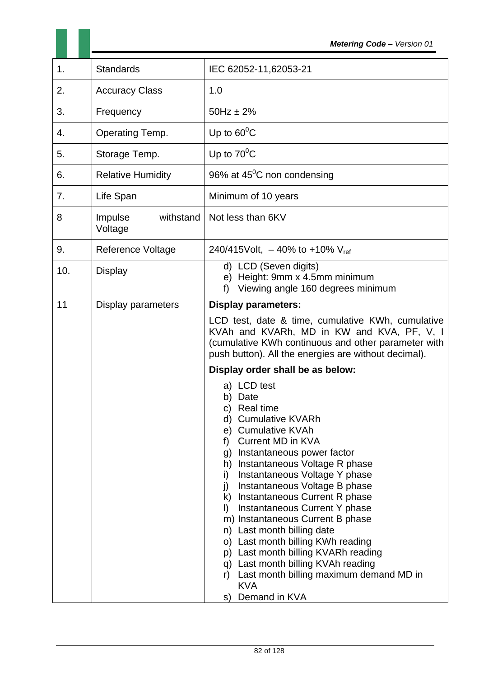| 1.  | <b>Standards</b>                | IEC 62052-11,62053-21                                                                                                                                                                                                                                                                                                                                                                                                                                                                                                                                                                                                                                                                                                                                                                                                                                                                                                                  |
|-----|---------------------------------|----------------------------------------------------------------------------------------------------------------------------------------------------------------------------------------------------------------------------------------------------------------------------------------------------------------------------------------------------------------------------------------------------------------------------------------------------------------------------------------------------------------------------------------------------------------------------------------------------------------------------------------------------------------------------------------------------------------------------------------------------------------------------------------------------------------------------------------------------------------------------------------------------------------------------------------|
| 2.  | <b>Accuracy Class</b>           | 1.0                                                                                                                                                                                                                                                                                                                                                                                                                                                                                                                                                                                                                                                                                                                                                                                                                                                                                                                                    |
| 3.  | Frequency                       | $50Hz \pm 2%$                                                                                                                                                                                                                                                                                                                                                                                                                                                                                                                                                                                                                                                                                                                                                                                                                                                                                                                          |
| 4.  | Operating Temp.                 | Up to $60^{\circ}$ C                                                                                                                                                                                                                                                                                                                                                                                                                                                                                                                                                                                                                                                                                                                                                                                                                                                                                                                   |
| 5.  | Storage Temp.                   | Up to $70^{\circ}$ C                                                                                                                                                                                                                                                                                                                                                                                                                                                                                                                                                                                                                                                                                                                                                                                                                                                                                                                   |
| 6.  | <b>Relative Humidity</b>        | 96% at $45^{\circ}$ C non condensing                                                                                                                                                                                                                                                                                                                                                                                                                                                                                                                                                                                                                                                                                                                                                                                                                                                                                                   |
| 7.  | Life Span                       | Minimum of 10 years                                                                                                                                                                                                                                                                                                                                                                                                                                                                                                                                                                                                                                                                                                                                                                                                                                                                                                                    |
| 8   | Impulse<br>withstand<br>Voltage | Not less than 6KV                                                                                                                                                                                                                                                                                                                                                                                                                                                                                                                                                                                                                                                                                                                                                                                                                                                                                                                      |
| 9.  | <b>Reference Voltage</b>        | 240/415Volt, $-40\%$ to +10% V <sub>ref</sub>                                                                                                                                                                                                                                                                                                                                                                                                                                                                                                                                                                                                                                                                                                                                                                                                                                                                                          |
| 10. | <b>Display</b>                  | d) LCD (Seven digits)<br>Height: 9mm x 4.5mm minimum<br>e)<br>Viewing angle 160 degrees minimum<br>f)                                                                                                                                                                                                                                                                                                                                                                                                                                                                                                                                                                                                                                                                                                                                                                                                                                  |
| 11  | Display parameters              | <b>Display parameters:</b><br>LCD test, date & time, cumulative KWh, cumulative<br>KVAh and KVARh, MD in KW and KVA, PF, V, I<br>(cumulative KWh continuous and other parameter with<br>push button). All the energies are without decimal).<br>Display order shall be as below:<br>a) LCD test<br>b) Date<br>c) Real time<br>d) Cumulative KVARh<br>e) Cumulative KVAh<br><b>Current MD in KVA</b><br>f<br>g) Instantaneous power factor<br>h) Instantaneous Voltage R phase<br>Instantaneous Voltage Y phase<br>i)<br>Instantaneous Voltage B phase<br>j)<br>k) Instantaneous Current R phase<br>Instantaneous Current Y phase<br>$\mathsf{I}$<br>m) Instantaneous Current B phase<br>Last month billing date<br>n)<br>Last month billing KWh reading<br>O)<br>Last month billing KVARh reading<br>p)<br>Last month billing KVAh reading<br>q)<br>Last month billing maximum demand MD in<br>r)<br><b>KVA</b><br>Demand in KVA<br>S) |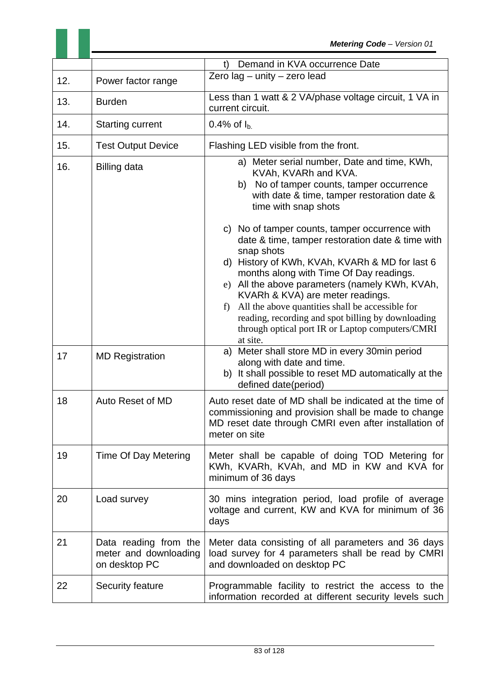|     |                                                                 | Demand in KVA occurrence Date<br>t)                                                                                                                                                                                                                                                                                                                                                                                                                                                                                                                                                                                                                                               |
|-----|-----------------------------------------------------------------|-----------------------------------------------------------------------------------------------------------------------------------------------------------------------------------------------------------------------------------------------------------------------------------------------------------------------------------------------------------------------------------------------------------------------------------------------------------------------------------------------------------------------------------------------------------------------------------------------------------------------------------------------------------------------------------|
| 12. | Power factor range                                              | Zero lag - unity - zero lead                                                                                                                                                                                                                                                                                                                                                                                                                                                                                                                                                                                                                                                      |
| 13. | <b>Burden</b>                                                   | Less than 1 watt & 2 VA/phase voltage circuit, 1 VA in<br>current circuit.                                                                                                                                                                                                                                                                                                                                                                                                                                                                                                                                                                                                        |
| 14. | <b>Starting current</b>                                         | 0.4% of $I_{b}$                                                                                                                                                                                                                                                                                                                                                                                                                                                                                                                                                                                                                                                                   |
| 15. | <b>Test Output Device</b>                                       | Flashing LED visible from the front.                                                                                                                                                                                                                                                                                                                                                                                                                                                                                                                                                                                                                                              |
| 16. | <b>Billing data</b>                                             | a) Meter serial number, Date and time, KWh,<br>KVAh, KVARh and KVA.<br>b) No of tamper counts, tamper occurrence<br>with date & time, tamper restoration date &<br>time with snap shots<br>c) No of tamper counts, tamper occurrence with<br>date & time, tamper restoration date & time with<br>snap shots<br>d) History of KWh, KVAh, KVARh & MD for last 6<br>months along with Time Of Day readings.<br>e) All the above parameters (namely KWh, KVAh,<br>KVARh & KVA) are meter readings.<br>All the above quantities shall be accessible for<br>$f$ )<br>reading, recording and spot billing by downloading<br>through optical port IR or Laptop computers/CMRI<br>at site. |
| 17  | <b>MD Registration</b>                                          | a) Meter shall store MD in every 30min period<br>along with date and time.<br>b) It shall possible to reset MD automatically at the<br>defined date(period)                                                                                                                                                                                                                                                                                                                                                                                                                                                                                                                       |
| 18  | Auto Reset of MD                                                | Auto reset date of MD shall be indicated at the time of<br>commissioning and provision shall be made to change<br>MD reset date through CMRI even after installation of<br>meter on site                                                                                                                                                                                                                                                                                                                                                                                                                                                                                          |
| 19  | Time Of Day Metering                                            | Meter shall be capable of doing TOD Metering for<br>KWh, KVARh, KVAh, and MD in KW and KVA for<br>minimum of 36 days                                                                                                                                                                                                                                                                                                                                                                                                                                                                                                                                                              |
| 20  | Load survey                                                     | 30 mins integration period, load profile of average<br>voltage and current, KW and KVA for minimum of 36<br>days                                                                                                                                                                                                                                                                                                                                                                                                                                                                                                                                                                  |
| 21  | Data reading from the<br>meter and downloading<br>on desktop PC | Meter data consisting of all parameters and 36 days<br>load survey for 4 parameters shall be read by CMRI<br>and downloaded on desktop PC                                                                                                                                                                                                                                                                                                                                                                                                                                                                                                                                         |
| 22  | Security feature                                                | Programmable facility to restrict the access to the<br>information recorded at different security levels such                                                                                                                                                                                                                                                                                                                                                                                                                                                                                                                                                                     |

 $\mathcal{L}^{\mathcal{L}}$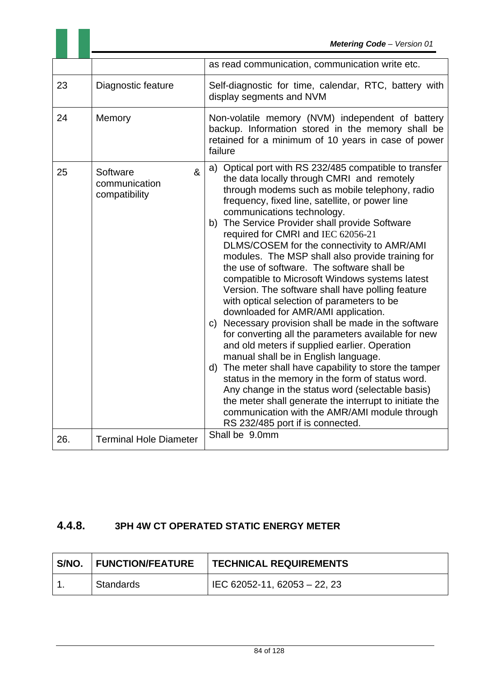|     |                                                                     | as read communication, communication write etc.                                                                                                                                                                                                                                                                                                                                                                                                                                                                                                                                                                                                                                                                                                                                                                                                                                                                                                                                                                                                                                                                                                                                                        |
|-----|---------------------------------------------------------------------|--------------------------------------------------------------------------------------------------------------------------------------------------------------------------------------------------------------------------------------------------------------------------------------------------------------------------------------------------------------------------------------------------------------------------------------------------------------------------------------------------------------------------------------------------------------------------------------------------------------------------------------------------------------------------------------------------------------------------------------------------------------------------------------------------------------------------------------------------------------------------------------------------------------------------------------------------------------------------------------------------------------------------------------------------------------------------------------------------------------------------------------------------------------------------------------------------------|
| 23  | Diagnostic feature                                                  | Self-diagnostic for time, calendar, RTC, battery with<br>display segments and NVM                                                                                                                                                                                                                                                                                                                                                                                                                                                                                                                                                                                                                                                                                                                                                                                                                                                                                                                                                                                                                                                                                                                      |
| 24  | Memory                                                              | Non-volatile memory (NVM) independent of battery<br>backup. Information stored in the memory shall be<br>retained for a minimum of 10 years in case of power<br>failure                                                                                                                                                                                                                                                                                                                                                                                                                                                                                                                                                                                                                                                                                                                                                                                                                                                                                                                                                                                                                                |
| 25  | $\boldsymbol{\alpha}$<br>Software<br>communication<br>compatibility | a) Optical port with RS 232/485 compatible to transfer<br>the data locally through CMRI and remotely<br>through modems such as mobile telephony, radio<br>frequency, fixed line, satellite, or power line<br>communications technology.<br>b) The Service Provider shall provide Software<br>required for CMRI and IEC 62056-21<br>DLMS/COSEM for the connectivity to AMR/AMI<br>modules. The MSP shall also provide training for<br>the use of software. The software shall be<br>compatible to Microsoft Windows systems latest<br>Version. The software shall have polling feature<br>with optical selection of parameters to be<br>downloaded for AMR/AMI application.<br>c) Necessary provision shall be made in the software<br>for converting all the parameters available for new<br>and old meters if supplied earlier. Operation<br>manual shall be in English language.<br>The meter shall have capability to store the tamper<br>d)<br>status in the memory in the form of status word.<br>Any change in the status word (selectable basis)<br>the meter shall generate the interrupt to initiate the<br>communication with the AMR/AMI module through<br>RS 232/485 port if is connected. |
| 26. | <b>Terminal Hole Diameter</b>                                       | Shall be 9.0mm                                                                                                                                                                                                                                                                                                                                                                                                                                                                                                                                                                                                                                                                                                                                                                                                                                                                                                                                                                                                                                                                                                                                                                                         |

# **4.4.8. 3PH 4W CT OPERATED STATIC ENERGY METER**

| S/NO.   FUNCTION/FEATURE | <b>TECHNICAL REQUIREMENTS</b>  |
|--------------------------|--------------------------------|
| Standards                | l IEC 62052-11, 62053 – 22, 23 |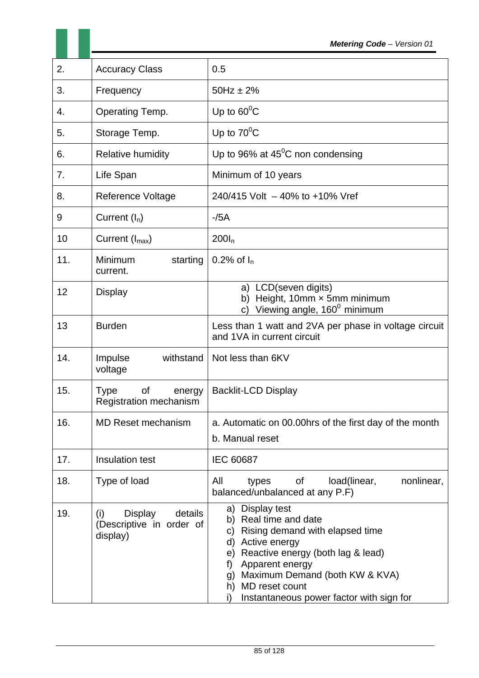| 2.  | <b>Accuracy Class</b>                                                    | 0.5                                                                                                                                                                                                                                                                                   |  |
|-----|--------------------------------------------------------------------------|---------------------------------------------------------------------------------------------------------------------------------------------------------------------------------------------------------------------------------------------------------------------------------------|--|
| 3.  | Frequency                                                                | $50Hz \pm 2%$                                                                                                                                                                                                                                                                         |  |
| 4.  | Operating Temp.                                                          | Up to $60^{\circ}$ C                                                                                                                                                                                                                                                                  |  |
| 5.  | Storage Temp.                                                            | Up to $70^{\circ}$ C                                                                                                                                                                                                                                                                  |  |
| 6.  | <b>Relative humidity</b>                                                 | Up to 96% at $45^{\circ}$ C non condensing                                                                                                                                                                                                                                            |  |
| 7.  | Life Span                                                                | Minimum of 10 years                                                                                                                                                                                                                                                                   |  |
| 8.  | <b>Reference Voltage</b>                                                 | 240/415 Volt - 40% to +10% Vref                                                                                                                                                                                                                                                       |  |
| 9   | Current $(I_n)$                                                          | $-$ /5A                                                                                                                                                                                                                                                                               |  |
| 10  | Current $(I_{max})$                                                      | $200I_n$                                                                                                                                                                                                                                                                              |  |
| 11. | Minimum<br>starting<br>current.                                          | 0.2% of $I_n$                                                                                                                                                                                                                                                                         |  |
| 12  | <b>Display</b>                                                           | a) LCD(seven digits)<br>Height, 10mm x 5mm minimum<br>b)<br>Viewing angle, 160 <sup>0</sup> minimum<br>C)                                                                                                                                                                             |  |
| 13  | <b>Burden</b>                                                            | Less than 1 watt and 2VA per phase in voltage circuit<br>and 1VA in current circuit                                                                                                                                                                                                   |  |
| 14. | Impulse<br>withstand<br>voltage                                          | Not less than 6KV                                                                                                                                                                                                                                                                     |  |
| 15. | <b>of</b><br><b>Type</b><br>energy<br><b>Registration mechanism</b>      | <b>Backlit-LCD Display</b>                                                                                                                                                                                                                                                            |  |
| 16. | <b>MD Reset mechanism</b>                                                | a. Automatic on 00.00hrs of the first day of the month<br>b. Manual reset                                                                                                                                                                                                             |  |
| 17. | Insulation test                                                          | <b>IEC 60687</b>                                                                                                                                                                                                                                                                      |  |
| 18. | Type of load                                                             | All<br>load(linear,<br>nonlinear,<br>Οf<br>types<br>balanced/unbalanced at any P.F)                                                                                                                                                                                                   |  |
| 19. | <b>Display</b><br>details<br>(i)<br>(Descriptive in order of<br>display) | a) Display test<br>b) Real time and date<br>Rising demand with elapsed time<br>C)<br>Active energy<br>d)<br>Reactive energy (both lag & lead)<br>e)<br>Apparent energy<br>f)<br>Maximum Demand (both KW & KVA)<br>g)<br>h) MD reset count<br>Instantaneous power factor with sign for |  |

H.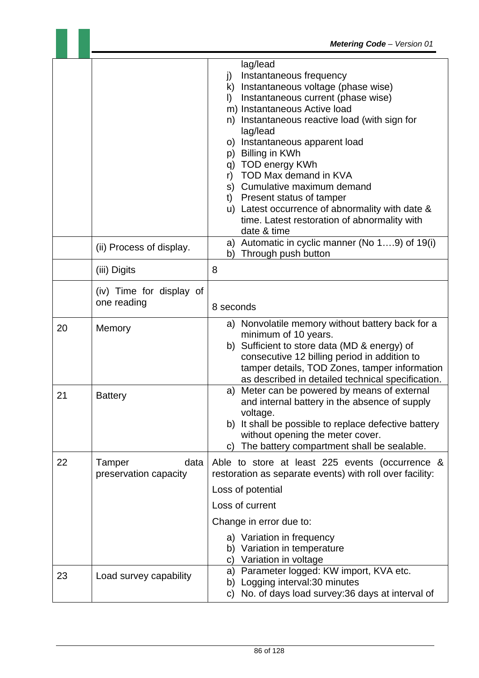|    |                                         | lag/lead<br>Instantaneous frequency<br>j)<br>k) Instantaneous voltage (phase wise)<br>Instantaneous current (phase wise)<br>$\vert$<br>m) Instantaneous Active load<br>n) Instantaneous reactive load (with sign for<br>lag/lead<br>o) Instantaneous apparent load<br>p) Billing in KWh<br>q) TOD energy KWh<br>r) TOD Max demand in KVA<br>s) Cumulative maximum demand<br>t) Present status of tamper<br>u) Latest occurrence of abnormality with date &<br>time. Latest restoration of abnormality with<br>date & time |
|----|-----------------------------------------|---------------------------------------------------------------------------------------------------------------------------------------------------------------------------------------------------------------------------------------------------------------------------------------------------------------------------------------------------------------------------------------------------------------------------------------------------------------------------------------------------------------------------|
|    | (ii) Process of display.                | a) Automatic in cyclic manner (No 19) of 19(i)<br>Through push button<br>b)                                                                                                                                                                                                                                                                                                                                                                                                                                               |
|    | (iii) Digits                            | 8                                                                                                                                                                                                                                                                                                                                                                                                                                                                                                                         |
|    | (iv) Time for display of<br>one reading | 8 seconds                                                                                                                                                                                                                                                                                                                                                                                                                                                                                                                 |
| 20 | Memory                                  | a) Nonvolatile memory without battery back for a<br>minimum of 10 years.<br>b) Sufficient to store data (MD & energy) of<br>consecutive 12 billing period in addition to<br>tamper details, TOD Zones, tamper information<br>as described in detailed technical specification.                                                                                                                                                                                                                                            |
| 21 | <b>Battery</b>                          | Meter can be powered by means of external<br>a)<br>and internal battery in the absence of supply<br>voltage.<br>b) It shall be possible to replace defective battery<br>without opening the meter cover.<br>The battery compartment shall be sealable.<br>C)                                                                                                                                                                                                                                                              |
| 22 | Tamper<br>data<br>preservation capacity | Able to store at least 225 events (occurrence &<br>restoration as separate events) with roll over facility:<br>Loss of potential<br>Loss of current<br>Change in error due to:<br>a) Variation in frequency<br>b) Variation in temperature<br>c) Variation in voltage                                                                                                                                                                                                                                                     |
| 23 | Load survey capability                  | Parameter logged: KW import, KVA etc.<br>a)<br>b) Logging interval: 30 minutes<br>No. of days load survey: 36 days at interval of<br>C)                                                                                                                                                                                                                                                                                                                                                                                   |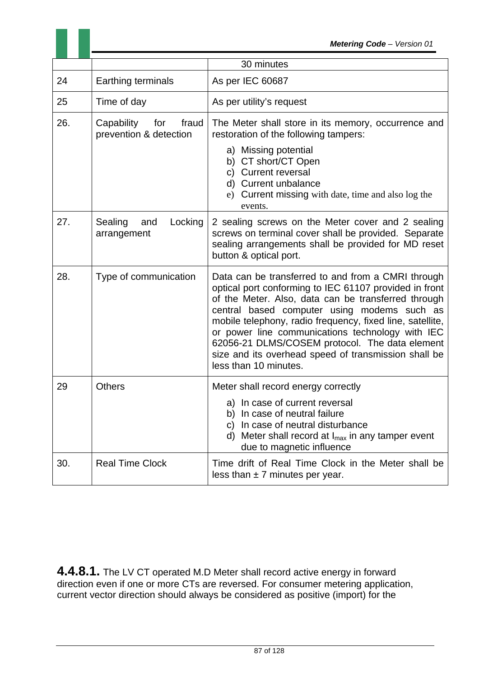|     | 30 minutes                                           |                                                                                                                                                                                                                                                                                                                                                                                                                                                                        |
|-----|------------------------------------------------------|------------------------------------------------------------------------------------------------------------------------------------------------------------------------------------------------------------------------------------------------------------------------------------------------------------------------------------------------------------------------------------------------------------------------------------------------------------------------|
| 24  | Earthing terminals                                   | As per IEC 60687                                                                                                                                                                                                                                                                                                                                                                                                                                                       |
| 25  | Time of day                                          | As per utility's request                                                                                                                                                                                                                                                                                                                                                                                                                                               |
| 26. | Capability<br>for<br>fraud<br>prevention & detection | The Meter shall store in its memory, occurrence and<br>restoration of the following tampers:                                                                                                                                                                                                                                                                                                                                                                           |
|     |                                                      | a) Missing potential<br>b) CT short/CT Open<br>c) Current reversal<br>d) Current unbalance<br>e) Current missing with date, time and also log the                                                                                                                                                                                                                                                                                                                      |
|     |                                                      | events.                                                                                                                                                                                                                                                                                                                                                                                                                                                                |
| 27. | Sealing<br>Locking<br>and<br>arrangement             | 2 sealing screws on the Meter cover and 2 sealing<br>screws on terminal cover shall be provided. Separate<br>sealing arrangements shall be provided for MD reset<br>button & optical port.                                                                                                                                                                                                                                                                             |
| 28. | Type of communication                                | Data can be transferred to and from a CMRI through<br>optical port conforming to IEC 61107 provided in front<br>of the Meter. Also, data can be transferred through<br>central based computer using modems such as<br>mobile telephony, radio frequency, fixed line, satellite,<br>or power line communications technology with IEC<br>62056-21 DLMS/COSEM protocol. The data element<br>size and its overhead speed of transmission shall be<br>less than 10 minutes. |
| 29  | <b>Others</b>                                        | Meter shall record energy correctly                                                                                                                                                                                                                                                                                                                                                                                                                                    |
|     |                                                      | a) In case of current reversal<br>b) In case of neutral failure<br>c) In case of neutral disturbance<br>d) Meter shall record at $I_{max}$ in any tamper event<br>due to magnetic influence                                                                                                                                                                                                                                                                            |
| 30. | <b>Real Time Clock</b>                               | Time drift of Real Time Clock in the Meter shall be<br>less than $\pm$ 7 minutes per year.                                                                                                                                                                                                                                                                                                                                                                             |

**4.4.8.1.** The LV CT operated M.D Meter shall record active energy in forward direction even if one or more CTs are reversed. For consumer metering application, current vector direction should always be considered as positive (import) for the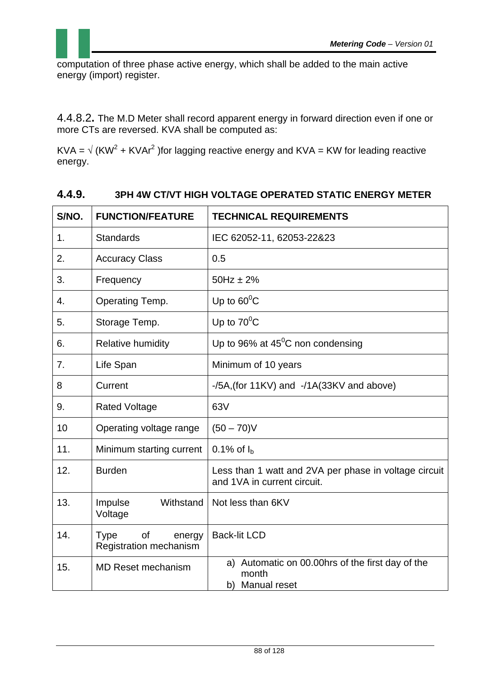computation of three phase active energy, which shall be added to the main active energy (import) register.

4.4.8.2**.** The M.D Meter shall record apparent energy in forward direction even if one or more CTs are reversed. KVA shall be computed as:

KVA =  $\sqrt{(KW^2 + KVAr^2)}$  for lagging reactive energy and KVA = KW for leading reactive energy.

| S/NO. | <b>FUNCTION/FEATURE</b>                               | <b>TECHNICAL REQUIREMENTS</b>                                                        |  |
|-------|-------------------------------------------------------|--------------------------------------------------------------------------------------|--|
| 1.    | <b>Standards</b>                                      | IEC 62052-11, 62053-22&23                                                            |  |
| 2.    | <b>Accuracy Class</b>                                 | 0.5                                                                                  |  |
| 3.    | Frequency                                             | $50Hz \pm 2%$                                                                        |  |
| 4.    | Operating Temp.                                       | Up to $60^{\circ}$ C                                                                 |  |
| 5.    | Storage Temp.                                         | Up to $70^{\circ}$ C                                                                 |  |
| 6.    | <b>Relative humidity</b>                              | Up to 96% at $45^{\circ}$ C non condensing                                           |  |
| 7.    | Life Span                                             | Minimum of 10 years                                                                  |  |
| 8     | Current                                               | $-$ /5A, (for 11KV) and $-$ /1A(33KV and above)                                      |  |
| 9.    | <b>Rated Voltage</b>                                  | 63V                                                                                  |  |
| 10    | Operating voltage range                               | $(50 - 70)$ V                                                                        |  |
| 11.   | Minimum starting current                              | 0.1% of $I_h$                                                                        |  |
| 12.   | <b>Burden</b>                                         | Less than 1 watt and 2VA per phase in voltage circuit<br>and 1VA in current circuit. |  |
| 13.   | Impulse<br>Withstand<br>Voltage                       | Not less than 6KV                                                                    |  |
| 14.   | Type<br><b>of</b><br>energy<br>Registration mechanism | <b>Back-lit LCD</b>                                                                  |  |
| 15.   | <b>MD Reset mechanism</b>                             | a) Automatic on 00.00hrs of the first day of the<br>month<br>b) Manual reset         |  |

# **4.4.9. 3PH 4W CT/VT HIGH VOLTAGE OPERATED STATIC ENERGY METER**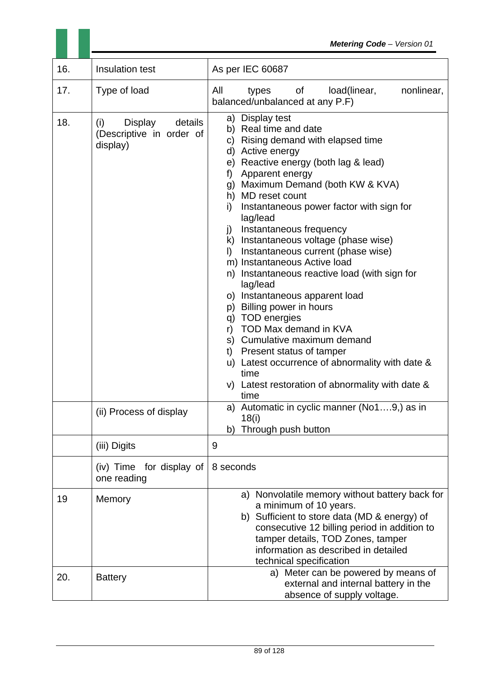|     |                                                                          | <b>Metering Code - Version 01</b>                                                                                                                                                                                                                                                                                                                                                                                                                                                                                                                                                                                                                                                                                                                                                                                                     |
|-----|--------------------------------------------------------------------------|---------------------------------------------------------------------------------------------------------------------------------------------------------------------------------------------------------------------------------------------------------------------------------------------------------------------------------------------------------------------------------------------------------------------------------------------------------------------------------------------------------------------------------------------------------------------------------------------------------------------------------------------------------------------------------------------------------------------------------------------------------------------------------------------------------------------------------------|
| 16. | Insulation test                                                          | As per IEC 60687                                                                                                                                                                                                                                                                                                                                                                                                                                                                                                                                                                                                                                                                                                                                                                                                                      |
| 17. | Type of load                                                             | All<br>nonlinear,<br>of<br>load(linear,<br>types<br>balanced/unbalanced at any P.F)                                                                                                                                                                                                                                                                                                                                                                                                                                                                                                                                                                                                                                                                                                                                                   |
| 18. | (i)<br><b>Display</b><br>details<br>(Descriptive in order of<br>display) | a) Display test<br>b) Real time and date<br>c) Rising demand with elapsed time<br>d) Active energy<br>e) Reactive energy (both lag & lead)<br>Apparent energy<br>f)<br>g) Maximum Demand (both KW & KVA)<br>h) MD reset count<br>Instantaneous power factor with sign for<br>i)<br>lag/lead<br>Instantaneous frequency<br>j)<br>k) Instantaneous voltage (phase wise)<br>Instantaneous current (phase wise)<br>$\mathbf{D}$<br>m) Instantaneous Active load<br>n) Instantaneous reactive load (with sign for<br>lag/lead<br>o) Instantaneous apparent load<br>p) Billing power in hours<br>q) TOD energies<br>TOD Max demand in KVA<br>r)<br>s) Cumulative maximum demand<br>Present status of tamper<br>$t$ )<br>u) Latest occurrence of abnormality with date &<br>time<br>v) Latest restoration of abnormality with date &<br>time |
|     | (ii) Process of display                                                  | a) Automatic in cyclic manner (No19,) as in<br>18(i)<br>Through push button<br>b)                                                                                                                                                                                                                                                                                                                                                                                                                                                                                                                                                                                                                                                                                                                                                     |
|     | (iii) Digits                                                             | 9                                                                                                                                                                                                                                                                                                                                                                                                                                                                                                                                                                                                                                                                                                                                                                                                                                     |
|     | (iv) Time for display of<br>one reading                                  | 8 seconds                                                                                                                                                                                                                                                                                                                                                                                                                                                                                                                                                                                                                                                                                                                                                                                                                             |
| 19  | Memory                                                                   | a) Nonvolatile memory without battery back for<br>a minimum of 10 years.<br>b) Sufficient to store data (MD & energy) of<br>consecutive 12 billing period in addition to<br>tamper details, TOD Zones, tamper<br>information as described in detailed<br>technical specification                                                                                                                                                                                                                                                                                                                                                                                                                                                                                                                                                      |
| 20. | <b>Battery</b>                                                           | a) Meter can be powered by means of<br>external and internal battery in the<br>absence of supply voltage.                                                                                                                                                                                                                                                                                                                                                                                                                                                                                                                                                                                                                                                                                                                             |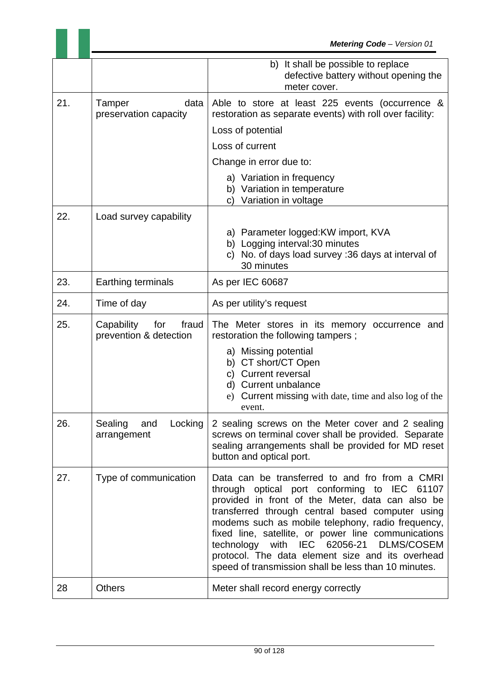|     |                                                      | b) It shall be possible to replace<br>defective battery without opening the<br>meter cover.                                                                                                                                                                                                                                                                                                                                                                               |  |
|-----|------------------------------------------------------|---------------------------------------------------------------------------------------------------------------------------------------------------------------------------------------------------------------------------------------------------------------------------------------------------------------------------------------------------------------------------------------------------------------------------------------------------------------------------|--|
| 21. | Tamper<br>data<br>preservation capacity              | Able to store at least 225 events (occurrence &<br>restoration as separate events) with roll over facility:                                                                                                                                                                                                                                                                                                                                                               |  |
|     |                                                      | Loss of potential                                                                                                                                                                                                                                                                                                                                                                                                                                                         |  |
|     |                                                      | Loss of current                                                                                                                                                                                                                                                                                                                                                                                                                                                           |  |
|     |                                                      | Change in error due to:                                                                                                                                                                                                                                                                                                                                                                                                                                                   |  |
|     |                                                      | a) Variation in frequency<br>b) Variation in temperature<br>c) Variation in voltage                                                                                                                                                                                                                                                                                                                                                                                       |  |
| 22. | Load survey capability                               |                                                                                                                                                                                                                                                                                                                                                                                                                                                                           |  |
|     |                                                      | a) Parameter logged: KW import, KVA<br>b) Logging interval:30 minutes<br>c) No. of days load survey :36 days at interval of<br>30 minutes                                                                                                                                                                                                                                                                                                                                 |  |
| 23. | Earthing terminals                                   | As per IEC 60687                                                                                                                                                                                                                                                                                                                                                                                                                                                          |  |
| 24. | Time of day                                          | As per utility's request                                                                                                                                                                                                                                                                                                                                                                                                                                                  |  |
| 25. | Capability<br>for<br>fraud<br>prevention & detection | The Meter stores in its memory occurrence and<br>restoration the following tampers;                                                                                                                                                                                                                                                                                                                                                                                       |  |
|     |                                                      | a) Missing potential                                                                                                                                                                                                                                                                                                                                                                                                                                                      |  |
|     |                                                      | b) CT short/CT Open<br>c) Current reversal                                                                                                                                                                                                                                                                                                                                                                                                                                |  |
|     |                                                      | d) Current unbalance                                                                                                                                                                                                                                                                                                                                                                                                                                                      |  |
|     |                                                      | Current missing with date, time and also log of the<br>e)<br>event.                                                                                                                                                                                                                                                                                                                                                                                                       |  |
| 26. | Sealing<br>Locking<br>and<br>arrangement             | 2 sealing screws on the Meter cover and 2 sealing<br>screws on terminal cover shall be provided. Separate<br>sealing arrangements shall be provided for MD reset<br>button and optical port.                                                                                                                                                                                                                                                                              |  |
| 27. | Type of communication                                | Data can be transferred to and fro from a CMRI<br>through optical port conforming to IEC 61107<br>provided in front of the Meter, data can also be<br>transferred through central based computer using<br>modems such as mobile telephony, radio frequency,<br>fixed line, satellite, or power line communications<br>technology with IEC 62056-21 DLMS/COSEM<br>protocol. The data element size and its overhead<br>speed of transmission shall be less than 10 minutes. |  |
| 28  | <b>Others</b>                                        | Meter shall record energy correctly                                                                                                                                                                                                                                                                                                                                                                                                                                       |  |

×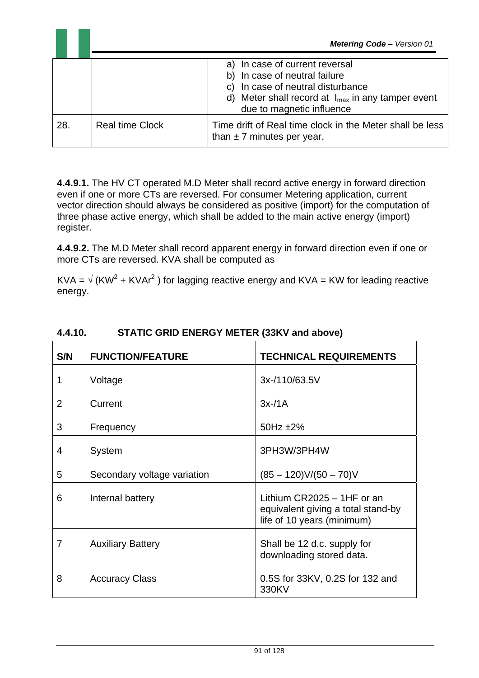|     | <b>Metering Code</b> - Version 01 |                                                                                                                                                                                             |  |
|-----|-----------------------------------|---------------------------------------------------------------------------------------------------------------------------------------------------------------------------------------------|--|
|     |                                   | a) In case of current reversal<br>b) In case of neutral failure<br>c) In case of neutral disturbance<br>d) Meter shall record at $I_{max}$ in any tamper event<br>due to magnetic influence |  |
| 28. | <b>Real time Clock</b>            | Time drift of Real time clock in the Meter shall be less<br>than $\pm$ 7 minutes per year.                                                                                                  |  |

**4.4.9.1.** The HV CT operated M.D Meter shall record active energy in forward direction even if one or more CTs are reversed. For consumer Metering application, current vector direction should always be considered as positive (import) for the computation of three phase active energy, which shall be added to the main active energy (import) register.

**4.4.9.2.** The M.D Meter shall record apparent energy in forward direction even if one or more CTs are reversed. KVA shall be computed as

KVA =  $\sqrt{(KW^2 + KVar^2)}$  for lagging reactive energy and KVA = KW for leading reactive energy.

| S/N | <b>FUNCTION/FEATURE</b>     | <b>TECHNICAL REQUIREMENTS</b>                                                                    |
|-----|-----------------------------|--------------------------------------------------------------------------------------------------|
| 1   | Voltage                     | 3x-/110/63.5V                                                                                    |
| 2   | Current                     | $3x-14$                                                                                          |
| 3   | Frequency                   | 50Hz $±2\%$                                                                                      |
| 4   | System                      | 3PH3W/3PH4W                                                                                      |
| 5   | Secondary voltage variation | $(85 - 120)V/(50 - 70)V$                                                                         |
| 6   | Internal battery            | Lithium $CR2025 - 1HF$ or an<br>equivalent giving a total stand-by<br>life of 10 years (minimum) |
| 7   | <b>Auxiliary Battery</b>    | Shall be 12 d.c. supply for<br>downloading stored data.                                          |
| 8   | <b>Accuracy Class</b>       | 0.5S for 33KV, 0.2S for 132 and<br>330KV                                                         |

#### **4.4.10. STATIC GRID ENERGY METER (33KV and above)**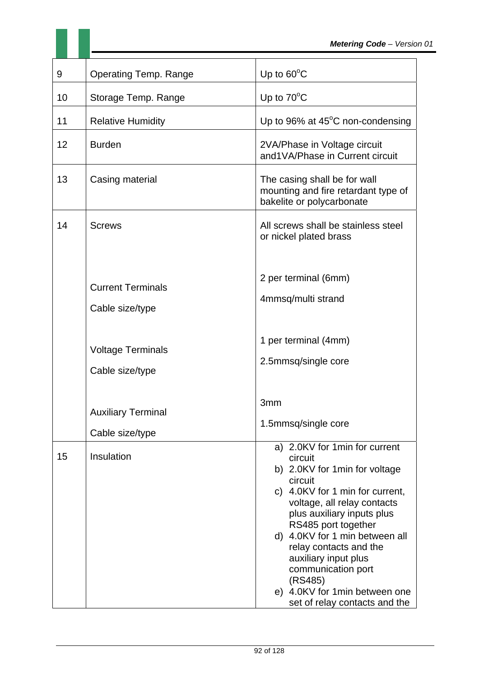| 9  | <b>Operating Temp. Range</b>                 | Up to $60^{\circ}$ C                                                                                                                                                                                                                                                                                                                                                                                 |
|----|----------------------------------------------|------------------------------------------------------------------------------------------------------------------------------------------------------------------------------------------------------------------------------------------------------------------------------------------------------------------------------------------------------------------------------------------------------|
| 10 | Storage Temp. Range                          | Up to $70^{\circ}$ C                                                                                                                                                                                                                                                                                                                                                                                 |
| 11 | <b>Relative Humidity</b>                     | Up to 96% at $45^{\circ}$ C non-condensing                                                                                                                                                                                                                                                                                                                                                           |
| 12 | <b>Burden</b>                                | 2VA/Phase in Voltage circuit<br>and1VA/Phase in Current circuit                                                                                                                                                                                                                                                                                                                                      |
| 13 | Casing material                              | The casing shall be for wall<br>mounting and fire retardant type of<br>bakelite or polycarbonate                                                                                                                                                                                                                                                                                                     |
| 14 | <b>Screws</b>                                | All screws shall be stainless steel<br>or nickel plated brass                                                                                                                                                                                                                                                                                                                                        |
|    | <b>Current Terminals</b><br>Cable size/type  | 2 per terminal (6mm)<br>4mmsq/multi strand                                                                                                                                                                                                                                                                                                                                                           |
|    | <b>Voltage Terminals</b><br>Cable size/type  | 1 per terminal (4mm)<br>2.5mmsq/single core                                                                                                                                                                                                                                                                                                                                                          |
|    | <b>Auxiliary Terminal</b><br>Cable size/type | 3mm<br>1.5mmsq/single core                                                                                                                                                                                                                                                                                                                                                                           |
| 15 | Insulation                                   | a) 2.0KV for 1 min for current<br>circuit<br>b) 2.0KV for 1 min for voltage<br>circuit<br>c) 4.0KV for 1 min for current,<br>voltage, all relay contacts<br>plus auxiliary inputs plus<br>RS485 port together<br>d) 4.0KV for 1 min between all<br>relay contacts and the<br>auxiliary input plus<br>communication port<br>(RS485)<br>e) 4.0KV for 1min between one<br>set of relay contacts and the |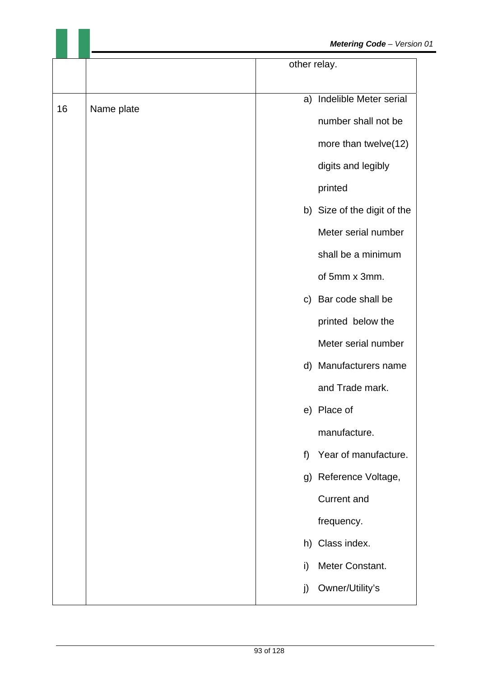|    |            | other relay. |                             |
|----|------------|--------------|-----------------------------|
|    |            |              |                             |
| 16 | Name plate |              | a) Indelible Meter serial   |
|    |            |              | number shall not be         |
|    |            |              | more than twelve(12)        |
|    |            |              | digits and legibly          |
|    |            |              | printed                     |
|    |            |              | b) Size of the digit of the |
|    |            |              | Meter serial number         |
|    |            |              | shall be a minimum          |
|    |            |              | of 5mm x 3mm.               |
|    |            |              | c) Bar code shall be        |
|    |            |              | printed below the           |
|    |            |              | Meter serial number         |
|    |            |              | d) Manufacturers name       |
|    |            |              | and Trade mark.             |
|    |            |              | e) Place of                 |
|    |            |              | manufacture.                |
|    |            | f)           | Year of manufacture.        |
|    |            |              | g) Reference Voltage,       |
|    |            |              | <b>Current and</b>          |
|    |            |              | frequency.                  |
|    |            | h)           | Class index.                |
|    |            | i)           | Meter Constant.             |
|    |            | j)           | Owner/Utility's             |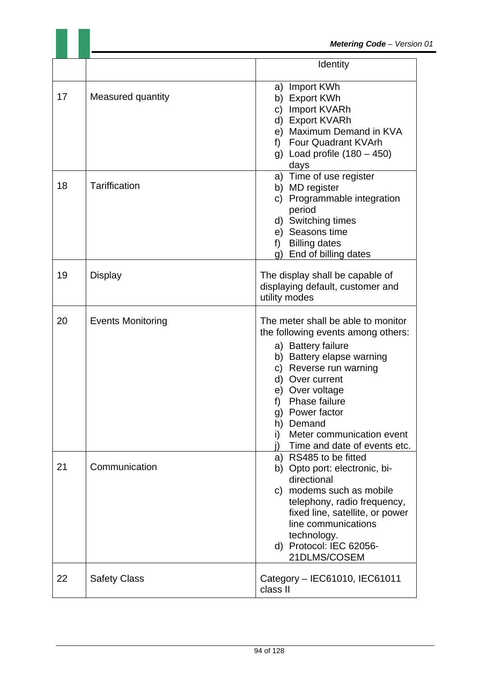|    |                          | Identity                                                                                                                                                                                                                                                                                                                    |  |
|----|--------------------------|-----------------------------------------------------------------------------------------------------------------------------------------------------------------------------------------------------------------------------------------------------------------------------------------------------------------------------|--|
| 17 | Measured quantity        | Import KWh<br>a)<br>b) Export KWh<br>c) Import KVARh<br>d) Export KVARh<br>e) Maximum Demand in KVA<br>f) Four Quadrant KVArh<br>g) Load profile $(180 - 450)$<br>days                                                                                                                                                      |  |
| 18 | <b>Tariffication</b>     | a) Time of use register<br>b) MD register<br>Programmable integration<br>C)<br>period<br>d) Switching times<br>e) Seasons time<br><b>Billing dates</b><br>f)<br>End of billing dates<br>g)                                                                                                                                  |  |
| 19 | <b>Display</b>           | The display shall be capable of<br>displaying default, customer and<br>utility modes                                                                                                                                                                                                                                        |  |
| 20 | <b>Events Monitoring</b> | The meter shall be able to monitor<br>the following events among others:<br>a) Battery failure<br>b) Battery elapse warning<br>Reverse run warning<br>C)<br>d) Over current<br>e) Over voltage<br>Phase failure<br>f)<br>Power factor<br>g)<br>h) Demand<br>Meter communication event<br>i)<br>Time and date of events etc. |  |
| 21 | Communication            | a) RS485 to be fitted<br>b) Opto port: electronic, bi-<br>directional<br>c) modems such as mobile<br>telephony, radio frequency,<br>fixed line, satellite, or power<br>line communications<br>technology.<br>d) Protocol: IEC 62056-<br>21DLMS/COSEM                                                                        |  |
| 22 | <b>Safety Class</b>      | Category - IEC61010, IEC61011<br>class II                                                                                                                                                                                                                                                                                   |  |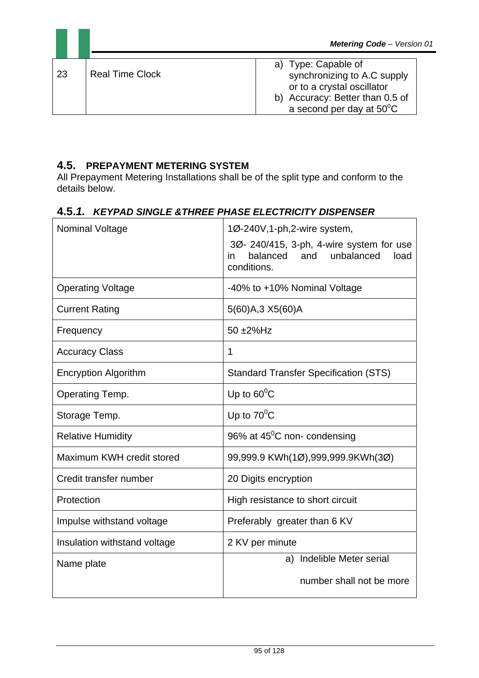| -23 | <b>Real Time Clock</b> | a) Type: Capable of<br>synchronizing to A.C supply<br>or to a crystal oscillator<br>b) Accuracy: Better than 0.5 of<br>a second per day at $50^{\circ}$ C |
|-----|------------------------|-----------------------------------------------------------------------------------------------------------------------------------------------------------|

# **4.5. PREPAYMENT METERING SYSTEM**

All Prepayment Metering Installations shall be of the split type and conform to the details below.

#### **4.5.***1.**KEYPAD SINGLE &THREE PHASE ELECTRICITY DISPENSER*

| Nominal Voltage              | 1Ø-240V, 1-ph, 2-wire system,                                                                       |
|------------------------------|-----------------------------------------------------------------------------------------------------|
|                              | 3Ø- 240/415, 3-ph, 4-wire system for use<br>balanced<br>and unbalanced<br>in<br>load<br>conditions. |
| <b>Operating Voltage</b>     | -40% to +10% Nominal Voltage                                                                        |
| <b>Current Rating</b>        | 5(60)A,3 X5(60)A                                                                                    |
| Frequency                    | 50 ±2%Hz                                                                                            |
| <b>Accuracy Class</b>        | 1                                                                                                   |
| <b>Encryption Algorithm</b>  | <b>Standard Transfer Specification (STS)</b>                                                        |
| Operating Temp.              | Up to $60^{\circ}$ C                                                                                |
| Storage Temp.                | Up to $70^{\circ}$ C                                                                                |
| <b>Relative Humidity</b>     | 96% at $45^{\circ}$ C non-condensing                                                                |
| Maximum KWH credit stored    | 99,999.9 KWh(1Ø),999,999.9KWh(3Ø)                                                                   |
| Credit transfer number       | 20 Digits encryption                                                                                |
| Protection                   | High resistance to short circuit                                                                    |
| Impulse withstand voltage    | Preferably greater than 6 KV                                                                        |
| Insulation withstand voltage | 2 KV per minute                                                                                     |
| Name plate                   | Indelible Meter serial<br>a)                                                                        |
|                              | number shall not be more                                                                            |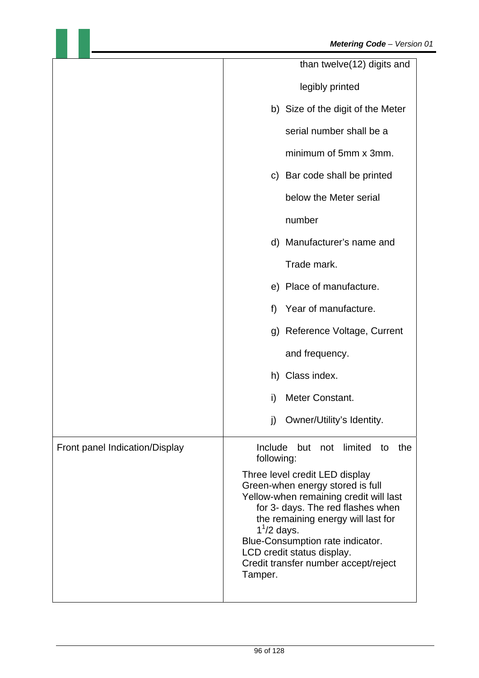|                                | than twelve(12) digits and                                                                                                                                                                                                                                                                                                   |
|--------------------------------|------------------------------------------------------------------------------------------------------------------------------------------------------------------------------------------------------------------------------------------------------------------------------------------------------------------------------|
|                                | legibly printed                                                                                                                                                                                                                                                                                                              |
|                                | b) Size of the digit of the Meter                                                                                                                                                                                                                                                                                            |
|                                | serial number shall be a                                                                                                                                                                                                                                                                                                     |
|                                | minimum of 5mm x 3mm.                                                                                                                                                                                                                                                                                                        |
|                                | c) Bar code shall be printed                                                                                                                                                                                                                                                                                                 |
|                                | below the Meter serial                                                                                                                                                                                                                                                                                                       |
|                                | number                                                                                                                                                                                                                                                                                                                       |
|                                | d) Manufacturer's name and                                                                                                                                                                                                                                                                                                   |
|                                | Trade mark.                                                                                                                                                                                                                                                                                                                  |
|                                | e) Place of manufacture.                                                                                                                                                                                                                                                                                                     |
|                                | Year of manufacture.<br>f)                                                                                                                                                                                                                                                                                                   |
|                                | g) Reference Voltage, Current                                                                                                                                                                                                                                                                                                |
|                                | and frequency.                                                                                                                                                                                                                                                                                                               |
|                                | h) Class index.                                                                                                                                                                                                                                                                                                              |
|                                | Meter Constant.<br>i)                                                                                                                                                                                                                                                                                                        |
|                                | Owner/Utility's Identity.<br>j)                                                                                                                                                                                                                                                                                              |
| Front panel Indication/Display | Include<br>limited<br>but<br>not<br>the<br>to<br>following:                                                                                                                                                                                                                                                                  |
|                                | Three level credit LED display<br>Green-when energy stored is full<br>Yellow-when remaining credit will last<br>for 3- days. The red flashes when<br>the remaining energy will last for<br>$11/2$ days.<br>Blue-Consumption rate indicator.<br>LCD credit status display.<br>Credit transfer number accept/reject<br>Tamper. |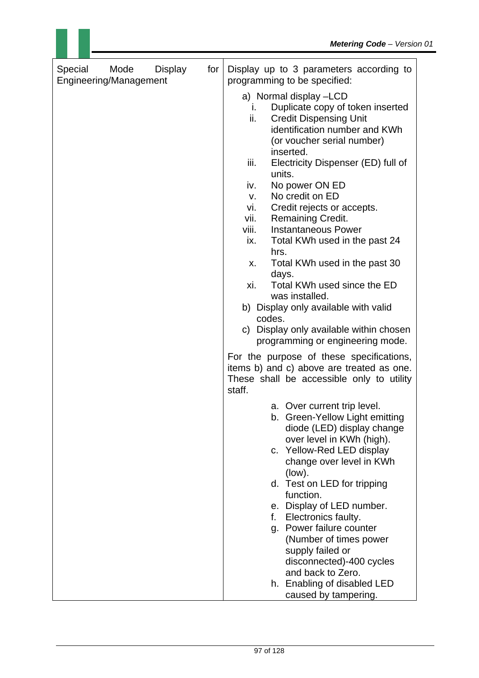| Special<br>Mode<br><b>Display</b><br>for<br>Engineering/Management | Display up to 3 parameters according to<br>programming to be specified:                                                                                                                                                                                                                                                                                                                                                                                                                                                                                                                                                                                                                          |
|--------------------------------------------------------------------|--------------------------------------------------------------------------------------------------------------------------------------------------------------------------------------------------------------------------------------------------------------------------------------------------------------------------------------------------------------------------------------------------------------------------------------------------------------------------------------------------------------------------------------------------------------------------------------------------------------------------------------------------------------------------------------------------|
|                                                                    | a) Normal display -LCD<br>Duplicate copy of token inserted<br>İ.<br>ii.<br><b>Credit Dispensing Unit</b><br>identification number and KWh<br>(or voucher serial number)<br>inserted.<br>iii.<br>Electricity Dispenser (ED) full of<br>units.<br>No power ON ED<br>iv.<br>No credit on ED<br>V.<br>Credit rejects or accepts.<br>vi.<br>vii.<br>Remaining Credit.<br><b>Instantaneous Power</b><br>viii.<br>Total KWh used in the past 24<br>ix.<br>hrs.<br>Total KWh used in the past 30<br>х.<br>days.<br>Total KWh used since the ED<br>xi.<br>was installed.<br>b) Display only available with valid<br>codes.<br>c) Display only available within chosen<br>programming or engineering mode. |
|                                                                    | For the purpose of these specifications,<br>items b) and c) above are treated as one.<br>These shall be accessible only to utility<br>staff.                                                                                                                                                                                                                                                                                                                                                                                                                                                                                                                                                     |
|                                                                    | a. Over current trip level.<br>b. Green-Yellow Light emitting<br>diode (LED) display change<br>over level in KWh (high).<br>c. Yellow-Red LED display<br>change over level in KWh<br>(low).<br>d. Test on LED for tripping<br>function.<br>e. Display of LED number.<br>Electronics faulty.<br>f.<br>g. Power failure counter<br>(Number of times power<br>supply failed or<br>disconnected)-400 cycles<br>and back to Zero.                                                                                                                                                                                                                                                                     |
|                                                                    | h. Enabling of disabled LED<br>caused by tampering.                                                                                                                                                                                                                                                                                                                                                                                                                                                                                                                                                                                                                                              |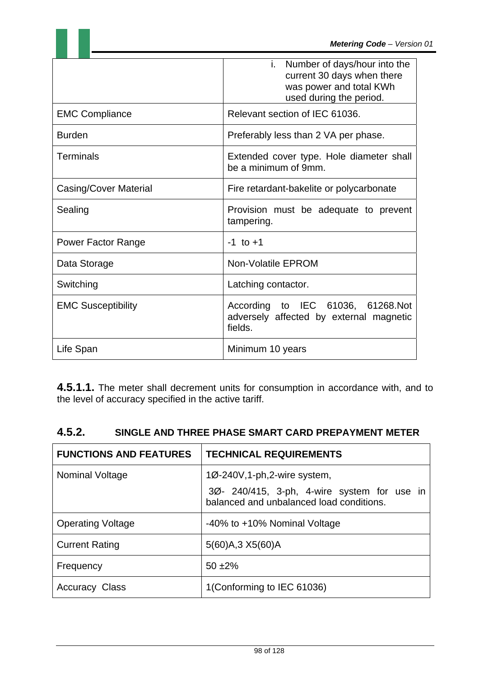| <b>EMC Compliance</b>     | i. Number of days/hour into the<br>current 30 days when there<br>was power and total KWh<br>used during the period.<br>Relevant section of IEC 61036. |
|---------------------------|-------------------------------------------------------------------------------------------------------------------------------------------------------|
| <b>Burden</b>             | Preferably less than 2 VA per phase.                                                                                                                  |
| Terminals                 | Extended cover type. Hole diameter shall<br>be a minimum of 9mm.                                                                                      |
| Casing/Cover Material     | Fire retardant-bakelite or polycarbonate                                                                                                              |
| Sealing                   | Provision must be adequate to prevent<br>tampering.                                                                                                   |
| <b>Power Factor Range</b> | $-1$ to $+1$                                                                                                                                          |
| Data Storage              | <b>Non-Volatile EPROM</b>                                                                                                                             |
| Switching                 | Latching contactor.                                                                                                                                   |
| <b>EMC Susceptibility</b> | According to IEC 61036, 61268.Not<br>adversely affected by external magnetic<br>fields.                                                               |
| Life Span                 | Minimum 10 years                                                                                                                                      |

**4.5.1.1.** The meter shall decrement units for consumption in accordance with, and to the level of accuracy specified in the active tariff.

| 4.5.2. | SINGLE AND THREE PHASE SMART CARD PREPAYMENT METER |
|--------|----------------------------------------------------|
|--------|----------------------------------------------------|

| <b>FUNCTIONS AND FEATURES</b> | <b>TECHNICAL REQUIREMENTS</b>                                                                                                          |
|-------------------------------|----------------------------------------------------------------------------------------------------------------------------------------|
| <b>Nominal Voltage</b>        | $1\varnothing$ -240V, 1-ph, 2-wire system,<br>30 - 240/415, 3-ph, 4-wire system for use in<br>balanced and unbalanced load conditions. |
| <b>Operating Voltage</b>      | -40% to +10% Nominal Voltage                                                                                                           |
| <b>Current Rating</b>         | 5(60) A, 3 X 5(60) A                                                                                                                   |
| Frequency                     | $50 + 2\%$                                                                                                                             |
| <b>Accuracy Class</b>         | 1(Conforming to IEC 61036)                                                                                                             |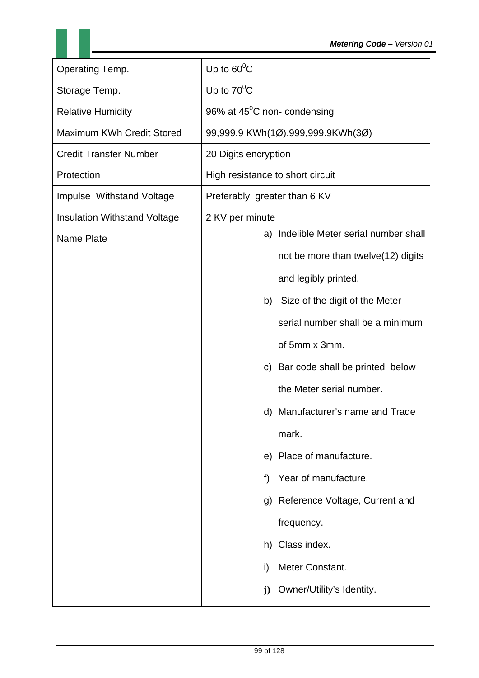| Operating Temp.                     | Up to $60^{\circ}$ C                      |
|-------------------------------------|-------------------------------------------|
| Storage Temp.                       | Up to $70^{\circ}$ C                      |
| <b>Relative Humidity</b>            | 96% at $45^{\circ}$ C non-condensing      |
| Maximum KWh Credit Stored           | 99,999.9 KWh(1Ø),999,999.9KWh(3Ø)         |
| <b>Credit Transfer Number</b>       | 20 Digits encryption                      |
| Protection                          | High resistance to short circuit          |
| Impulse Withstand Voltage           | Preferably greater than 6 KV              |
| <b>Insulation Withstand Voltage</b> | 2 KV per minute                           |
| <b>Name Plate</b>                   | Indelible Meter serial number shall<br>a) |
|                                     | not be more than twelve(12) digits        |
|                                     | and legibly printed.                      |
|                                     | Size of the digit of the Meter<br>b)      |
|                                     | serial number shall be a minimum          |
|                                     | of 5mm x 3mm.                             |
|                                     | Bar code shall be printed below<br>C)     |
|                                     | the Meter serial number.                  |
|                                     | d) Manufacturer's name and Trade          |
|                                     | mark.                                     |
|                                     | e) Place of manufacture.                  |
|                                     | Year of manufacture.<br>f)                |
|                                     | Reference Voltage, Current and<br>g)      |
|                                     | frequency.                                |
|                                     | h) Class index.                           |
|                                     | Meter Constant.<br>i)                     |
|                                     | Owner/Utility's Identity.<br>$\mathbf{j}$ |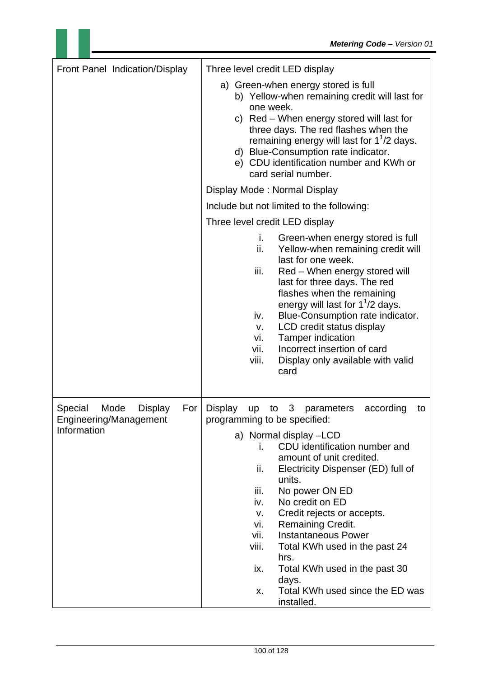| Front Panel Indication/Display                                            | Three level credit LED display                                                                                                                                                                                                                                                                                                                                                                                                                                              |
|---------------------------------------------------------------------------|-----------------------------------------------------------------------------------------------------------------------------------------------------------------------------------------------------------------------------------------------------------------------------------------------------------------------------------------------------------------------------------------------------------------------------------------------------------------------------|
|                                                                           | a) Green-when energy stored is full<br>b) Yellow-when remaining credit will last for<br>one week.<br>c) Red – When energy stored will last for<br>three days. The red flashes when the<br>remaining energy will last for $1^{1}/2$ days.<br>d) Blue-Consumption rate indicator.<br>e) CDU identification number and KWh or<br>card serial number.                                                                                                                           |
|                                                                           | Display Mode: Normal Display                                                                                                                                                                                                                                                                                                                                                                                                                                                |
|                                                                           | Include but not limited to the following:                                                                                                                                                                                                                                                                                                                                                                                                                                   |
|                                                                           | Three level credit LED display                                                                                                                                                                                                                                                                                                                                                                                                                                              |
|                                                                           | i.<br>Green-when energy stored is full<br>ii.<br>Yellow-when remaining credit will<br>last for one week.<br>iii.<br>Red - When energy stored will<br>last for three days. The red<br>flashes when the remaining<br>energy will last for $1^1/2$ days.<br>Blue-Consumption rate indicator.<br>iv.<br>LCD credit status display<br>v.<br><b>Tamper indication</b><br>vi.<br>vii.<br>Incorrect insertion of card<br>viii.<br>Display only available with valid<br>card         |
| Special<br>Mode<br><b>Display</b><br>For<br><b>Engineering/Management</b> | <b>Display</b><br>3 <sup>7</sup><br>according<br>parameters<br>up<br>to<br>to<br>programming to be specified:                                                                                                                                                                                                                                                                                                                                                               |
| Information                                                               | a) Normal display -LCD<br>CDU identification number and<br>i.<br>amount of unit credited.<br>Electricity Dispenser (ED) full of<br>ii.<br>units.<br>No power ON ED<br>iii.<br>No credit on ED<br>iv.<br>Credit rejects or accepts.<br>v.<br><b>Remaining Credit.</b><br>vi.<br><b>Instantaneous Power</b><br>vii.<br>Total KWh used in the past 24<br>viii.<br>hrs.<br>Total KWh used in the past 30<br>ix.<br>days.<br>Total KWh used since the ED was<br>X.<br>installed. |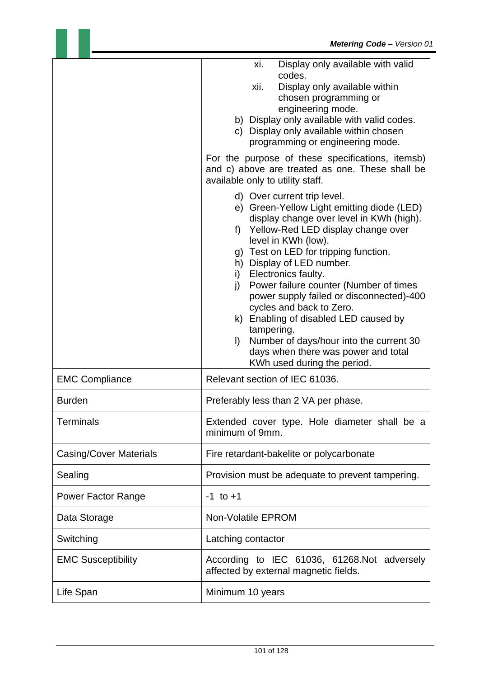|                               | Display only available with valid<br>xi.<br>codes.<br>Display only available within<br>xii.<br>chosen programming or<br>engineering mode.<br>b) Display only available with valid codes.<br>c) Display only available within chosen<br>programming or engineering mode.<br>For the purpose of these specifications, itemsb)<br>and c) above are treated as one. These shall be<br>available only to utility staff.<br>d) Over current trip level.<br>e) Green-Yellow Light emitting diode (LED)<br>display change over level in KWh (high).<br>f) Yellow-Red LED display change over<br>level in KWh (low).<br>g) Test on LED for tripping function.<br>h) Display of LED number.<br>i) Electronics faulty.<br>j) Power failure counter (Number of times<br>power supply failed or disconnected)-400<br>cycles and back to Zero.<br>k) Enabling of disabled LED caused by<br>tampering.<br>Number of days/hour into the current 30<br>$\vert$ )<br>days when there was power and total |
|-------------------------------|----------------------------------------------------------------------------------------------------------------------------------------------------------------------------------------------------------------------------------------------------------------------------------------------------------------------------------------------------------------------------------------------------------------------------------------------------------------------------------------------------------------------------------------------------------------------------------------------------------------------------------------------------------------------------------------------------------------------------------------------------------------------------------------------------------------------------------------------------------------------------------------------------------------------------------------------------------------------------------------|
| <b>EMC Compliance</b>         | KWh used during the period.<br>Relevant section of IEC 61036.                                                                                                                                                                                                                                                                                                                                                                                                                                                                                                                                                                                                                                                                                                                                                                                                                                                                                                                          |
| <b>Burden</b>                 | Preferably less than 2 VA per phase.                                                                                                                                                                                                                                                                                                                                                                                                                                                                                                                                                                                                                                                                                                                                                                                                                                                                                                                                                   |
| <b>Terminals</b>              | Extended cover type. Hole diameter shall be a<br>minimum of 9mm.                                                                                                                                                                                                                                                                                                                                                                                                                                                                                                                                                                                                                                                                                                                                                                                                                                                                                                                       |
| <b>Casing/Cover Materials</b> | Fire retardant-bakelite or polycarbonate                                                                                                                                                                                                                                                                                                                                                                                                                                                                                                                                                                                                                                                                                                                                                                                                                                                                                                                                               |
| Sealing                       | Provision must be adequate to prevent tampering.                                                                                                                                                                                                                                                                                                                                                                                                                                                                                                                                                                                                                                                                                                                                                                                                                                                                                                                                       |
| <b>Power Factor Range</b>     | $-1$ to $+1$                                                                                                                                                                                                                                                                                                                                                                                                                                                                                                                                                                                                                                                                                                                                                                                                                                                                                                                                                                           |
| Data Storage                  | <b>Non-Volatile EPROM</b>                                                                                                                                                                                                                                                                                                                                                                                                                                                                                                                                                                                                                                                                                                                                                                                                                                                                                                                                                              |
| Switching                     | Latching contactor                                                                                                                                                                                                                                                                                                                                                                                                                                                                                                                                                                                                                                                                                                                                                                                                                                                                                                                                                                     |
| <b>EMC Susceptibility</b>     | According to IEC 61036, 61268.Not adversely<br>affected by external magnetic fields.                                                                                                                                                                                                                                                                                                                                                                                                                                                                                                                                                                                                                                                                                                                                                                                                                                                                                                   |
| Life Span                     | Minimum 10 years                                                                                                                                                                                                                                                                                                                                                                                                                                                                                                                                                                                                                                                                                                                                                                                                                                                                                                                                                                       |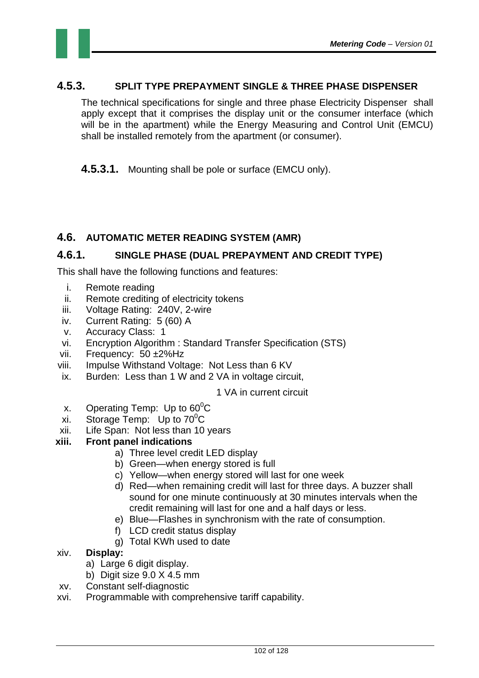#### **4.5.3. SPLIT TYPE PREPAYMENT SINGLE & THREE PHASE DISPENSER**

The technical specifications for single and three phase Electricity Dispenser shall apply except that it comprises the display unit or the consumer interface (which will be in the apartment) while the Energy Measuring and Control Unit (EMCU) shall be installed remotely from the apartment (or consumer).

**4.5.3.1.** Mounting shall be pole or surface (EMCU only).

#### **4.6. AUTOMATIC METER READING SYSTEM (AMR)**

#### **4.6.1. SINGLE PHASE (DUAL PREPAYMENT AND CREDIT TYPE)**

This shall have the following functions and features:

- i. Remote reading
- ii. Remote crediting of electricity tokens
- iii. Voltage Rating: 240V, 2-wire
- iv. Current Rating: 5 (60) A
- v. Accuracy Class: 1
- vi. Encryption Algorithm : Standard Transfer Specification (STS)
- vii. Frequency: 50 ±2%Hz
- viii. Impulse Withstand Voltage: Not Less than 6 KV
- ix. Burden: Less than 1 W and 2 VA in voltage circuit,

#### 1 VA in current circuit

- x. Operating Temp: Up to  $60^0C$
- xi. Storage Temp: Up to  $70^{\circ}$ C
- xii. Life Span: Not less than 10 years

#### **xiii. Front panel indications**

- a) Three level credit LED display
- b) Green—when energy stored is full
- c) Yellow—when energy stored will last for one week
- d) Red—when remaining credit will last for three days. A buzzer shall sound for one minute continuously at 30 minutes intervals when the credit remaining will last for one and a half days or less.
- e) Blue—Flashes in synchronism with the rate of consumption.
- f) LCD credit status display
- g) Total KWh used to date

#### xiv. **Display:**

- a) Large 6 digit display.
- b) Digit size 9.0 X 4.5 mm
- xv. Constant self-diagnostic
- xvi. Programmable with comprehensive tariff capability.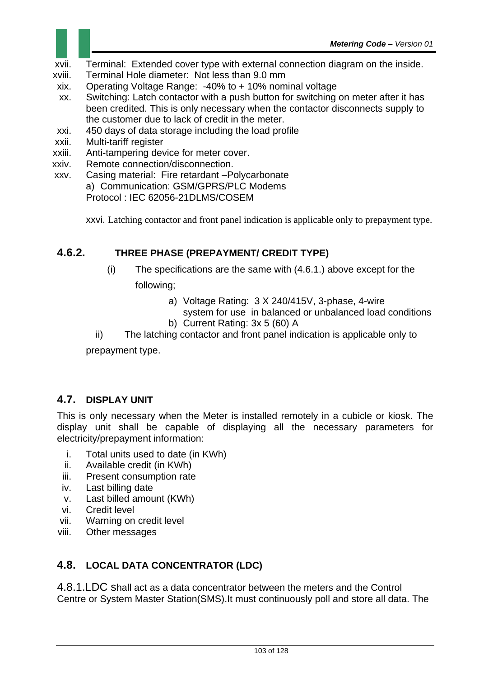- xvii. Terminal: Extended cover type with external connection diagram on the inside.
- xviii. Terminal Hole diameter: Not less than 9.0 mm
- xix. Operating Voltage Range: -40% to + 10% nominal voltage
- xx. Switching: Latch contactor with a push button for switching on meter after it has been credited. This is only necessary when the contactor disconnects supply to the customer due to lack of credit in the meter.
- xxi. 450 days of data storage including the load profile
- xxii. Multi-tariff register
- xxiii. Anti-tampering device for meter cover.
- xxiv. Remote connection/disconnection.
- xxv. Casing material: Fire retardant –Polycarbonate a) Communication: GSM/GPRS/PLC Modems Protocol : IEC 62056-21DLMS/COSEM

xxvi. Latching contactor and front panel indication is applicable only to prepayment type.

#### **4.6.2. THREE PHASE (PREPAYMENT/ CREDIT TYPE)**

- (i) The specifications are the same with (4.6.1.) above except for the following;
	- a) Voltage Rating: 3 X 240/415V, 3-phase, 4-wire
	- system for use in balanced or unbalanced load conditions b) Current Rating: 3x 5 (60) A

ii) The latching contactor and front panel indication is applicable only to

prepayment type.

### **4.7. DISPLAY UNIT**

This is only necessary when the Meter is installed remotely in a cubicle or kiosk. The display unit shall be capable of displaying all the necessary parameters for electricity/prepayment information:

- i. Total units used to date (in KWh)
- ii. Available credit (in KWh)
- iii. Present consumption rate
- iv. Last billing date
- v. Last billed amount (KWh)
- vi. Credit level
- vii. Warning on credit level
- viii. Other messages

### **4.8. LOCAL DATA CONCENTRATOR (LDC)**

4.8.1.LDC shall act as a data concentrator between the meters and the Control Centre or System Master Station(SMS).It must continuously poll and store all data. The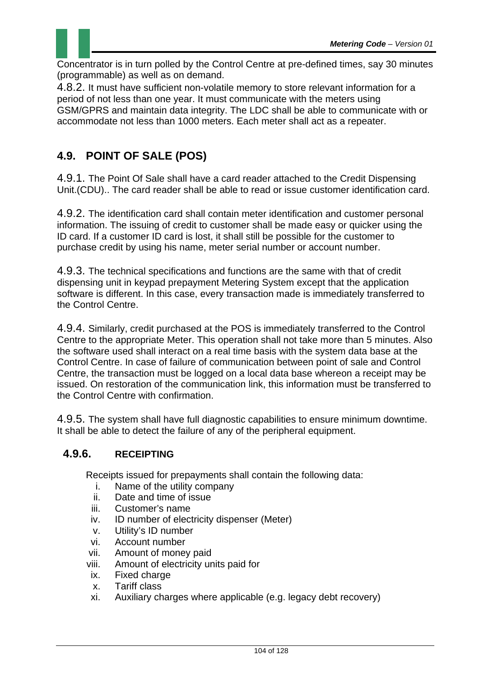

Concentrator is in turn polled by the Control Centre at pre-defined times, say 30 minutes (programmable) as well as on demand.

4.8.2. It must have sufficient non-volatile memory to store relevant information for a period of not less than one year. It must communicate with the meters using GSM/GPRS and maintain data integrity. The LDC shall be able to communicate with or accommodate not less than 1000 meters. Each meter shall act as a repeater.

# **4.9. POINT OF SALE (POS)**

4.9.1. The Point Of Sale shall have a card reader attached to the Credit Dispensing Unit.(CDU).. The card reader shall be able to read or issue customer identification card.

4.9.2. The identification card shall contain meter identification and customer personal information. The issuing of credit to customer shall be made easy or quicker using the ID card. If a customer ID card is lost, it shall still be possible for the customer to purchase credit by using his name, meter serial number or account number.

4.9.3. The technical specifications and functions are the same with that of credit dispensing unit in keypad prepayment Metering System except that the application software is different. In this case, every transaction made is immediately transferred to the Control Centre.

4.9.4. Similarly, credit purchased at the POS is immediately transferred to the Control Centre to the appropriate Meter. This operation shall not take more than 5 minutes. Also the software used shall interact on a real time basis with the system data base at the Control Centre. In case of failure of communication between point of sale and Control Centre, the transaction must be logged on a local data base whereon a receipt may be issued. On restoration of the communication link, this information must be transferred to the Control Centre with confirmation.

4.9.5. The system shall have full diagnostic capabilities to ensure minimum downtime. It shall be able to detect the failure of any of the peripheral equipment.

### **4.9.6. RECEIPTING**

Receipts issued for prepayments shall contain the following data:

- i. Name of the utility company
- ii. Date and time of issue
- iii. Customer's name
- iv. ID number of electricity dispenser (Meter)
- v. Utility's ID number
- vi. Account number
- vii. Amount of money paid
- viii. Amount of electricity units paid for
- ix. Fixed charge
- x. Tariff class
- xi. Auxiliary charges where applicable (e.g. legacy debt recovery)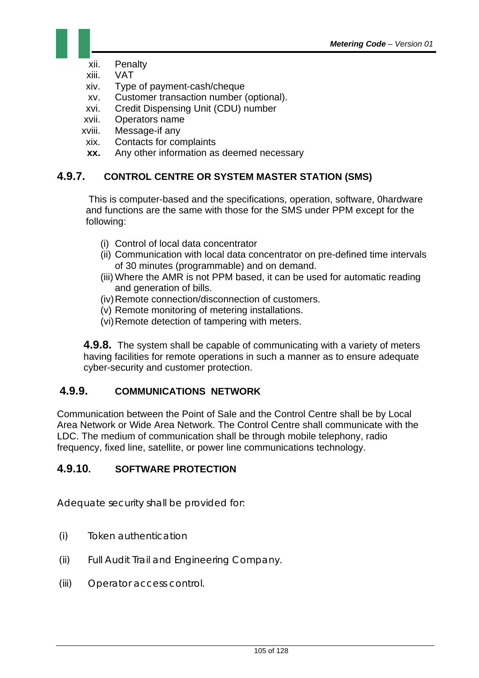- xii. Penalty
- xiii. VAT
- xiv. Type of payment-cash/cheque
- xv. Customer transaction number (optional).
- xvi. Credit Dispensing Unit (CDU) number
- xvii. Operators name
- xviii. Message-if any
- xix. Contacts for complaints
- **xx.** Any other information as deemed necessary

### **4.9.7. CONTROL CENTRE OR SYSTEM MASTER STATION (SMS)**

 This is computer-based and the specifications, operation, software, 0hardware and functions are the same with those for the SMS under PPM except for the following:

- (i) Control of local data concentrator
- (ii) Communication with local data concentrator on pre-defined time intervals of 30 minutes (programmable) and on demand.
- (iii) Where the AMR is not PPM based, it can be used for automatic reading and generation of bills.
- (iv) Remote connection/disconnection of customers.
- (v) Remote monitoring of metering installations.
- (vi) Remote detection of tampering with meters.

**4.9.8.** The system shall be capable of communicating with a variety of meters having facilities for remote operations in such a manner as to ensure adequate cyber-security and customer protection.

#### **4.9.9. COMMUNICATIONS NETWORK**

Communication between the Point of Sale and the Control Centre shall be by Local Area Network or Wide Area Network. The Control Centre shall communicate with the LDC. The medium of communication shall be through mobile telephony, radio frequency, fixed line, satellite, or power line communications technology.

### **4.9.10. SOFTWARE PROTECTION**

Adequate security shall be provided for:

- (i) Token authentication
- (ii) Full Audit Trail and Engineering Company.
- (iii) Operator access control.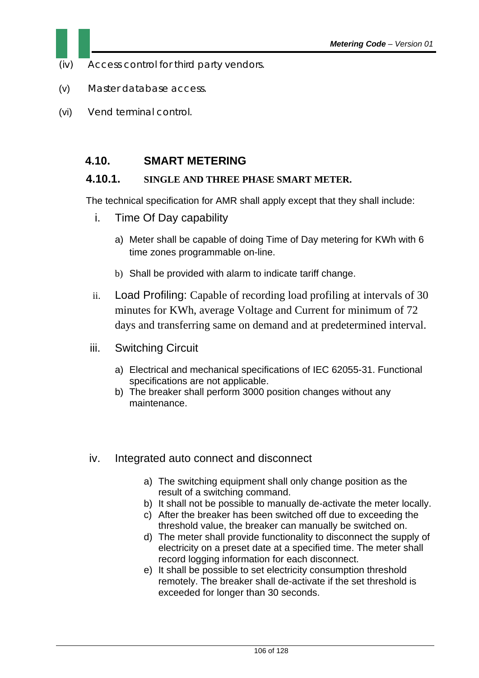- (iv) Access control for third party vendors.
- (v) Master database access.
- (vi) Vend terminal control.

## **4.10. SMART METERING**

#### **4.10.1. SINGLE AND THREE PHASE SMART METER.**

The technical specification for AMR shall apply except that they shall include:

- i. Time Of Day capability
	- a) Meter shall be capable of doing Time of Day metering for KWh with 6 time zones programmable on-line.
	- b) Shall be provided with alarm to indicate tariff change.
- ii. Load Profiling: Capable of recording load profiling at intervals of 30 minutes for KWh, average Voltage and Current for minimum of 72 days and transferring same on demand and at predetermined interval.
- iii. Switching Circuit
	- a) Electrical and mechanical specifications of IEC 62055-31. Functional specifications are not applicable.
	- b) The breaker shall perform 3000 position changes without any maintenance.
- iv. Integrated auto connect and disconnect
	- a) The switching equipment shall only change position as the result of a switching command.
	- b) It shall not be possible to manually de-activate the meter locally.
	- c) After the breaker has been switched off due to exceeding the threshold value, the breaker can manually be switched on.
	- d) The meter shall provide functionality to disconnect the supply of electricity on a preset date at a specified time. The meter shall record logging information for each disconnect.
	- e) It shall be possible to set electricity consumption threshold remotely. The breaker shall de-activate if the set threshold is exceeded for longer than 30 seconds.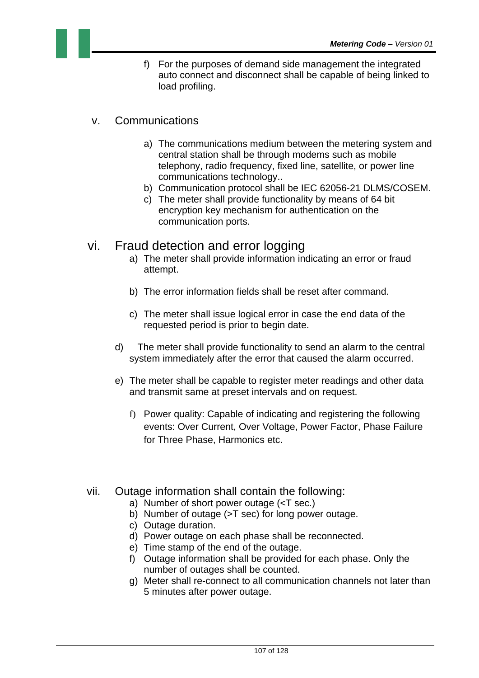- f) For the purposes of demand side management the integrated auto connect and disconnect shall be capable of being linked to load profiling.
- v. Communications
	- a) The communications medium between the metering system and central station shall be through modems such as mobile telephony, radio frequency, fixed line, satellite, or power line communications technology..
	- b) Communication protocol shall be IEC 62056-21 DLMS/COSEM.
	- c) The meter shall provide functionality by means of 64 bit encryption key mechanism for authentication on the communication ports.
- vi. Fraud detection and error logging
	- a) The meter shall provide information indicating an error or fraud attempt.
	- b) The error information fields shall be reset after command.
	- c) The meter shall issue logical error in case the end data of the requested period is prior to begin date.
	- d) The meter shall provide functionality to send an alarm to the central system immediately after the error that caused the alarm occurred.
	- e) The meter shall be capable to register meter readings and other data and transmit same at preset intervals and on request.
		- f) Power quality: Capable of indicating and registering the following events: Over Current, Over Voltage, Power Factor, Phase Failure for Three Phase, Harmonics etc.
- vii. Outage information shall contain the following:
	- a) Number of short power outage (<T sec.)
	- b) Number of outage (>T sec) for long power outage.
	- c) Outage duration.
	- d) Power outage on each phase shall be reconnected.
	- e) Time stamp of the end of the outage.
	- f) Outage information shall be provided for each phase. Only the number of outages shall be counted.
	- g) Meter shall re-connect to all communication channels not later than 5 minutes after power outage.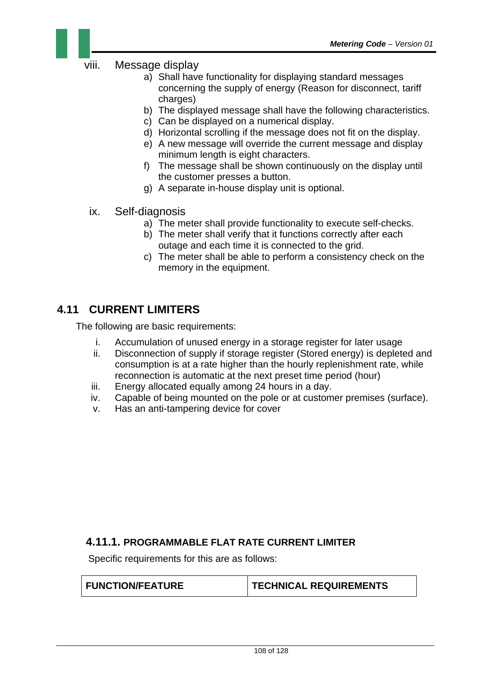

#### viii. Message display

- a) Shall have functionality for displaying standard messages concerning the supply of energy (Reason for disconnect, tariff charges)
- b) The displayed message shall have the following characteristics.
- c) Can be displayed on a numerical display.
- d) Horizontal scrolling if the message does not fit on the display.
- e) A new message will override the current message and display minimum length is eight characters.
- f) The message shall be shown continuously on the display until the customer presses a button.
- g) A separate in-house display unit is optional.
- ix. Self-diagnosis
	- a) The meter shall provide functionality to execute self-checks.
	- b) The meter shall verify that it functions correctly after each outage and each time it is connected to the grid.
	- c) The meter shall be able to perform a consistency check on the memory in the equipment.

# **4.11 CURRENT LIMITERS**

The following are basic requirements:

- i. Accumulation of unused energy in a storage register for later usage
- ii. Disconnection of supply if storage register (Stored energy) is depleted and consumption is at a rate higher than the hourly replenishment rate, while reconnection is automatic at the next preset time period (hour)
- iii. Energy allocated equally among 24 hours in a day.
- iv. Capable of being mounted on the pole or at customer premises (surface).
- v. Has an anti-tampering device for cover

#### **4.11.1. PROGRAMMABLE FLAT RATE CURRENT LIMITER**

Specific requirements for this are as follows:

FUNCTION/FEATURE **TECHNICAL REQUIREMENTS**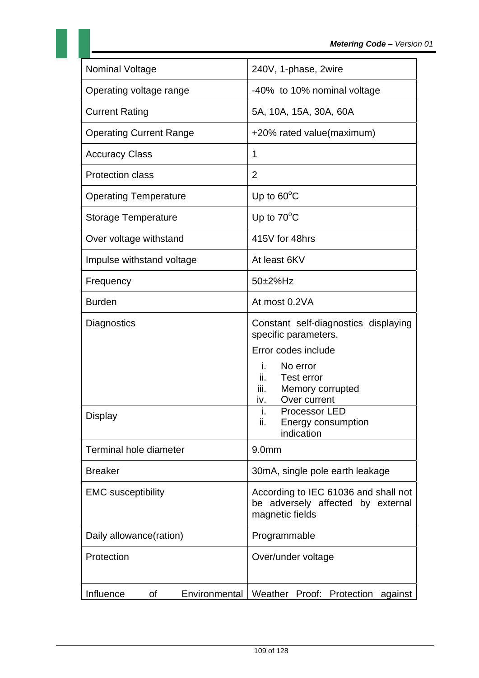| <b>Nominal Voltage</b>           | 240V, 1-phase, 2wire                                                                                                 |  |  |
|----------------------------------|----------------------------------------------------------------------------------------------------------------------|--|--|
| Operating voltage range          | -40% to 10% nominal voltage                                                                                          |  |  |
| <b>Current Rating</b>            | 5A, 10A, 15A, 30A, 60A                                                                                               |  |  |
| <b>Operating Current Range</b>   | +20% rated value(maximum)                                                                                            |  |  |
| <b>Accuracy Class</b>            | 1                                                                                                                    |  |  |
| <b>Protection class</b>          | $\overline{2}$                                                                                                       |  |  |
| <b>Operating Temperature</b>     | Up to $60^{\circ}$ C                                                                                                 |  |  |
| <b>Storage Temperature</b>       | Up to $70^{\circ}$ C                                                                                                 |  |  |
| Over voltage withstand           | 415V for 48hrs                                                                                                       |  |  |
| Impulse withstand voltage        | At least 6KV                                                                                                         |  |  |
| Frequency                        | 50±2%Hz                                                                                                              |  |  |
| <b>Burden</b>                    | At most 0.2VA                                                                                                        |  |  |
| Diagnostics                      | Constant self-diagnostics displaying<br>specific parameters.                                                         |  |  |
|                                  | Error codes include<br>i.<br>No error<br><b>Test error</b><br>ii.<br>iii.<br>Memory corrupted<br>Over current<br>iv. |  |  |
| <b>Display</b>                   | i.<br>Processor LED<br>ii.<br>Energy consumption<br>indication                                                       |  |  |
| Terminal hole diameter           | 9.0 <sub>mm</sub>                                                                                                    |  |  |
| <b>Breaker</b>                   | 30mA, single pole earth leakage                                                                                      |  |  |
| <b>EMC</b> susceptibility        | According to IEC 61036 and shall not<br>be adversely affected by external<br>magnetic fields                         |  |  |
| Daily allowance(ration)          | Programmable                                                                                                         |  |  |
| Protection                       | Over/under voltage                                                                                                   |  |  |
| Influence<br>Environmental<br>οf | Weather<br>Proof: Protection against                                                                                 |  |  |

11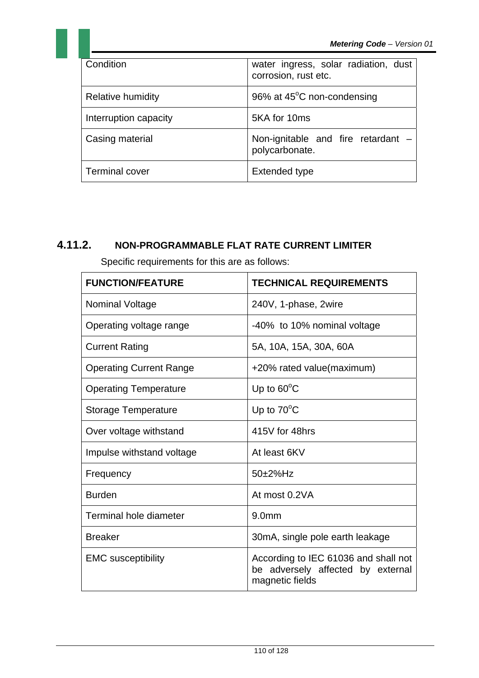| Condition             | water ingress, solar radiation, dust<br>corrosion, rust etc. |
|-----------------------|--------------------------------------------------------------|
| Relative humidity     | 96% at 45°C non-condensing                                   |
| Interruption capacity | 5KA for 10ms                                                 |
| Casing material       | Non-ignitable and fire retardant $-$<br>polycarbonate.       |
| <b>Terminal cover</b> | Extended type                                                |

## **4.11.2. NON-PROGRAMMABLE FLAT RATE CURRENT LIMITER**

Specific requirements for this are as follows:

| <b>FUNCTION/FEATURE</b>        | <b>TECHNICAL REQUIREMENTS</b>                                                                |
|--------------------------------|----------------------------------------------------------------------------------------------|
| <b>Nominal Voltage</b>         | 240V, 1-phase, 2wire                                                                         |
| Operating voltage range        | -40% to 10% nominal voltage                                                                  |
| <b>Current Rating</b>          | 5A, 10A, 15A, 30A, 60A                                                                       |
| <b>Operating Current Range</b> | +20% rated value(maximum)                                                                    |
| <b>Operating Temperature</b>   | Up to $60^{\circ}$ C                                                                         |
| <b>Storage Temperature</b>     | Up to $70^{\circ}$ C                                                                         |
| Over voltage withstand         | 415V for 48hrs                                                                               |
| Impulse withstand voltage      | At least 6KV                                                                                 |
| Frequency                      | $50\pm2\%$ Hz                                                                                |
| <b>Burden</b>                  | At most 0.2VA                                                                                |
| Terminal hole diameter         | 9.0 <sub>mm</sub>                                                                            |
| <b>Breaker</b>                 | 30mA, single pole earth leakage                                                              |
| <b>EMC</b> susceptibility      | According to IEC 61036 and shall not<br>be adversely affected by external<br>magnetic fields |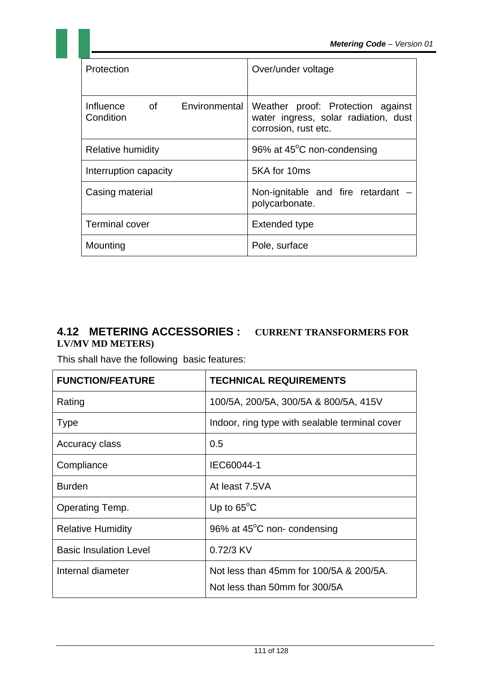| Protection                                                                                                                                                                                                                                                                | Over/under voltage                                                                                |
|---------------------------------------------------------------------------------------------------------------------------------------------------------------------------------------------------------------------------------------------------------------------------|---------------------------------------------------------------------------------------------------|
| of the contract of the contract of the contract of the contract of the contract of the contract of the contract of the contract of the contract of the contract of the contract of the contract of the contract of the contrac<br>Environmental<br>Influence<br>Condition | Weather proof: Protection against<br>water ingress, solar radiation, dust<br>corrosion, rust etc. |
| Relative humidity                                                                                                                                                                                                                                                         | 96% at 45 <sup>°</sup> C non-condensing                                                           |
| Interruption capacity                                                                                                                                                                                                                                                     | 5KA for 10ms                                                                                      |
| Casing material                                                                                                                                                                                                                                                           | Non-ignitable and fire retardant<br>polycarbonate.                                                |
| <b>Terminal cover</b>                                                                                                                                                                                                                                                     | <b>Extended type</b>                                                                              |
| Mounting                                                                                                                                                                                                                                                                  | Pole, surface                                                                                     |

### **4.12 METERING ACCESSORIES : CURRENT TRANSFORMERS FOR LV/MV MD METERS)**

This shall have the following basic features:

| <b>FUNCTION/FEATURE</b>       | <b>TECHNICAL REQUIREMENTS</b>                                            |  |
|-------------------------------|--------------------------------------------------------------------------|--|
| Rating                        | 100/5A, 200/5A, 300/5A & 800/5A, 415V                                    |  |
| <b>Type</b>                   | Indoor, ring type with sealable terminal cover                           |  |
| Accuracy class                | 0.5                                                                      |  |
| Compliance                    | IEC60044-1                                                               |  |
| <b>Burden</b>                 | At least 7.5VA                                                           |  |
| Operating Temp.               | Up to $65^{\circ}$ C                                                     |  |
| <b>Relative Humidity</b>      | 96% at 45°C non-condensing                                               |  |
| <b>Basic Insulation Level</b> | 0.72/3 KV                                                                |  |
| Internal diameter             | Not less than 45mm for 100/5A & 200/5A.<br>Not less than 50mm for 300/5A |  |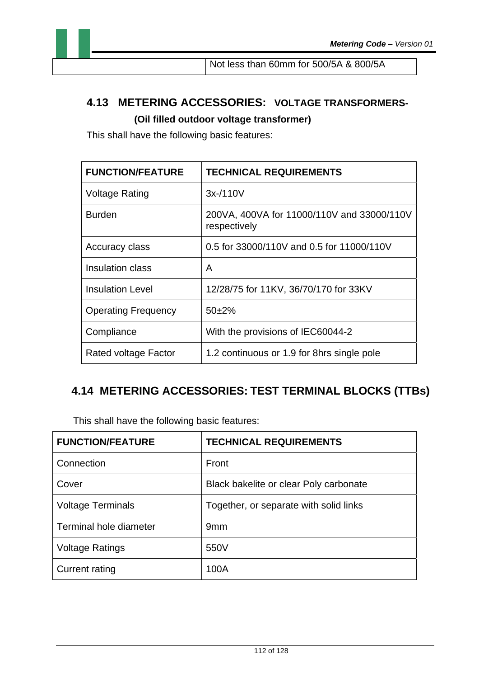# **4.13 METERING ACCESSORIES: VOLTAGE TRANSFORMERS- (Oil filled outdoor voltage transformer)**

This shall have the following basic features:

| <b>FUNCTION/FEATURE</b>    | <b>TECHNICAL REQUIREMENTS</b>                              |
|----------------------------|------------------------------------------------------------|
| <b>Voltage Rating</b>      | $3x-110V$                                                  |
| <b>Burden</b>              | 200VA, 400VA for 11000/110V and 33000/110V<br>respectively |
| Accuracy class             | 0.5 for 33000/110V and 0.5 for 11000/110V                  |
| Insulation class           | A                                                          |
| <b>Insulation Level</b>    | 12/28/75 for 11KV, 36/70/170 for 33KV                      |
| <b>Operating Frequency</b> | $50+2%$                                                    |
| Compliance                 | With the provisions of IEC60044-2                          |
| Rated voltage Factor       | 1.2 continuous or 1.9 for 8hrs single pole                 |

# **4.14 METERING ACCESSORIES: TEST TERMINAL BLOCKS (TTBs)**

This shall have the following basic features:

| <b>FUNCTION/FEATURE</b>  | <b>TECHNICAL REQUIREMENTS</b>          |
|--------------------------|----------------------------------------|
| Connection               | Front                                  |
| Cover                    | Black bakelite or clear Poly carbonate |
| <b>Voltage Terminals</b> | Together, or separate with solid links |
| Terminal hole diameter   | 9 <sub>mm</sub>                        |
| <b>Voltage Ratings</b>   | 550V                                   |
| Current rating           | 100A                                   |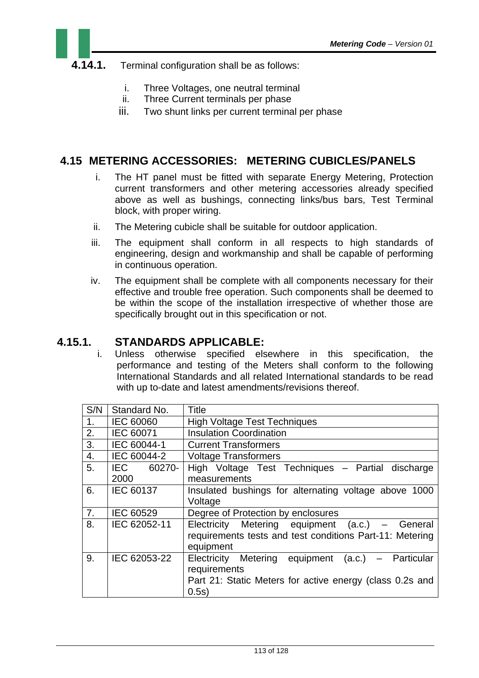## **4.14.1.** Terminal configuration shall be as follows:

- i. Three Voltages, one neutral terminal
- ii. Three Current terminals per phase
- iii. Two shunt links per current terminal per phase

## **4.15 METERING ACCESSORIES: METERING CUBICLES/PANELS**

- i. The HT panel must be fitted with separate Energy Metering, Protection current transformers and other metering accessories already specified above as well as bushings, connecting links/bus bars, Test Terminal block, with proper wiring.
- ii. The Metering cubicle shall be suitable for outdoor application.
- iii. The equipment shall conform in all respects to high standards of engineering, design and workmanship and shall be capable of performing in continuous operation.
- iv. The equipment shall be complete with all components necessary for their effective and trouble free operation. Such components shall be deemed to be within the scope of the installation irrespective of whether those are specifically brought out in this specification or not.

### **4.15.1. STANDARDS APPLICABLE:**

i. Unless otherwise specified elsewhere in this specification, the performance and testing of the Meters shall conform to the following International Standards and all related International standards to be read with up to-date and latest amendments/revisions thereof.

| S/N | Standard No.       | Title                                                                                                                                  |  |
|-----|--------------------|----------------------------------------------------------------------------------------------------------------------------------------|--|
| 1.  | <b>IEC 60060</b>   | <b>High Voltage Test Techniques</b>                                                                                                    |  |
| 2.  | IEC 60071          | <b>Insulation Coordination</b>                                                                                                         |  |
| 3.  | IEC 60044-1        | <b>Current Transformers</b>                                                                                                            |  |
| 4.  | IEC 60044-2        | <b>Voltage Transformers</b>                                                                                                            |  |
| 5.  | IEC 60270-<br>2000 | High Voltage Test Techniques - Partial discharge<br>measurements                                                                       |  |
| 6.  | IEC 60137          | Insulated bushings for alternating voltage above 1000<br>Voltage                                                                       |  |
| 7.  | IEC 60529          | Degree of Protection by enclosures                                                                                                     |  |
| 8.  | IEC 62052-11       | Electricity Metering equipment (a.c.) – General<br>requirements tests and test conditions Part-11: Metering<br>equipment               |  |
| 9.  | IEC 62053-22       | Electricity Metering equipment (a.c.) – Particular<br>requirements<br>Part 21: Static Meters for active energy (class 0.2s and<br>0.5s |  |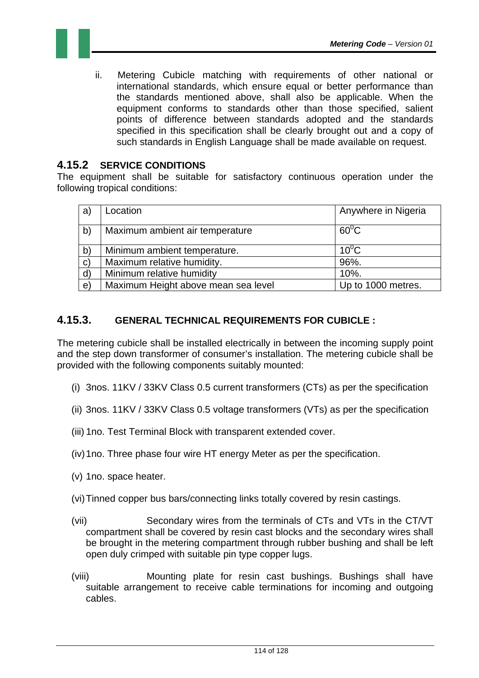

ii. Metering Cubicle matching with requirements of other national or international standards, which ensure equal or better performance than the standards mentioned above, shall also be applicable. When the equipment conforms to standards other than those specified, salient points of difference between standards adopted and the standards specified in this specification shall be clearly brought out and a copy of such standards in English Language shall be made available on request.

#### **4.15.2 SERVICE CONDITIONS**

The equipment shall be suitable for satisfactory continuous operation under the following tropical conditions:

| a)           | Location                            | Anywhere in Nigeria |
|--------------|-------------------------------------|---------------------|
| b)           | Maximum ambient air temperature     | $60^0C$             |
| $\mathsf{b}$ | Minimum ambient temperature.        | $10^0$ C            |
| $\mathbf{C}$ | Maximum relative humidity.          | 96%.                |
| $\mathsf{d}$ | Minimum relative humidity           | 10%.                |
| $\mathbf{e}$ | Maximum Height above mean sea level | Up to 1000 metres.  |

### **4.15.3. GENERAL TECHNICAL REQUIREMENTS FOR CUBICLE :**

The metering cubicle shall be installed electrically in between the incoming supply point and the step down transformer of consumer's installation. The metering cubicle shall be provided with the following components suitably mounted:

- (i) 3nos. 11KV / 33KV Class 0.5 current transformers (CTs) as per the specification
- (ii) 3nos. 11KV / 33KV Class 0.5 voltage transformers (VTs) as per the specification
- (iii) 1no. Test Terminal Block with transparent extended cover.
- (iv) 1no. Three phase four wire HT energy Meter as per the specification.
- (v) 1no. space heater.
- (vi) Tinned copper bus bars/connecting links totally covered by resin castings.
- (vii) Secondary wires from the terminals of CTs and VTs in the CT/VT compartment shall be covered by resin cast blocks and the secondary wires shall be brought in the metering compartment through rubber bushing and shall be left open duly crimped with suitable pin type copper lugs.
- (viii) Mounting plate for resin cast bushings. Bushings shall have suitable arrangement to receive cable terminations for incoming and outgoing cables.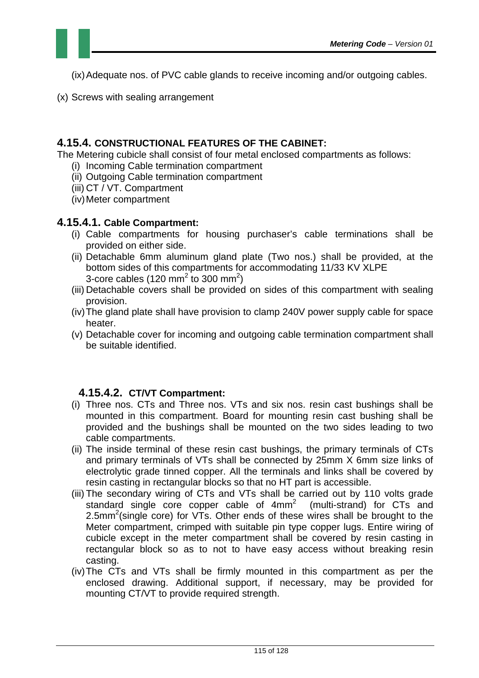

(ix) Adequate nos. of PVC cable glands to receive incoming and/or outgoing cables.

(x) Screws with sealing arrangement

#### **4.15.4. CONSTRUCTIONAL FEATURES OF THE CABINET:**

The Metering cubicle shall consist of four metal enclosed compartments as follows:

- (i) Incoming Cable termination compartment
- (ii) Outgoing Cable termination compartment
- (iii) CT / VT. Compartment
- (iv) Meter compartment

#### **4.15.4.1. Cable Compartment:**

- (i) Cable compartments for housing purchaser's cable terminations shall be provided on either side.
- (ii) Detachable 6mm aluminum gland plate (Two nos.) shall be provided, at the bottom sides of this compartments for accommodating 11/33 KV XLPE 3-core cables (120 mm<sup>2</sup> to 300 mm<sup>2</sup>)
- (iii) Detachable covers shall be provided on sides of this compartment with sealing provision.
- (iv) The gland plate shall have provision to clamp 240V power supply cable for space heater.
- (v) Detachable cover for incoming and outgoing cable termination compartment shall be suitable identified.

### **4.15.4.2. CT/VT Compartment:**

- (i) Three nos. CTs and Three nos. VTs and six nos. resin cast bushings shall be mounted in this compartment. Board for mounting resin cast bushing shall be provided and the bushings shall be mounted on the two sides leading to two cable compartments.
- (ii) The inside terminal of these resin cast bushings, the primary terminals of CTs and primary terminals of VTs shall be connected by 25mm X 6mm size links of electrolytic grade tinned copper. All the terminals and links shall be covered by resin casting in rectangular blocks so that no HT part is accessible.
- (iii) The secondary wiring of CTs and VTs shall be carried out by 110 volts grade standard single core copper cable of  $4mm<sup>2</sup>$  (multi-strand) for CTs and 2.5mm<sup>2</sup>(single core) for  $\sqrt{Ts}$ . Other ends of these wires shall be brought to the Meter compartment, crimped with suitable pin type copper lugs. Entire wiring of cubicle except in the meter compartment shall be covered by resin casting in rectangular block so as to not to have easy access without breaking resin casting.
- (iv) The CTs and VTs shall be firmly mounted in this compartment as per the enclosed drawing. Additional support, if necessary, may be provided for mounting CT/VT to provide required strength.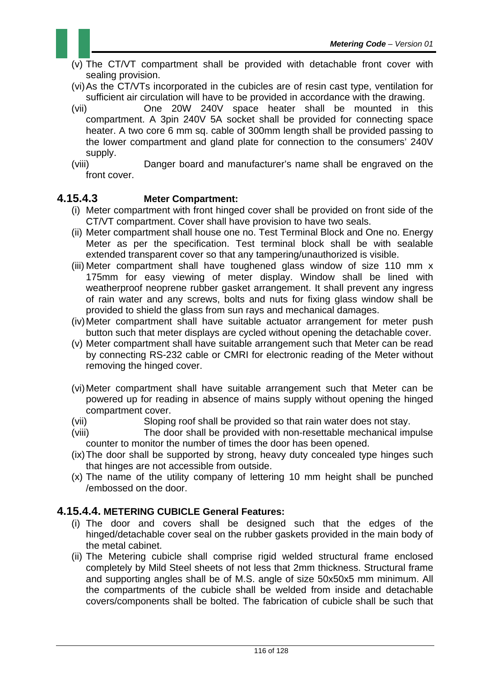- (v) The CT/VT compartment shall be provided with detachable front cover with sealing provision.
- (vi) As the CT/VTs incorporated in the cubicles are of resin cast type, ventilation for sufficient air circulation will have to be provided in accordance with the drawing.
- (vii) One 20W 240V space heater shall be mounted in this compartment. A 3pin 240V 5A socket shall be provided for connecting space heater. A two core 6 mm sq. cable of 300mm length shall be provided passing to the lower compartment and gland plate for connection to the consumers' 240V supply.
- (viii) Danger board and manufacturer's name shall be engraved on the front cover.

### **4.15.4.3 Meter Compartment:**

- (i) Meter compartment with front hinged cover shall be provided on front side of the CT/VT compartment. Cover shall have provision to have two seals.
- (ii) Meter compartment shall house one no. Test Terminal Block and One no. Energy Meter as per the specification. Test terminal block shall be with sealable extended transparent cover so that any tampering/unauthorized is visible.
- (iii) Meter compartment shall have toughened glass window of size 110 mm x 175mm for easy viewing of meter display. Window shall be lined with weatherproof neoprene rubber gasket arrangement. It shall prevent any ingress of rain water and any screws, bolts and nuts for fixing glass window shall be provided to shield the glass from sun rays and mechanical damages.
- (iv) Meter compartment shall have suitable actuator arrangement for meter push button such that meter displays are cycled without opening the detachable cover.
- (v) Meter compartment shall have suitable arrangement such that Meter can be read by connecting RS-232 cable or CMRI for electronic reading of the Meter without removing the hinged cover.
- (vi) Meter compartment shall have suitable arrangement such that Meter can be powered up for reading in absence of mains supply without opening the hinged compartment cover.
- (vii) Sloping roof shall be provided so that rain water does not stay.
- (viii) The door shall be provided with non-resettable mechanical impulse counter to monitor the number of times the door has been opened.
- (ix) The door shall be supported by strong, heavy duty concealed type hinges such that hinges are not accessible from outside.
- (x) The name of the utility company of lettering 10 mm height shall be punched /embossed on the door.

#### **4.15.4.4. METERING CUBICLE General Features:**

- (i) The door and covers shall be designed such that the edges of the hinged/detachable cover seal on the rubber gaskets provided in the main body of the metal cabinet.
- (ii) The Metering cubicle shall comprise rigid welded structural frame enclosed completely by Mild Steel sheets of not less that 2mm thickness. Structural frame and supporting angles shall be of M.S. angle of size 50x50x5 mm minimum. All the compartments of the cubicle shall be welded from inside and detachable covers/components shall be bolted. The fabrication of cubicle shall be such that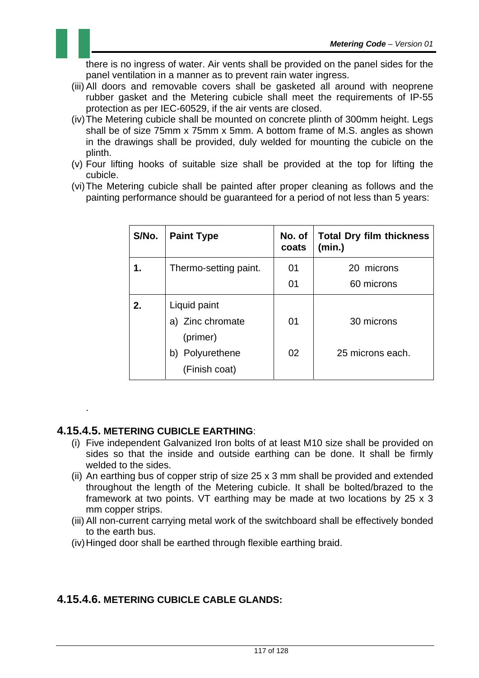there is no ingress of water. Air vents shall be provided on the panel sides for the panel ventilation in a manner as to prevent rain water ingress.

- (iii) All doors and removable covers shall be gasketed all around with neoprene rubber gasket and the Metering cubicle shall meet the requirements of IP-55 protection as per IEC-60529, if the air vents are closed.
- (iv) The Metering cubicle shall be mounted on concrete plinth of 300mm height. Legs shall be of size 75mm x 75mm x 5mm. A bottom frame of M.S. angles as shown in the drawings shall be provided, duly welded for mounting the cubicle on the plinth.
- (v) Four lifting hooks of suitable size shall be provided at the top for lifting the cubicle.
- (vi) The Metering cubicle shall be painted after proper cleaning as follows and the painting performance should be guaranteed for a period of not less than 5 years:

| S/No. | <b>Paint Type</b>                   | No. of<br>coats | <b>Total Dry film thickness</b><br>(min.) |
|-------|-------------------------------------|-----------------|-------------------------------------------|
| 1.    | Thermo-setting paint.               | 01              | 20 microns                                |
|       |                                     | 01              | 60 microns                                |
| 2.    | Liquid paint                        |                 |                                           |
|       | a) Zinc chromate<br>(primer)        | 01              | 30 microns                                |
|       | Polyurethene<br>b)<br>(Finish coat) | 02              | 25 microns each.                          |

#### **4.15.4.5. METERING CUBICLE EARTHING**:

.

- (i) Five independent Galvanized Iron bolts of at least M10 size shall be provided on sides so that the inside and outside earthing can be done. It shall be firmly welded to the sides.
- (ii) An earthing bus of copper strip of size 25 x 3 mm shall be provided and extended throughout the length of the Metering cubicle. It shall be bolted/brazed to the framework at two points. VT earthing may be made at two locations by 25 x 3 mm copper strips.
- (iii) All non-current carrying metal work of the switchboard shall be effectively bonded to the earth bus.
- (iv) Hinged door shall be earthed through flexible earthing braid.

#### **4.15.4.6. METERING CUBICLE CABLE GLANDS:**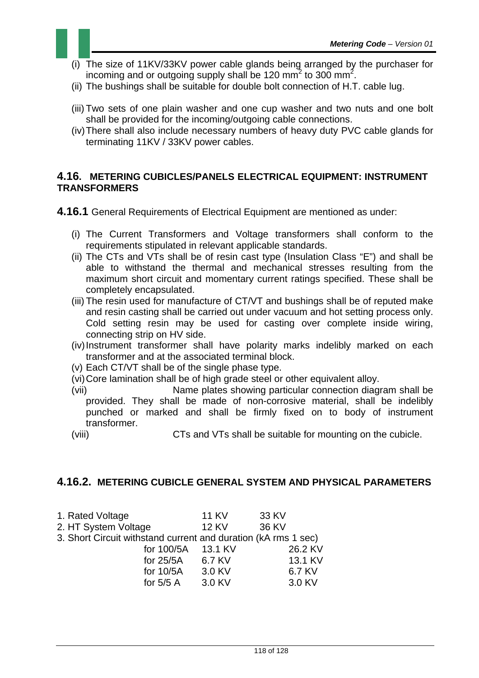- (i) The size of 11KV/33KV power cable glands being arranged by the purchaser for incoming and or outgoing supply shall be 120 mm<sup>2</sup> to 300 mm<sup>2</sup>.
- (ii) The bushings shall be suitable for double bolt connection of H.T. cable lug.
- (iii) Two sets of one plain washer and one cup washer and two nuts and one bolt shall be provided for the incoming/outgoing cable connections.
- (iv) There shall also include necessary numbers of heavy duty PVC cable glands for terminating 11KV / 33KV power cables.

#### **4.16. METERING CUBICLES/PANELS ELECTRICAL EQUIPMENT: INSTRUMENT TRANSFORMERS**

**4.16.1** General Requirements of Electrical Equipment are mentioned as under:

- (i) The Current Transformers and Voltage transformers shall conform to the requirements stipulated in relevant applicable standards.
- (ii) The CTs and VTs shall be of resin cast type (Insulation Class "E") and shall be able to withstand the thermal and mechanical stresses resulting from the maximum short circuit and momentary current ratings specified. These shall be completely encapsulated.
- (iii) The resin used for manufacture of CT/VT and bushings shall be of reputed make and resin casting shall be carried out under vacuum and hot setting process only. Cold setting resin may be used for casting over complete inside wiring, connecting strip on HV side.
- (iv) Instrument transformer shall have polarity marks indelibly marked on each transformer and at the associated terminal block.
- (v) Each CT/VT shall be of the single phase type.
- (vi) Core lamination shall be of high grade steel or other equivalent alloy.
- (vii) Name plates showing particular connection diagram shall be provided. They shall be made of non-corrosive material, shall be indelibly punched or marked and shall be firmly fixed on to body of instrument transformer.
- (viii) CTs and VTs shall be suitable for mounting on the cubicle.

#### **4.16.2. METERING CUBICLE GENERAL SYSTEM AND PHYSICAL PARAMETERS**

- 1. Rated Voltage 11 KV 33 KV
- 2. HT System Voltage 12 KV 36 KV
- 3. Short Circuit withstand current and duration (kA rms 1 sec)

| for 100/5A 13.1 KV |        | 26.2 KV |
|--------------------|--------|---------|
| for 25/5A          | 6.7 KV | 13.1 KV |
| for $10/5A$        | 3.0 KV | 6.7 KV  |
| for $5/5$ A        | 3.0 KV | 3.0 KV  |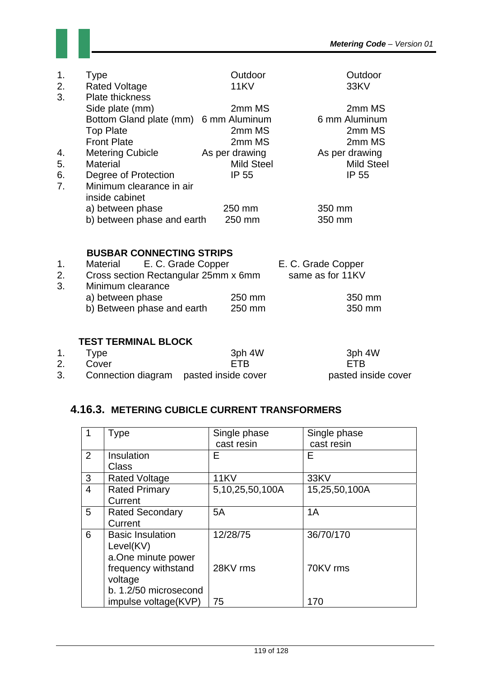

| 1.<br>2.<br>3. | <b>Type</b><br><b>Rated Voltage</b><br><b>Plate thickness</b>                | Outdoor<br><b>11KV</b>   | Outdoor<br>33KV                   |
|----------------|------------------------------------------------------------------------------|--------------------------|-----------------------------------|
|                | Side plate (mm)<br>Bottom Gland plate (mm) 6 mm Aluminum<br><b>Top Plate</b> | 2mm MS<br>2mm MS         | 2mm MS<br>6 mm Aluminum<br>2mm MS |
| 4.             | <b>Front Plate</b><br><b>Metering Cubicle</b>                                | 2mm MS<br>As per drawing | 2mm MS<br>As per drawing          |
| 5.             | <b>Material</b>                                                              | <b>Mild Steel</b>        | <b>Mild Steel</b>                 |
| 6.<br>7.       | Degree of Protection<br>Minimum clearance in air<br>inside cabinet           | IP 55                    | IP 55                             |
|                | a) between phase<br>b) between phase and earth                               | 250 mm<br>250 mm         | 350 mm<br>350 mm                  |

### **BUSBAR CONNECTING STRIPS**

| $1_{-}$ | E. C. Grade Copper<br>Material       |        | E. C. Grade Copper |
|---------|--------------------------------------|--------|--------------------|
| 2.      | Cross section Rectangular 25mm x 6mm |        | same as for 11KV   |
| 3.      | Minimum clearance                    |        |                    |
|         | a) between phase                     | 250 mm | 350 mm             |
|         | b) Between phase and earth           | 250 mm | 350 mm             |

#### **TEST TERMINAL BLOCK**

| 1. | Type                                     | 3ph 4W     | 3ph 4W              |
|----|------------------------------------------|------------|---------------------|
|    | Cover                                    | <b>FTR</b> | <b>FTR</b>          |
| 3. | Connection diagram   pasted inside cover |            | pasted inside cover |

## **4.16.3. METERING CUBICLE CURRENT TRANSFORMERS**

|                | <b>Type</b>             | Single phase    | Single phase  |
|----------------|-------------------------|-----------------|---------------|
|                |                         | cast resin      | cast resin    |
| 2              | Insulation              | Е               | Е             |
|                | <b>Class</b>            |                 |               |
| 3              | <b>Rated Voltage</b>    | <b>11KV</b>     | 33KV          |
| $\overline{4}$ | <b>Rated Primary</b>    | 5,10,25,50,100A | 15,25,50,100A |
|                | Current                 |                 |               |
| 5              | <b>Rated Secondary</b>  | 5A              | 1A            |
|                | Current                 |                 |               |
| 6              | <b>Basic Insulation</b> | 12/28/75        | 36/70/170     |
|                | Level(KV)               |                 |               |
|                | a.One minute power      |                 |               |
|                | frequency withstand     | 28KV rms        | 70KV rms      |
|                | voltage                 |                 |               |
|                | b. 1.2/50 microsecond   |                 |               |
|                | impulse voltage(KVP)    | 75              | 170           |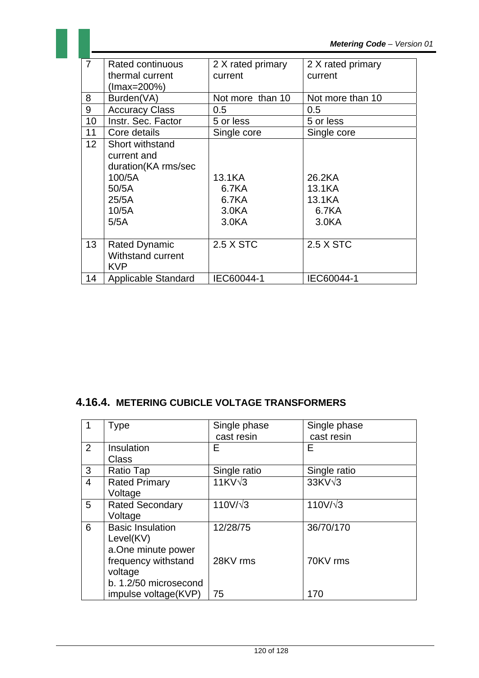|                 |                                                                                                    |                                                         | <b>Metering Code - Versic</b>                             |
|-----------------|----------------------------------------------------------------------------------------------------|---------------------------------------------------------|-----------------------------------------------------------|
| $\overline{7}$  | <b>Rated continuous</b><br>thermal current<br>(Imax=200%)                                          | 2 X rated primary<br>current                            | 2 X rated primary<br>current                              |
| 8               | Burden(VA)                                                                                         | Not more than 10                                        | Not more than 10                                          |
| 9               | <b>Accuracy Class</b>                                                                              | 0.5                                                     | 0.5                                                       |
| 10              | Instr. Sec. Factor                                                                                 | 5 or less                                               | 5 or less                                                 |
| 11              | Core details                                                                                       | Single core                                             | Single core                                               |
| 12 <sup>°</sup> | Short withstand<br>current and<br>duration(KA rms/sec<br>100/5A<br>50/5A<br>25/5A<br>10/5A<br>5/5A | 13.1KA<br>6.7KA<br>6.7KA<br>3.0 <sub>K</sub> A<br>3.0KA | 26.2KA<br>13.1KA<br>13.1KA<br>6.7KA<br>3.0 <sub>K</sub> A |
| 13              | <b>Rated Dynamic</b><br><b>Withstand current</b><br><b>KVP</b>                                     | 2.5 X STC                                               | 2.5 X STC                                                 |
| 14              | Applicable Standard                                                                                | IEC60044-1                                              | IEC60044-1                                                |

## **4.16.4. METERING CUBICLE VOLTAGE TRANSFORMERS**

|                | <b>Type</b>             | Single phase<br>cast resin | Single phase<br>cast resin |
|----------------|-------------------------|----------------------------|----------------------------|
| $\overline{2}$ | Insulation              | F                          | F                          |
|                | <b>Class</b>            |                            |                            |
| 3              | Ratio Tap               | Single ratio               | Single ratio               |
| $\overline{4}$ | <b>Rated Primary</b>    | $11KV\sqrt{3}$             | $33KV\sqrt{3}$             |
|                | Voltage                 |                            |                            |
| 5              | <b>Rated Secondary</b>  | $110V/\sqrt{3}$            | $110V/\sqrt{3}$            |
|                | Voltage                 |                            |                            |
| 6              | <b>Basic Insulation</b> | 12/28/75                   | 36/70/170                  |
|                | Level(KV)               |                            |                            |
|                | a.One minute power      |                            |                            |
|                | frequency withstand     | 28KV rms                   | 70KV rms                   |
|                | voltage                 |                            |                            |
|                | b. 1.2/50 microsecond   |                            |                            |
|                | impulse voltage(KVP)    | 75                         | 170                        |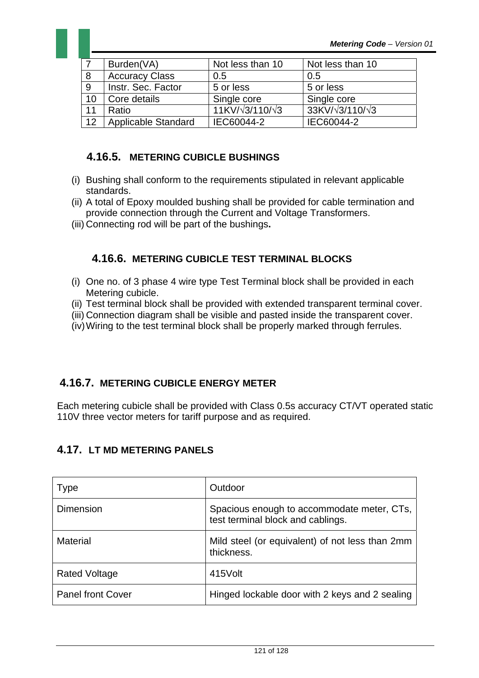

|    | Burden(VA)            | Not less than 10              | Not less than 10              |
|----|-----------------------|-------------------------------|-------------------------------|
| 8  | <b>Accuracy Class</b> | 0.5                           | 0.5                           |
| 9  | Instr. Sec. Factor    | 5 or less                     | 5 or less                     |
| 10 | Core details          | Single core                   | Single core                   |
| 11 | Ratio                 | $11K V/\sqrt{3}/110/\sqrt{3}$ | 33KV/ $\sqrt{3}/110/\sqrt{3}$ |
| 12 | Applicable Standard   | IEC60044-2                    | IEC60044-2                    |

### **4.16.5. METERING CUBICLE BUSHINGS**

- (i) Bushing shall conform to the requirements stipulated in relevant applicable standards.
- (ii) A total of Epoxy moulded bushing shall be provided for cable termination and provide connection through the Current and Voltage Transformers.
- (iii) Connecting rod will be part of the bushings**.**

### **4.16.6. METERING CUBICLE TEST TERMINAL BLOCKS**

- (i) One no. of 3 phase 4 wire type Test Terminal block shall be provided in each Metering cubicle.
- (ii) Test terminal block shall be provided with extended transparent terminal cover.
- (iii) Connection diagram shall be visible and pasted inside the transparent cover.
- (iv) Wiring to the test terminal block shall be properly marked through ferrules.

### **4.16.7. METERING CUBICLE ENERGY METER**

Each metering cubicle shall be provided with Class 0.5s accuracy CT/VT operated static 110V three vector meters for tariff purpose and as required.

### **4.17. LT MD METERING PANELS**

| <b>Type</b>              | Outdoor                                                                         |
|--------------------------|---------------------------------------------------------------------------------|
| Dimension                | Spacious enough to accommodate meter, CTs,<br>test terminal block and cablings. |
| <b>Material</b>          | Mild steel (or equivalent) of not less than 2mm<br>thickness.                   |
| <b>Rated Voltage</b>     | 415Volt                                                                         |
| <b>Panel front Cover</b> | Hinged lockable door with 2 keys and 2 sealing                                  |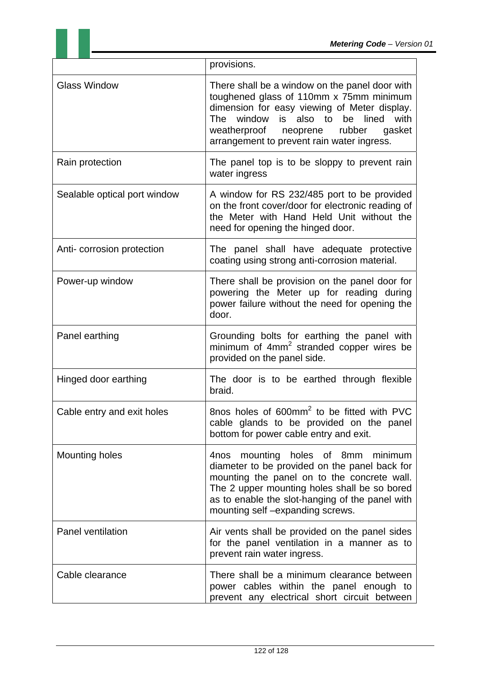|                              | provisions.                                                                                                                                                                                                                                                                                      |
|------------------------------|--------------------------------------------------------------------------------------------------------------------------------------------------------------------------------------------------------------------------------------------------------------------------------------------------|
| <b>Glass Window</b>          | There shall be a window on the panel door with<br>toughened glass of 110mm x 75mm minimum<br>dimension for easy viewing of Meter display.<br>window<br>is<br>also to<br>be<br>lined<br>with<br>The<br>rubber<br>gasket<br>weatherproof<br>neoprene<br>arrangement to prevent rain water ingress. |
| Rain protection              | The panel top is to be sloppy to prevent rain<br>water ingress                                                                                                                                                                                                                                   |
| Sealable optical port window | A window for RS 232/485 port to be provided<br>on the front cover/door for electronic reading of<br>the Meter with Hand Held Unit without the<br>need for opening the hinged door.                                                                                                               |
| Anti-corrosion protection    | The panel shall have adequate protective<br>coating using strong anti-corrosion material.                                                                                                                                                                                                        |
| Power-up window              | There shall be provision on the panel door for<br>powering the Meter up for reading during<br>power failure without the need for opening the<br>door.                                                                                                                                            |
| Panel earthing               | Grounding bolts for earthing the panel with<br>minimum of 4mm <sup>2</sup> stranded copper wires be<br>provided on the panel side.                                                                                                                                                               |
| Hinged door earthing         | The door is to be earthed through flexible<br>braid.                                                                                                                                                                                                                                             |
| Cable entry and exit holes   | 8nos holes of 600mm <sup>2</sup> to be fitted with PVC<br>cable glands to be provided on the panel<br>bottom for power cable entry and exit.                                                                                                                                                     |
| <b>Mounting holes</b>        | mounting holes of 8mm minimum<br>4nos<br>diameter to be provided on the panel back for<br>mounting the panel on to the concrete wall.<br>The 2 upper mounting holes shall be so bored<br>as to enable the slot-hanging of the panel with<br>mounting self-expanding screws.                      |
| Panel ventilation            | Air vents shall be provided on the panel sides<br>for the panel ventilation in a manner as to<br>prevent rain water ingress.                                                                                                                                                                     |
| Cable clearance              | There shall be a minimum clearance between<br>power cables within the panel enough to<br>prevent any electrical short circuit between                                                                                                                                                            |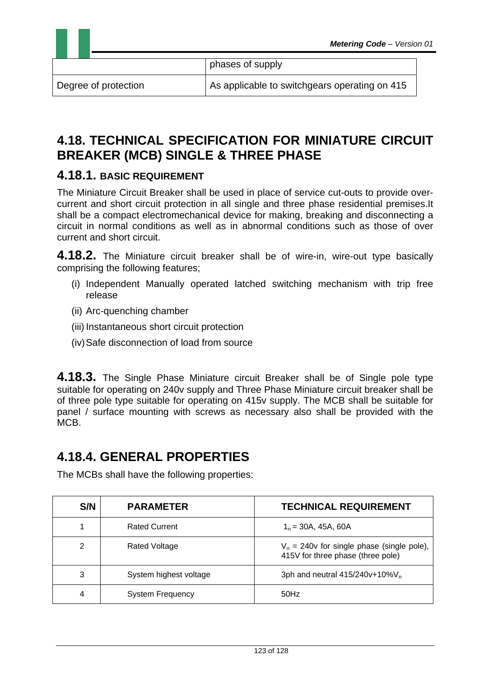phases of supply

Degree of protection  $\vert$  As applicable to switchgears operating on 415

# **4.18. TECHNICAL SPECIFICATION FOR MINIATURE CIRCUIT BREAKER (MCB) SINGLE & THREE PHASE**

### **4.18.1. BASIC REQUIREMENT**

The Miniature Circuit Breaker shall be used in place of service cut-outs to provide overcurrent and short circuit protection in all single and three phase residential premises.It shall be a compact electromechanical device for making, breaking and disconnecting a circuit in normal conditions as well as in abnormal conditions such as those of over current and short circuit.

**4.18.2.** The Miniature circuit breaker shall be of wire-in, wire-out type basically comprising the following features;

- (i) Independent Manually operated latched switching mechanism with trip free release
- (ii) Arc-quenching chamber
- (iii) Instantaneous short circuit protection
- (iv) Safe disconnection of load from source

**4.18.3.** The Single Phase Miniature circuit Breaker shall be of Single pole type suitable for operating on 240v supply and Three Phase Miniature circuit breaker shall be of three pole type suitable for operating on 415v supply. The MCB shall be suitable for panel / surface mounting with screws as necessary also shall be provided with the MCB.

# **4.18.4. GENERAL PROPERTIES**

The MCBs shall have the following properties:

| S/N | <b>PARAMETER</b>        | <b>TECHNICAL REQUIREMENT</b>                                                      |
|-----|-------------------------|-----------------------------------------------------------------------------------|
|     | <b>Rated Current</b>    | $1n = 30A$ , 45A, 60A                                                             |
| 2   | Rated Voltage           | $V_n = 240v$ for single phase (single pole),<br>415V for three phase (three pole) |
| 3   | System highest voltage  | 3ph and neutral $415/240v+10\%V_n$                                                |
| 4   | <b>System Frequency</b> | 50Hz                                                                              |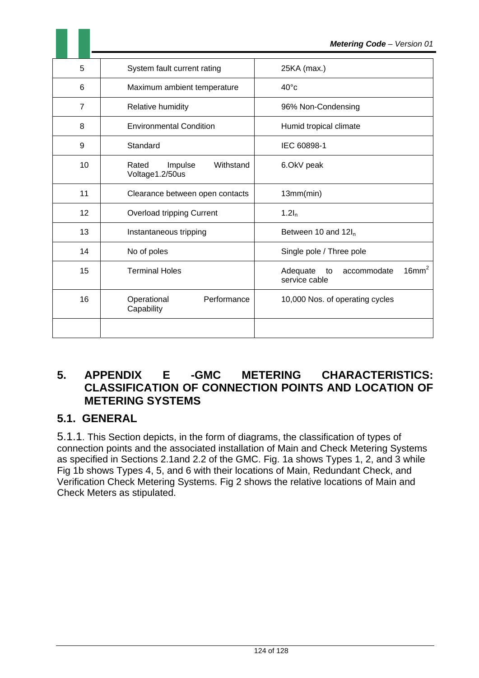|                |                                                  | <b>Metering Code - Version 01</b>                                   |
|----------------|--------------------------------------------------|---------------------------------------------------------------------|
| 5              | System fault current rating                      | 25KA (max.)                                                         |
| 6              | Maximum ambient temperature                      | $40^{\circ}$ c                                                      |
| $\overline{7}$ | Relative humidity                                | 96% Non-Condensing                                                  |
| 8              | <b>Environmental Condition</b>                   | Humid tropical climate                                              |
| 9              | Standard                                         | IEC 60898-1                                                         |
| 10             | Withstand<br>Rated<br>Impulse<br>Voltage1.2/50us | 6.OkV peak                                                          |
| 11             | Clearance between open contacts                  | 13mm(min)                                                           |
| 12             | Overload tripping Current                        | 1.2I <sub>n</sub>                                                   |
| 13             | Instantaneous tripping                           | Between 10 and $12I_n$                                              |
| 14             | No of poles                                      | Single pole / Three pole                                            |
| 15             | <b>Terminal Holes</b>                            | 16mm <sup>2</sup><br>Adequate<br>accommodate<br>to<br>service cable |
| 16             | Performance<br>Operational<br>Capability         | 10,000 Nos. of operating cycles                                     |
|                |                                                  |                                                                     |

## **5. APPENDIX E -GMC METERING CHARACTERISTICS: CLASSIFICATION OF CONNECTION POINTS AND LOCATION OF METERING SYSTEMS**

## **5.1. GENERAL**

5.1.1. This Section depicts, in the form of diagrams, the classification of types of connection points and the associated installation of Main and Check Metering Systems as specified in Sections 2.1and 2.2 of the GMC. Fig. 1a shows Types 1, 2, and 3 while Fig 1b shows Types 4, 5, and 6 with their locations of Main, Redundant Check, and Verification Check Metering Systems. Fig 2 shows the relative locations of Main and Check Meters as stipulated.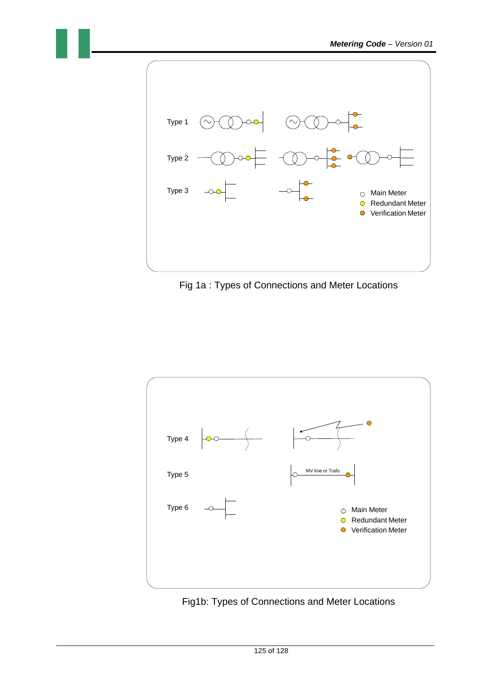

Fig 1a : Types of Connections and Meter Locations



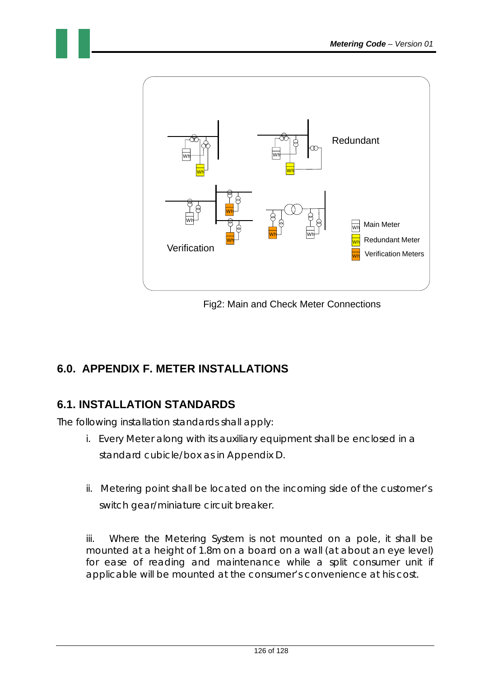

Fig2: Main and Check Meter Connections

# **6.0. APPENDIX F. METER INSTALLATIONS**

# **6.1. INSTALLATION STANDARDS**

The following installation standards shall apply:

- i. Every Meter along with its auxiliary equipment shall be enclosed in a standard cubicle/box as in Appendix D.
- ii. Metering point shall be located on the incoming side of the customer's switch gear/miniature circuit breaker.

iii. Where the Metering System is not mounted on a pole, it shall be mounted at a height of 1.8m on a board on a wall (at about an eye level) for ease of reading and maintenance while a split consumer unit if applicable will be mounted at the consumer's convenience at his cost.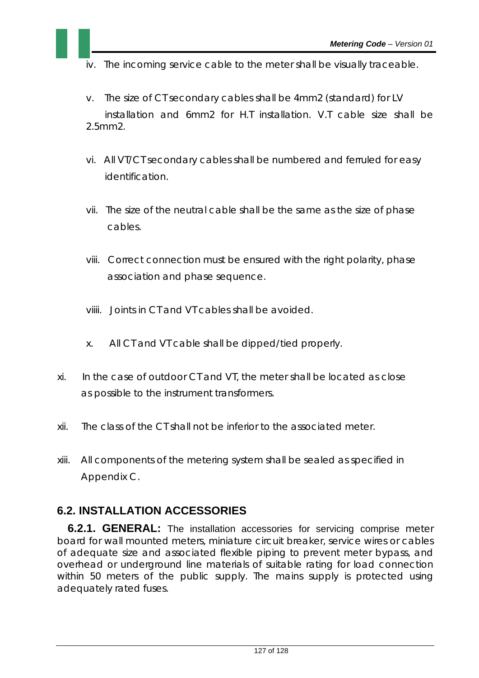- iv. The incoming service cable to the meter shall be visually traceable.
- v. The size of CT secondary cables shall be 4mm2 (standard) for LV installation and 6mm2 for H.T installation. V.T cable size shall be 2.5mm2.
- vi. All VT/CT secondary cables shall be numbered and ferruled for easy identification.
- vii. The size of the neutral cable shall be the same as the size of phase cables.
- viii. Correct connection must be ensured with the right polarity, phase association and phase sequence.
- viiii. Joints in CT and VT cables shall be avoided.
- x. All CT and VT cable shall be dipped/tied properly.
- xi. In the case of outdoor CT and VT, the meter shall be located as close as possible to the instrument transformers.
- xii. The class of the CT shall not be inferior to the associated meter.
- xiii. All components of the metering system shall be sealed as specified in Appendix C.

## **6.2. INSTALLATION ACCESSORIES**

**6.2.1. GENERAL:** The installation accessories for servicing comprise meter board for wall mounted meters, miniature circuit breaker, service wires or cables of adequate size and associated flexible piping to prevent meter bypass, and overhead or underground line materials of suitable rating for load connection within 50 meters of the public supply. The mains supply is protected using adequately rated fuses.